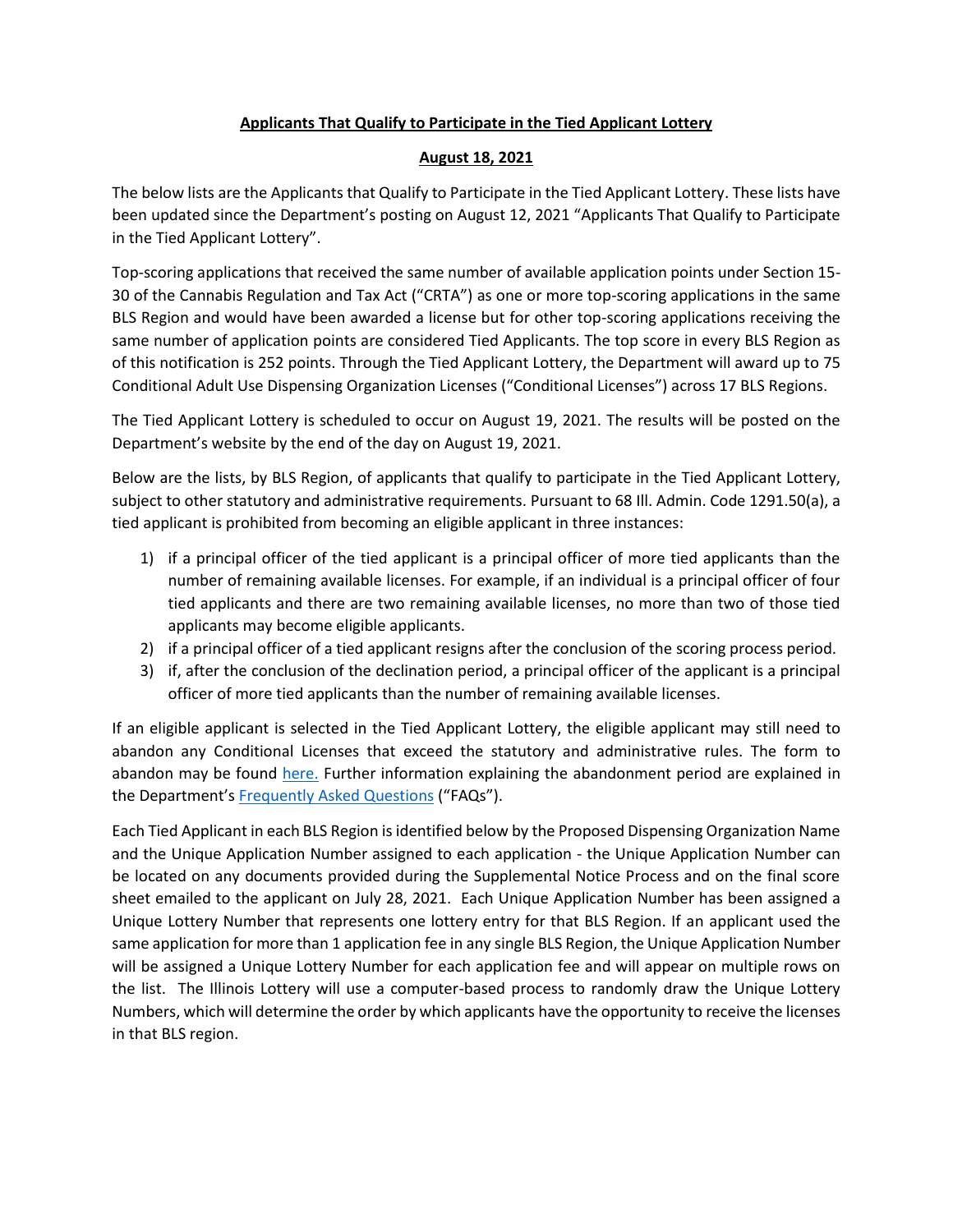#### **Applicants That Qualify to Participate in the Tied Applicant Lottery**

#### **August 18, 2021**

The below lists are the Applicants that Qualify to Participate in the Tied Applicant Lottery. These lists have been updated since the Department's posting on August 12, 2021 "Applicants That Qualify to Participate in the Tied Applicant Lottery".

Top-scoring applications that received the same number of available application points under Section 15- 30 of the Cannabis Regulation and Tax Act ("CRTA") as one or more top-scoring applications in the same BLS Region and would have been awarded a license but for other top-scoring applications receiving the same number of application points are considered Tied Applicants. The top score in every BLS Region as of this notification is 252 points. Through the Tied Applicant Lottery, the Department will award up to 75 Conditional Adult Use Dispensing Organization Licenses ("Conditional Licenses") across 17 BLS Regions.

The Tied Applicant Lottery is scheduled to occur on August 19, 2021. The results will be posted on the Department's website by the end of the day on August 19, 2021.

Below are the lists, by BLS Region, of applicants that qualify to participate in the Tied Applicant Lottery, subject to other statutory and administrative requirements. Pursuant to 68 Ill. Admin. Code 1291.50(a), a tied applicant is prohibited from becoming an eligible applicant in three instances:

- 1) if a principal officer of the tied applicant is a principal officer of more tied applicants than the number of remaining available licenses. For example, if an individual is a principal officer of four tied applicants and there are two remaining available licenses, no more than two of those tied applicants may become eligible applicants.
- 2) if a principal officer of a tied applicant resigns after the conclusion of the scoring process period.
- 3) if, after the conclusion of the declination period, a principal officer of the applicant is a principal officer of more tied applicants than the number of remaining available licenses.

If an eligible applicant is selected in the Tied Applicant Lottery, the eligible applicant may still need to abandon any Conditional Licenses that exceed the statutory and administrative rules. The form to abandon may be found [here.](https://www.idfpr.com/Forms/AUC/Abandonment%20Form.pdf) Further information explaining the abandonment period are explained in the Department's [Frequently Asked Questions](https://www.idfpr.com/Forms/AUC/FAQs%20for%20QAL%20SEJIL%20and%20TAL.pdf) ("FAQs").

Each Tied Applicant in each BLS Region is identified below by the Proposed Dispensing Organization Name and the Unique Application Number assigned to each application - the Unique Application Number can be located on any documents provided during the Supplemental Notice Process and on the final score sheet emailed to the applicant on July 28, 2021. Each Unique Application Number has been assigned a Unique Lottery Number that represents one lottery entry for that BLS Region. If an applicant used the same application for more than 1 application fee in any single BLS Region, the Unique Application Number will be assigned a Unique Lottery Number for each application fee and will appear on multiple rows on the list. The Illinois Lottery will use a computer-based process to randomly draw the Unique Lottery Numbers, which will determine the order by which applicants have the opportunity to receive the licenses in that BLS region.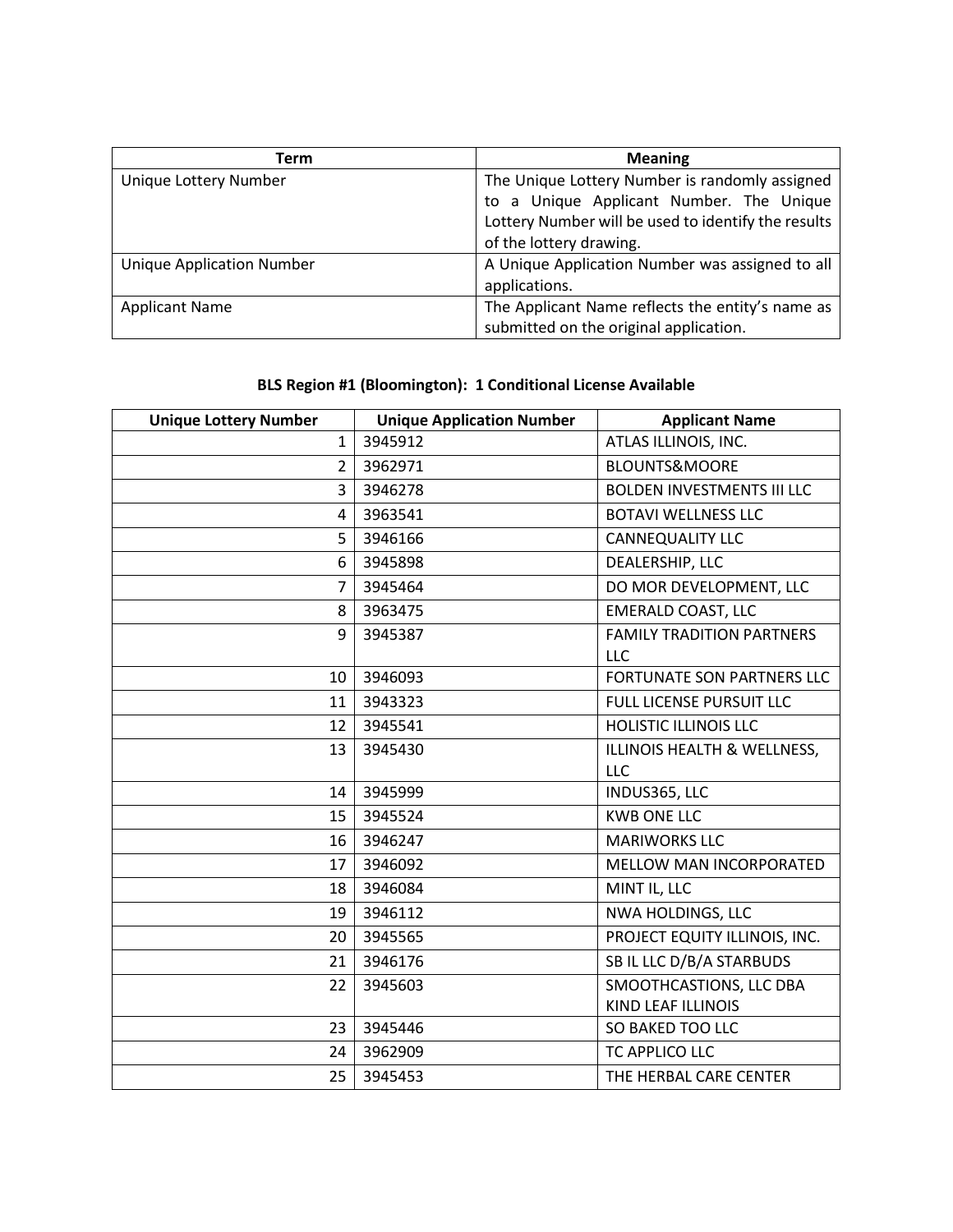| Term                             | <b>Meaning</b>                                      |
|----------------------------------|-----------------------------------------------------|
| Unique Lottery Number            | The Unique Lottery Number is randomly assigned      |
|                                  | to a Unique Applicant Number. The Unique            |
|                                  | Lottery Number will be used to identify the results |
|                                  | of the lottery drawing.                             |
| <b>Unique Application Number</b> | A Unique Application Number was assigned to all     |
|                                  | applications.                                       |
| <b>Applicant Name</b>            | The Applicant Name reflects the entity's name as    |
|                                  | submitted on the original application.              |

# **BLS Region #1 (Bloomington): 1 Conditional License Available**

| <b>Unique Lottery Number</b> | <b>Unique Application Number</b> | <b>Applicant Name</b>                                |
|------------------------------|----------------------------------|------------------------------------------------------|
| $\mathbf{1}$                 | 3945912                          | ATLAS ILLINOIS, INC.                                 |
| $\overline{2}$               | 3962971                          | <b>BLOUNTS&amp;MOORE</b>                             |
| 3                            | 3946278                          | <b>BOLDEN INVESTMENTS III LLC</b>                    |
| 4                            | 3963541                          | <b>BOTAVI WELLNESS LLC</b>                           |
| 5                            | 3946166                          | <b>CANNEQUALITY LLC</b>                              |
| 6                            | 3945898                          | DEALERSHIP, LLC                                      |
| $\overline{7}$               | 3945464                          | DO MOR DEVELOPMENT, LLC                              |
| 8                            | 3963475                          | <b>EMERALD COAST, LLC</b>                            |
| 9                            | 3945387                          | <b>FAMILY TRADITION PARTNERS</b><br>LLC              |
| 10                           | 3946093                          | <b>FORTUNATE SON PARTNERS LLC</b>                    |
| 11                           | 3943323                          | FULL LICENSE PURSUIT LLC                             |
| 12                           | 3945541                          | <b>HOLISTIC ILLINOIS LLC</b>                         |
| 13                           | 3945430                          | ILLINOIS HEALTH & WELLNESS,<br>LLC                   |
| 14                           | 3945999                          | INDUS365, LLC                                        |
| 15                           | 3945524                          | <b>KWB ONE LLC</b>                                   |
| 16                           | 3946247                          | <b>MARIWORKS LLC</b>                                 |
| 17                           | 3946092                          | MELLOW MAN INCORPORATED                              |
| 18                           | 3946084                          | MINT IL, LLC                                         |
| 19                           | 3946112                          | NWA HOLDINGS, LLC                                    |
| 20                           | 3945565                          | PROJECT EQUITY ILLINOIS, INC.                        |
| 21                           | 3946176                          | SB IL LLC D/B/A STARBUDS                             |
| 22                           | 3945603                          | SMOOTHCASTIONS, LLC DBA<br><b>KIND LEAF ILLINOIS</b> |
| 23                           | 3945446                          | SO BAKED TOO LLC                                     |
| 24                           | 3962909                          | TC APPLICO LLC                                       |
| 25                           | 3945453                          | THE HERBAL CARE CENTER                               |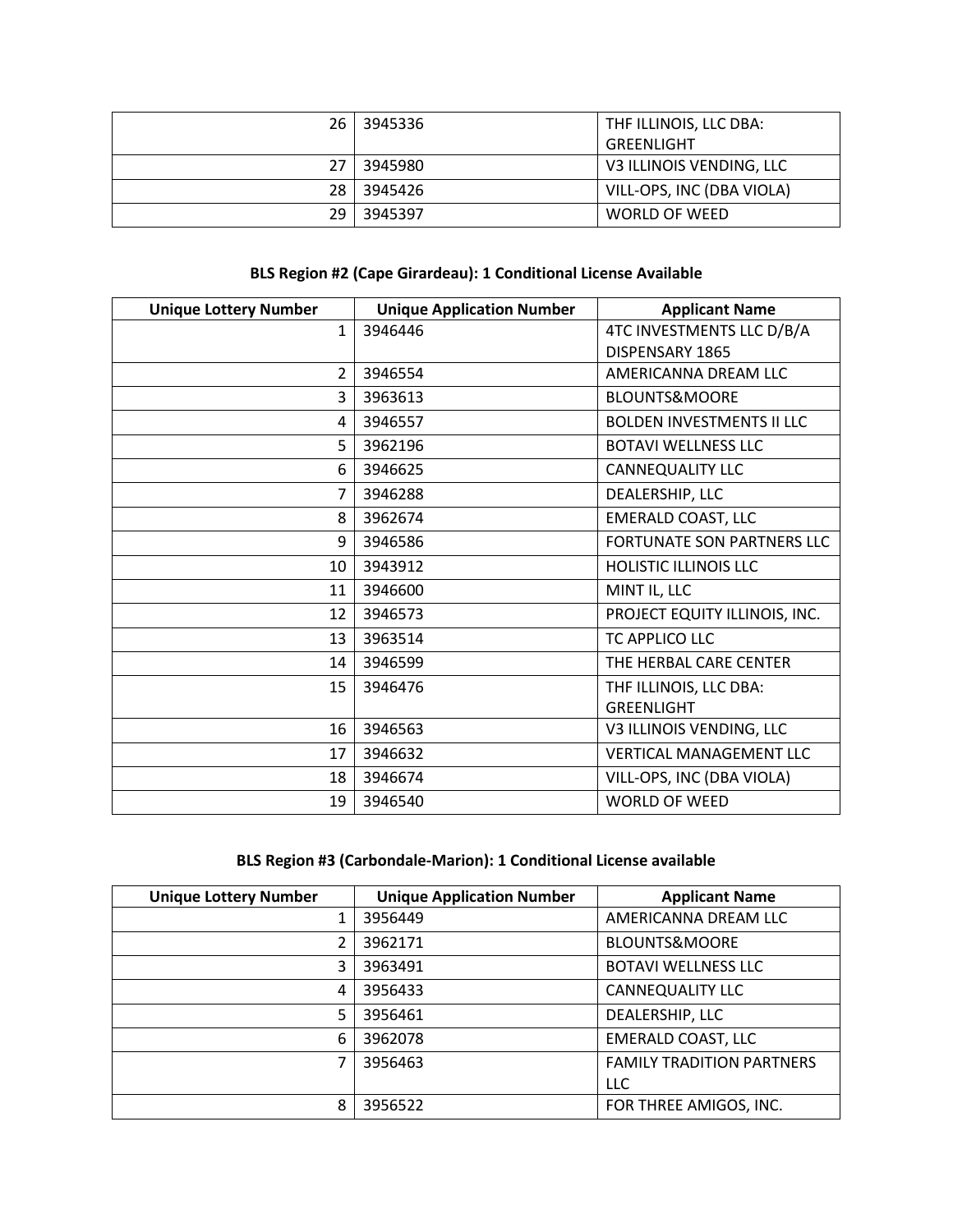| 26 | 3945336 | THE ILLINOIS, LLC DBA:    |
|----|---------|---------------------------|
|    |         | GREENLIGHT                |
| 27 | 3945980 | V3 ILLINOIS VENDING, LLC  |
| 28 | 3945426 | VILL-OPS, INC (DBA VIOLA) |
| 29 | 3945397 | WORLD OF WEED             |

#### **BLS Region #2 (Cape Girardeau): 1 Conditional License Available**

| <b>Unique Lottery Number</b> | <b>Unique Application Number</b> | <b>Applicant Name</b>            |
|------------------------------|----------------------------------|----------------------------------|
| $\mathbf{1}$                 | 3946446                          | 4TC INVESTMENTS LLC D/B/A        |
|                              |                                  | DISPENSARY 1865                  |
| $\overline{2}$               | 3946554                          | AMERICANNA DREAM LLC             |
| 3                            | 3963613                          | <b>BLOUNTS&amp;MOORE</b>         |
| 4                            | 3946557                          | <b>BOLDEN INVESTMENTS II LLC</b> |
| 5                            | 3962196                          | <b>BOTAVI WELLNESS LLC</b>       |
| 6                            | 3946625                          | <b>CANNEQUALITY LLC</b>          |
| 7                            | 3946288                          | DEALERSHIP, LLC                  |
| 8                            | 3962674                          | <b>EMERALD COAST, LLC</b>        |
| 9                            | 3946586                          | FORTUNATE SON PARTNERS LLC       |
| 10                           | 3943912                          | <b>HOLISTIC ILLINOIS LLC</b>     |
| 11                           | 3946600                          | MINT IL, LLC                     |
| 12                           | 3946573                          | PROJECT EQUITY ILLINOIS, INC.    |
| 13                           | 3963514                          | TC APPLICO LLC                   |
| 14                           | 3946599                          | THE HERBAL CARE CENTER           |
| 15                           | 3946476                          | THF ILLINOIS, LLC DBA:           |
|                              |                                  | <b>GREENLIGHT</b>                |
| 16                           | 3946563                          | V3 ILLINOIS VENDING, LLC         |
| 17                           | 3946632                          | <b>VERTICAL MANAGEMENT LLC</b>   |
| 18                           | 3946674                          | VILL-OPS, INC (DBA VIOLA)        |
| 19                           | 3946540                          | <b>WORLD OF WEED</b>             |

# **BLS Region #3 (Carbondale-Marion): 1 Conditional License available**

| <b>Unique Lottery Number</b> | <b>Unique Application Number</b> | <b>Applicant Name</b>            |
|------------------------------|----------------------------------|----------------------------------|
| 1                            | 3956449                          | AMERICANNA DREAM LLC             |
| 2                            | 3962171                          | <b>BLOUNTS&amp;MOORE</b>         |
| 3                            | 3963491                          | <b>BOTAVI WELLNESS LLC</b>       |
| 4                            | 3956433                          | <b>CANNEQUALITY LLC</b>          |
| 5                            | 3956461                          | DEALERSHIP, LLC                  |
| 6                            | 3962078                          | <b>EMERALD COAST, LLC</b>        |
|                              | 3956463                          | <b>FAMILY TRADITION PARTNERS</b> |
|                              |                                  | <b>LLC</b>                       |
| 8                            | 3956522                          | FOR THREE AMIGOS, INC.           |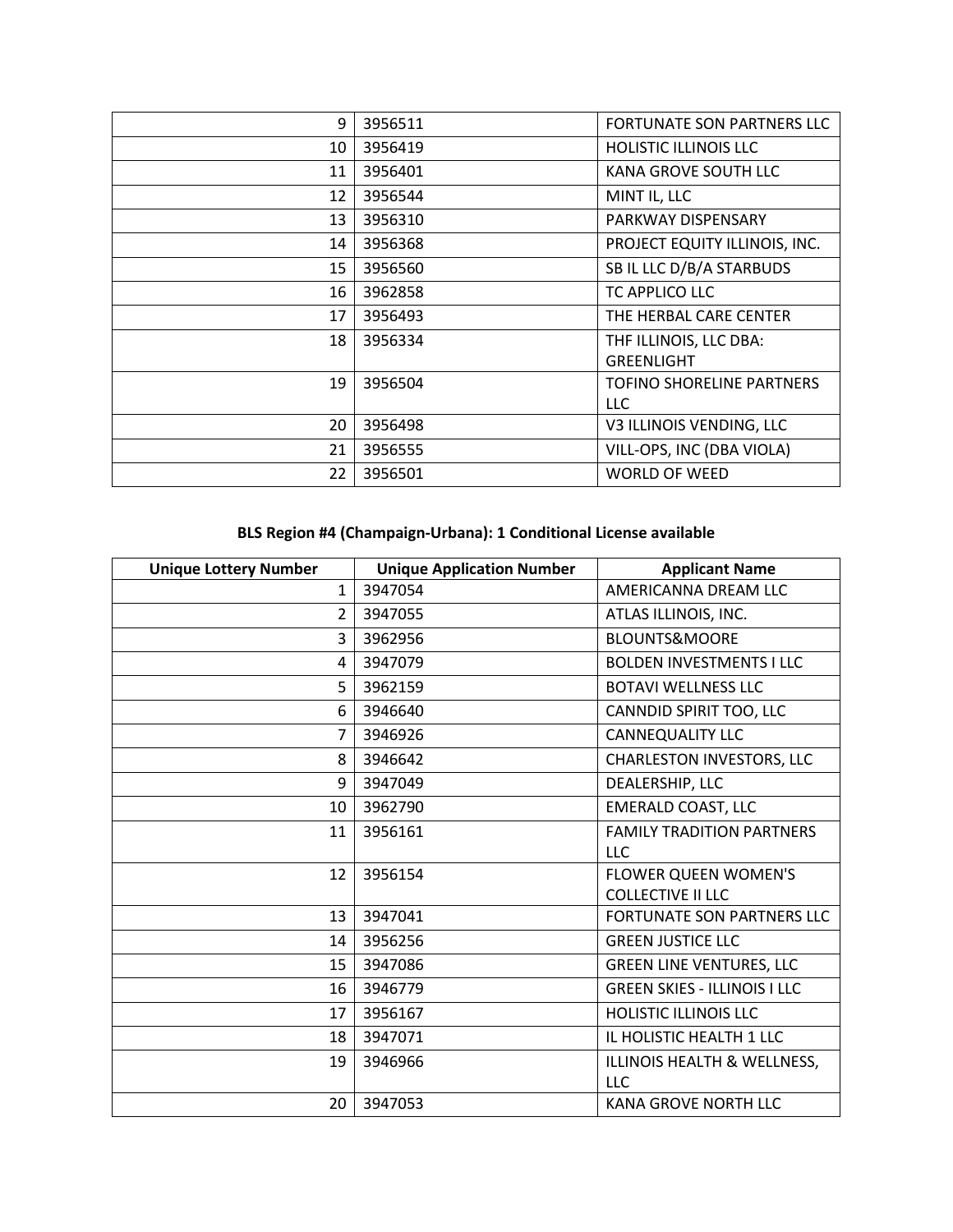| 9  | 3956511 | <b>FORTUNATE SON PARTNERS LLC</b> |
|----|---------|-----------------------------------|
| 10 | 3956419 | <b>HOLISTIC ILLINOIS LLC</b>      |
| 11 | 3956401 | KANA GROVE SOUTH LLC              |
| 12 | 3956544 | MINT IL, LLC                      |
| 13 | 3956310 | PARKWAY DISPENSARY                |
| 14 | 3956368 | PROJECT EQUITY ILLINOIS, INC.     |
| 15 | 3956560 | SB IL LLC D/B/A STARBUDS          |
| 16 | 3962858 | TC APPLICO LLC                    |
| 17 | 3956493 | THE HERBAL CARE CENTER            |
| 18 | 3956334 | THF ILLINOIS, LLC DBA:            |
|    |         | <b>GREENLIGHT</b>                 |
| 19 | 3956504 | TOFINO SHORELINE PARTNERS         |
|    |         | LLC.                              |
| 20 | 3956498 | V3 ILLINOIS VENDING, LLC          |
| 21 | 3956555 | VILL-OPS, INC (DBA VIOLA)         |
| 22 | 3956501 | <b>WORLD OF WEED</b>              |

# **BLS Region #4 (Champaign-Urbana): 1 Conditional License available**

| <b>Unique Lottery Number</b> | <b>Unique Application Number</b> | <b>Applicant Name</b>               |
|------------------------------|----------------------------------|-------------------------------------|
| $\mathbf{1}$                 | 3947054                          | AMERICANNA DREAM LLC                |
| $\overline{2}$               | 3947055                          | ATLAS ILLINOIS, INC.                |
| 3                            | 3962956                          | <b>BLOUNTS&amp;MOORE</b>            |
| 4                            | 3947079                          | <b>BOLDEN INVESTMENTS I LLC</b>     |
| 5                            | 3962159                          | <b>BOTAVI WELLNESS LLC</b>          |
| 6                            | 3946640                          | CANNDID SPIRIT TOO, LLC             |
| $\overline{7}$               | 3946926                          | <b>CANNEQUALITY LLC</b>             |
| 8                            | 3946642                          | <b>CHARLESTON INVESTORS, LLC</b>    |
| 9                            | 3947049                          | DEALERSHIP, LLC                     |
| 10                           | 3962790                          | <b>EMERALD COAST, LLC</b>           |
| 11                           | 3956161                          | <b>FAMILY TRADITION PARTNERS</b>    |
|                              |                                  | LLC                                 |
| 12                           | 3956154                          | <b>FLOWER QUEEN WOMEN'S</b>         |
|                              |                                  | <b>COLLECTIVE II LLC</b>            |
| 13                           | 3947041                          | FORTUNATE SON PARTNERS LLC          |
| 14                           | 3956256                          | <b>GREEN JUSTICE LLC</b>            |
| 15                           | 3947086                          | <b>GREEN LINE VENTURES, LLC</b>     |
| 16                           | 3946779                          | <b>GREEN SKIES - ILLINOIS I LLC</b> |
| 17                           | 3956167                          | <b>HOLISTIC ILLINOIS LLC</b>        |
| 18                           | 3947071                          | IL HOLISTIC HEALTH 1 LLC            |
| 19                           | 3946966                          | ILLINOIS HEALTH & WELLNESS,         |
|                              |                                  | LLC                                 |
| 20                           | 3947053                          | <b>KANA GROVE NORTH LLC</b>         |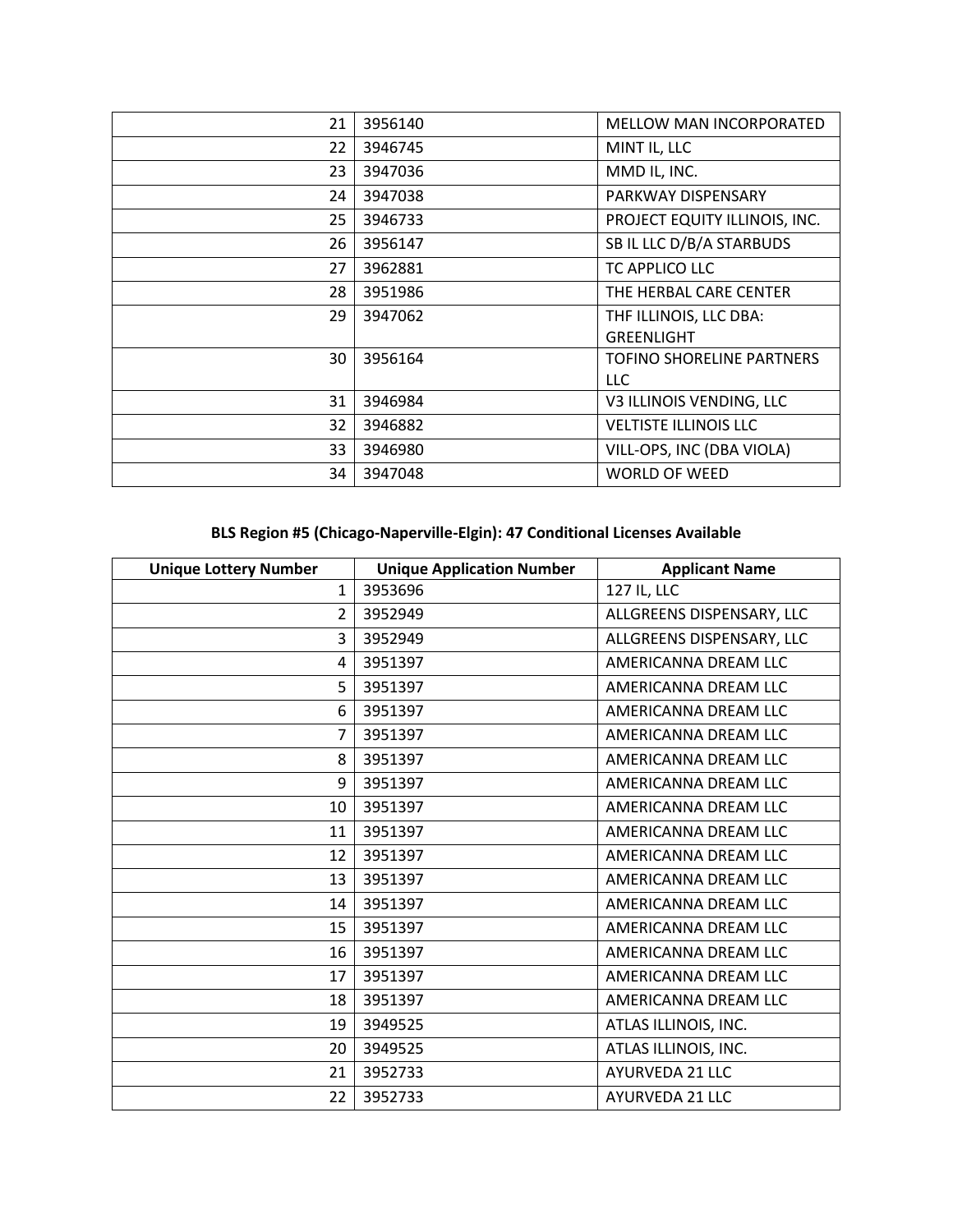| 21 | 3956140 | <b>MELLOW MAN INCORPORATED</b> |
|----|---------|--------------------------------|
| 22 | 3946745 | MINT IL, LLC                   |
| 23 | 3947036 | MMD IL, INC.                   |
| 24 | 3947038 | PARKWAY DISPENSARY             |
| 25 | 3946733 | PROJECT EQUITY ILLINOIS, INC.  |
| 26 | 3956147 | SB IL LLC D/B/A STARBUDS       |
| 27 | 3962881 | TC APPLICO LLC                 |
| 28 | 3951986 | THE HERBAL CARE CENTER         |
| 29 | 3947062 | THF ILLINOIS, LLC DBA:         |
|    |         | <b>GREENLIGHT</b>              |
| 30 | 3956164 | TOFINO SHORELINE PARTNERS      |
|    |         | <b>LLC</b>                     |
| 31 | 3946984 | V3 ILLINOIS VENDING, LLC       |
| 32 | 3946882 | <b>VELTISTE ILLINOIS LLC</b>   |
| 33 | 3946980 | VILL-OPS, INC (DBA VIOLA)      |
| 34 | 3947048 | <b>WORLD OF WEED</b>           |

# **BLS Region #5 (Chicago-Naperville-Elgin): 47 Conditional Licenses Available**

| <b>Unique Lottery Number</b> | <b>Unique Application Number</b> | <b>Applicant Name</b>     |
|------------------------------|----------------------------------|---------------------------|
| $\mathbf{1}$                 | 3953696                          | 127 IL, LLC               |
| $\overline{2}$               | 3952949                          | ALLGREENS DISPENSARY, LLC |
| 3                            | 3952949                          | ALLGREENS DISPENSARY, LLC |
| 4                            | 3951397                          | AMERICANNA DREAM LLC      |
| 5                            | 3951397                          | AMERICANNA DREAM LLC      |
| 6                            | 3951397                          | AMERICANNA DREAM LLC      |
| $\overline{7}$               | 3951397                          | AMERICANNA DREAM LLC      |
| 8                            | 3951397                          | AMERICANNA DREAM LLC      |
| 9                            | 3951397                          | AMERICANNA DREAM LLC      |
| 10                           | 3951397                          | AMERICANNA DREAM LLC      |
| 11                           | 3951397                          | AMERICANNA DREAM LLC      |
| 12                           | 3951397                          | AMERICANNA DREAM LLC      |
| 13                           | 3951397                          | AMERICANNA DREAM LLC      |
| 14                           | 3951397                          | AMERICANNA DREAM LLC      |
| 15                           | 3951397                          | AMERICANNA DREAM LLC      |
| 16                           | 3951397                          | AMERICANNA DREAM LLC      |
| 17                           | 3951397                          | AMERICANNA DREAM LLC      |
| 18                           | 3951397                          | AMERICANNA DREAM LLC      |
| 19                           | 3949525                          | ATLAS ILLINOIS, INC.      |
| 20                           | 3949525                          | ATLAS ILLINOIS, INC.      |
| 21                           | 3952733                          | AYURVEDA 21 LLC           |
| 22                           | 3952733                          | AYURVEDA 21 LLC           |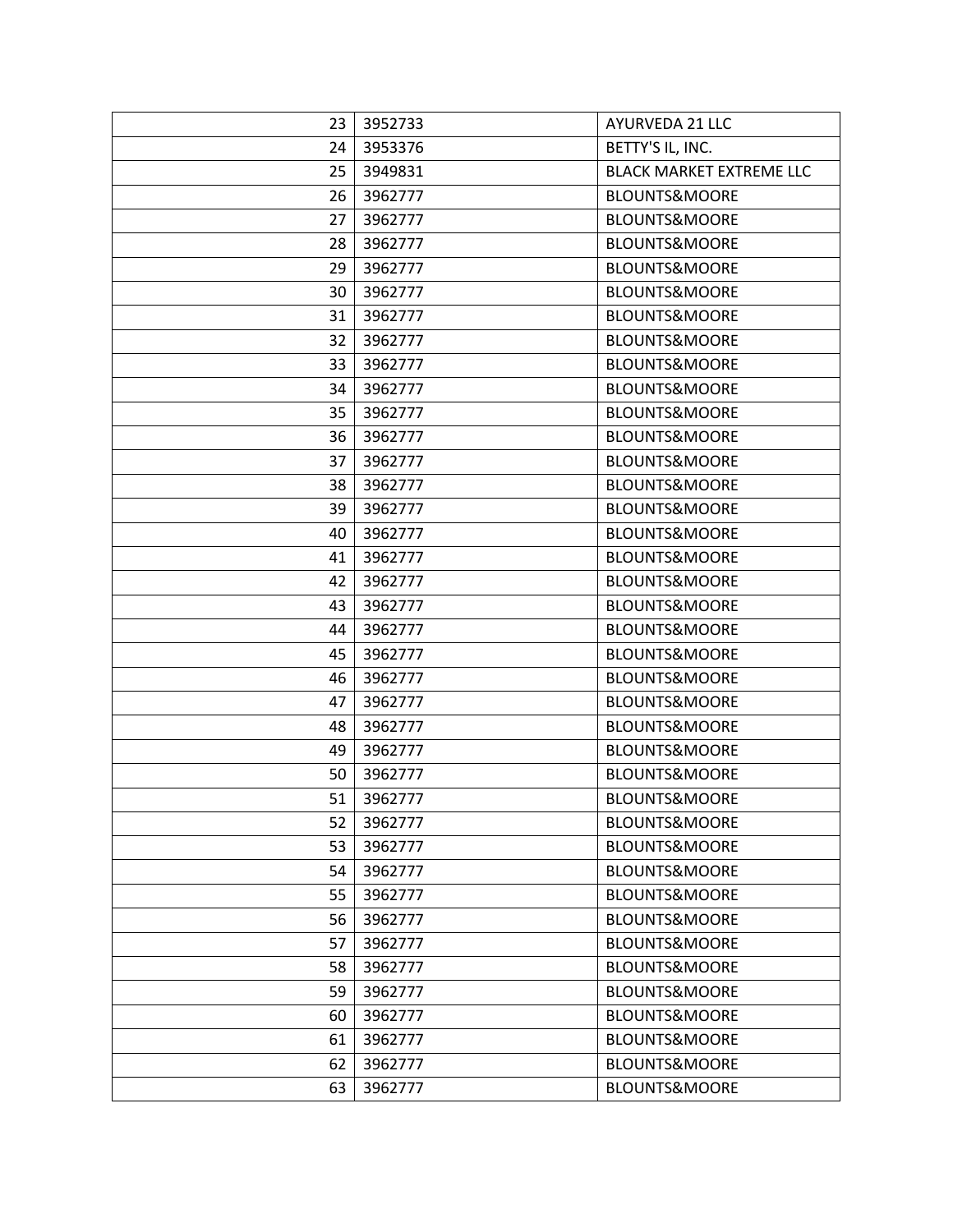| 23 | 3952733 | AYURVEDA 21 LLC                 |
|----|---------|---------------------------------|
| 24 | 3953376 | BETTY'S IL, INC.                |
| 25 | 3949831 | <b>BLACK MARKET EXTREME LLC</b> |
| 26 | 3962777 | <b>BLOUNTS&amp;MOORE</b>        |
| 27 | 3962777 | BLOUNTS&MOORE                   |
| 28 | 3962777 | <b>BLOUNTS&amp;MOORE</b>        |
| 29 | 3962777 | <b>BLOUNTS&amp;MOORE</b>        |
| 30 | 3962777 | <b>BLOUNTS&amp;MOORE</b>        |
| 31 | 3962777 | <b>BLOUNTS&amp;MOORE</b>        |
| 32 | 3962777 | <b>BLOUNTS&amp;MOORE</b>        |
| 33 | 3962777 | <b>BLOUNTS&amp;MOORE</b>        |
| 34 | 3962777 | <b>BLOUNTS&amp;MOORE</b>        |
| 35 | 3962777 | <b>BLOUNTS&amp;MOORE</b>        |
| 36 | 3962777 | <b>BLOUNTS&amp;MOORE</b>        |
| 37 | 3962777 | <b>BLOUNTS&amp;MOORE</b>        |
| 38 | 3962777 | <b>BLOUNTS&amp;MOORE</b>        |
| 39 | 3962777 | BLOUNTS&MOORE                   |
| 40 | 3962777 | <b>BLOUNTS&amp;MOORE</b>        |
| 41 | 3962777 | <b>BLOUNTS&amp;MOORE</b>        |
| 42 | 3962777 | <b>BLOUNTS&amp;MOORE</b>        |
| 43 | 3962777 | <b>BLOUNTS&amp;MOORE</b>        |
| 44 | 3962777 | <b>BLOUNTS&amp;MOORE</b>        |
| 45 | 3962777 | <b>BLOUNTS&amp;MOORE</b>        |
| 46 | 3962777 | <b>BLOUNTS&amp;MOORE</b>        |
| 47 | 3962777 | <b>BLOUNTS&amp;MOORE</b>        |
| 48 | 3962777 | <b>BLOUNTS&amp;MOORE</b>        |
| 49 | 3962777 | <b>BLOUNTS&amp;MOORE</b>        |
| 50 | 3962777 | <b>BLOUNTS&amp;MOORE</b>        |
| 51 | 3962777 | <b>BLOUNTS&amp;MOORE</b>        |
| 52 | 3962777 | BLOUNTS&MOORE                   |
| 53 | 3962777 | <b>BLOUNTS&amp;MOORE</b>        |
| 54 | 3962777 | <b>BLOUNTS&amp;MOORE</b>        |
| 55 | 3962777 | <b>BLOUNTS&amp;MOORE</b>        |
| 56 | 3962777 | BLOUNTS&MOORE                   |
| 57 | 3962777 | <b>BLOUNTS&amp;MOORE</b>        |
| 58 | 3962777 | <b>BLOUNTS&amp;MOORE</b>        |
| 59 | 3962777 | <b>BLOUNTS&amp;MOORE</b>        |
| 60 | 3962777 | <b>BLOUNTS&amp;MOORE</b>        |
| 61 | 3962777 | <b>BLOUNTS&amp;MOORE</b>        |
| 62 | 3962777 | <b>BLOUNTS&amp;MOORE</b>        |
| 63 | 3962777 | BLOUNTS&MOORE                   |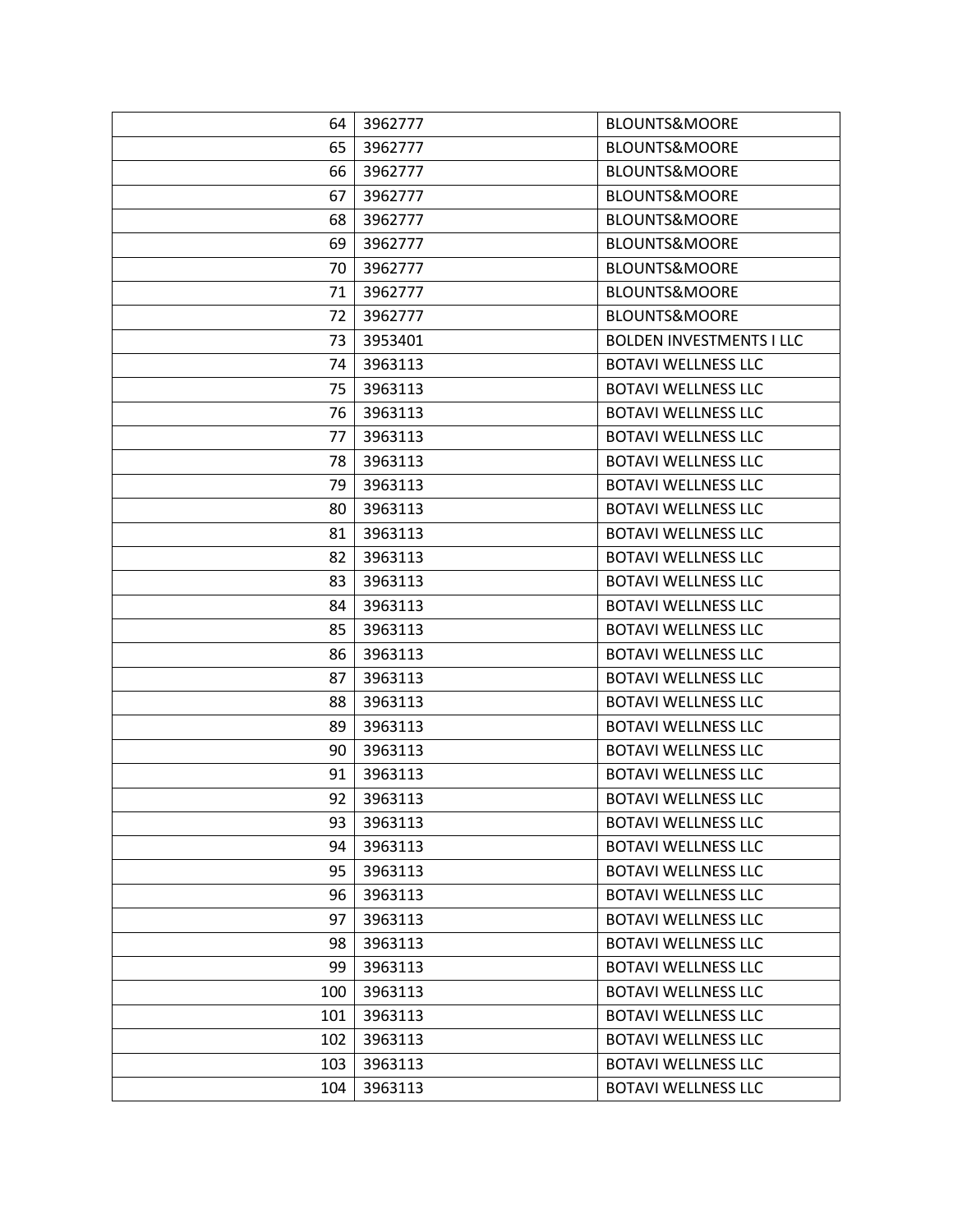| 64  | 3962777 | <b>BLOUNTS&amp;MOORE</b>        |
|-----|---------|---------------------------------|
| 65  | 3962777 | <b>BLOUNTS&amp;MOORE</b>        |
| 66  | 3962777 | <b>BLOUNTS&amp;MOORE</b>        |
| 67  | 3962777 | <b>BLOUNTS&amp;MOORE</b>        |
| 68  | 3962777 | <b>BLOUNTS&amp;MOORE</b>        |
| 69  | 3962777 | <b>BLOUNTS&amp;MOORE</b>        |
| 70  | 3962777 | <b>BLOUNTS&amp;MOORE</b>        |
| 71  | 3962777 | <b>BLOUNTS&amp;MOORE</b>        |
| 72  | 3962777 | <b>BLOUNTS&amp;MOORE</b>        |
| 73  | 3953401 | <b>BOLDEN INVESTMENTS I LLC</b> |
| 74  | 3963113 | <b>BOTAVI WELLNESS LLC</b>      |
| 75  | 3963113 | <b>BOTAVI WELLNESS LLC</b>      |
| 76  | 3963113 | <b>BOTAVI WELLNESS LLC</b>      |
| 77  | 3963113 | <b>BOTAVI WELLNESS LLC</b>      |
| 78  | 3963113 | <b>BOTAVI WELLNESS LLC</b>      |
| 79  | 3963113 | <b>BOTAVI WELLNESS LLC</b>      |
| 80  | 3963113 | <b>BOTAVI WELLNESS LLC</b>      |
| 81  | 3963113 | <b>BOTAVI WELLNESS LLC</b>      |
| 82  | 3963113 | <b>BOTAVI WELLNESS LLC</b>      |
| 83  | 3963113 | <b>BOTAVI WELLNESS LLC</b>      |
| 84  | 3963113 | <b>BOTAVI WELLNESS LLC</b>      |
| 85  | 3963113 | <b>BOTAVI WELLNESS LLC</b>      |
| 86  | 3963113 | <b>BOTAVI WELLNESS LLC</b>      |
| 87  | 3963113 | <b>BOTAVI WELLNESS LLC</b>      |
| 88  | 3963113 | <b>BOTAVI WELLNESS LLC</b>      |
| 89  | 3963113 | <b>BOTAVI WELLNESS LLC</b>      |
| 90  | 3963113 | <b>BOTAVI WELLNESS LLC</b>      |
| 91  | 3963113 | <b>BOTAVI WELLNESS LLC</b>      |
| 92  | 3963113 | <b>BOTAVI WELLNESS LLC</b>      |
| 93  | 3963113 | <b>BOTAVI WELLNESS LLC</b>      |
| 94  | 3963113 | <b>BOTAVI WELLNESS LLC</b>      |
| 95  | 3963113 | <b>BOTAVI WELLNESS LLC</b>      |
| 96  | 3963113 | <b>BOTAVI WELLNESS LLC</b>      |
| 97  | 3963113 | <b>BOTAVI WELLNESS LLC</b>      |
| 98  | 3963113 | <b>BOTAVI WELLNESS LLC</b>      |
| 99  | 3963113 | <b>BOTAVI WELLNESS LLC</b>      |
| 100 | 3963113 | <b>BOTAVI WELLNESS LLC</b>      |
| 101 | 3963113 | <b>BOTAVI WELLNESS LLC</b>      |
| 102 | 3963113 | <b>BOTAVI WELLNESS LLC</b>      |
| 103 | 3963113 | <b>BOTAVI WELLNESS LLC</b>      |
| 104 | 3963113 | <b>BOTAVI WELLNESS LLC</b>      |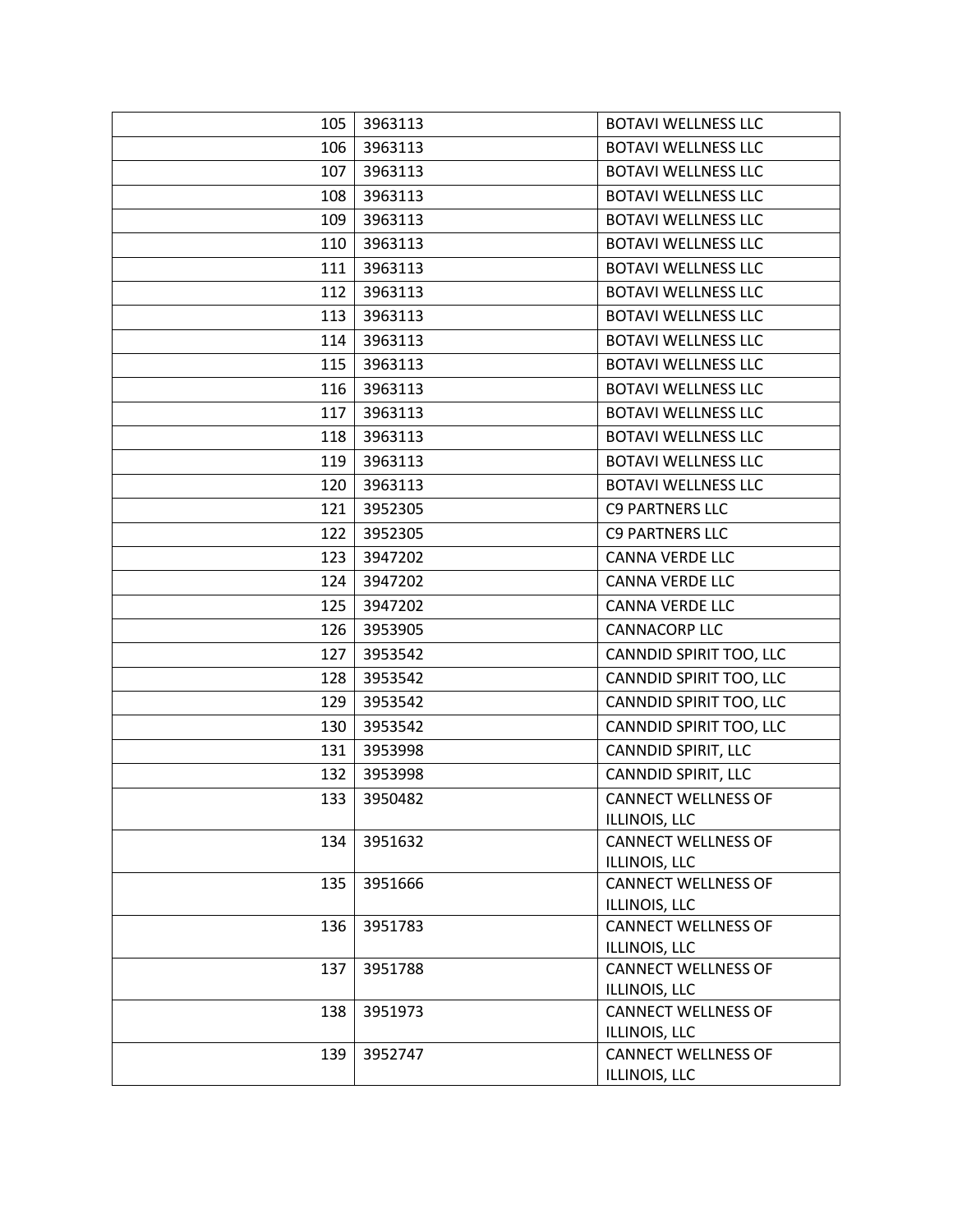| 105 | 3963113 | <b>BOTAVI WELLNESS LLC</b>                  |
|-----|---------|---------------------------------------------|
| 106 | 3963113 | <b>BOTAVI WELLNESS LLC</b>                  |
| 107 | 3963113 | <b>BOTAVI WELLNESS LLC</b>                  |
| 108 | 3963113 | <b>BOTAVI WELLNESS LLC</b>                  |
| 109 | 3963113 | <b>BOTAVI WELLNESS LLC</b>                  |
| 110 | 3963113 | <b>BOTAVI WELLNESS LLC</b>                  |
| 111 | 3963113 | <b>BOTAVI WELLNESS LLC</b>                  |
| 112 | 3963113 | <b>BOTAVI WELLNESS LLC</b>                  |
| 113 | 3963113 | <b>BOTAVI WELLNESS LLC</b>                  |
| 114 | 3963113 | <b>BOTAVI WELLNESS LLC</b>                  |
| 115 | 3963113 | <b>BOTAVI WELLNESS LLC</b>                  |
| 116 | 3963113 | <b>BOTAVI WELLNESS LLC</b>                  |
| 117 | 3963113 | <b>BOTAVI WELLNESS LLC</b>                  |
| 118 | 3963113 | <b>BOTAVI WELLNESS LLC</b>                  |
| 119 | 3963113 | <b>BOTAVI WELLNESS LLC</b>                  |
| 120 | 3963113 | <b>BOTAVI WELLNESS LLC</b>                  |
| 121 | 3952305 | <b>C9 PARTNERS LLC</b>                      |
| 122 | 3952305 | <b>C9 PARTNERS LLC</b>                      |
| 123 | 3947202 | <b>CANNA VERDE LLC</b>                      |
| 124 | 3947202 | <b>CANNA VERDE LLC</b>                      |
| 125 | 3947202 | <b>CANNA VERDE LLC</b>                      |
| 126 | 3953905 | <b>CANNACORP LLC</b>                        |
| 127 | 3953542 | CANNDID SPIRIT TOO, LLC                     |
| 128 | 3953542 | CANNDID SPIRIT TOO, LLC                     |
| 129 | 3953542 | CANNDID SPIRIT TOO, LLC                     |
| 130 | 3953542 | CANNDID SPIRIT TOO, LLC                     |
| 131 | 3953998 | CANNDID SPIRIT, LLC                         |
| 132 | 3953998 | CANNDID SPIRIT, LLC                         |
| 133 | 3950482 | <b>CANNECT WELLNESS OF</b>                  |
|     |         | ILLINOIS, LLC                               |
| 134 | 3951632 | <b>CANNECT WELLNESS OF</b>                  |
|     |         | ILLINOIS, LLC                               |
| 135 | 3951666 | <b>CANNECT WELLNESS OF</b>                  |
| 136 | 3951783 | ILLINOIS, LLC<br><b>CANNECT WELLNESS OF</b> |
|     |         | ILLINOIS, LLC                               |
| 137 | 3951788 | <b>CANNECT WELLNESS OF</b>                  |
|     |         | ILLINOIS, LLC                               |
| 138 | 3951973 | <b>CANNECT WELLNESS OF</b>                  |
|     |         | ILLINOIS, LLC                               |
| 139 | 3952747 | <b>CANNECT WELLNESS OF</b>                  |
|     |         | ILLINOIS, LLC                               |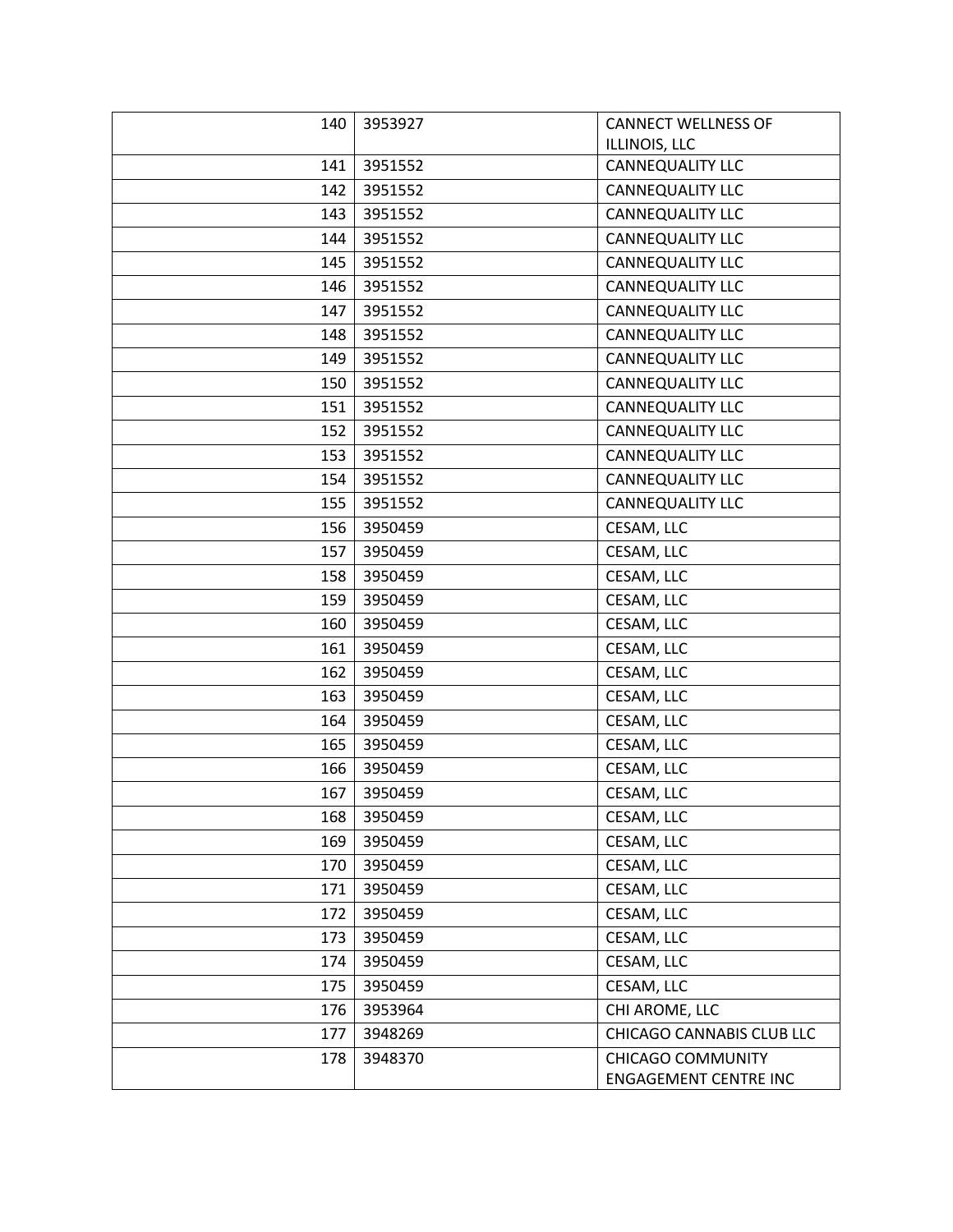| 140 | 3953927 | <b>CANNECT WELLNESS OF</b>                               |
|-----|---------|----------------------------------------------------------|
|     |         | ILLINOIS, LLC                                            |
| 141 | 3951552 | CANNEQUALITY LLC                                         |
| 142 | 3951552 | CANNEQUALITY LLC                                         |
| 143 | 3951552 | <b>CANNEQUALITY LLC</b>                                  |
| 144 | 3951552 | <b>CANNEQUALITY LLC</b>                                  |
| 145 | 3951552 | CANNEQUALITY LLC                                         |
| 146 | 3951552 | CANNEQUALITY LLC                                         |
| 147 | 3951552 | <b>CANNEQUALITY LLC</b>                                  |
| 148 | 3951552 | <b>CANNEQUALITY LLC</b>                                  |
| 149 | 3951552 | CANNEQUALITY LLC                                         |
| 150 | 3951552 | <b>CANNEQUALITY LLC</b>                                  |
| 151 | 3951552 | CANNEQUALITY LLC                                         |
| 152 | 3951552 | <b>CANNEQUALITY LLC</b>                                  |
| 153 | 3951552 | <b>CANNEQUALITY LLC</b>                                  |
| 154 | 3951552 | <b>CANNEQUALITY LLC</b>                                  |
| 155 | 3951552 | CANNEQUALITY LLC                                         |
| 156 | 3950459 | CESAM, LLC                                               |
| 157 | 3950459 | CESAM, LLC                                               |
| 158 | 3950459 | CESAM, LLC                                               |
| 159 | 3950459 | CESAM, LLC                                               |
| 160 | 3950459 | CESAM, LLC                                               |
| 161 | 3950459 | CESAM, LLC                                               |
| 162 | 3950459 | CESAM, LLC                                               |
| 163 | 3950459 | CESAM, LLC                                               |
| 164 | 3950459 | CESAM, LLC                                               |
| 165 | 3950459 | CESAM, LLC                                               |
| 166 | 3950459 | CESAM, LLC                                               |
| 167 | 3950459 | CESAM, LLC                                               |
| 168 | 3950459 | CESAM, LLC                                               |
| 169 | 3950459 | CESAM, LLC                                               |
| 170 | 3950459 | CESAM, LLC                                               |
| 171 | 3950459 | CESAM, LLC                                               |
| 172 | 3950459 | CESAM, LLC                                               |
| 173 | 3950459 | CESAM, LLC                                               |
| 174 | 3950459 | CESAM, LLC                                               |
| 175 | 3950459 | CESAM, LLC                                               |
| 176 | 3953964 | CHI AROME, LLC                                           |
| 177 | 3948269 | CHICAGO CANNABIS CLUB LLC                                |
| 178 | 3948370 | <b>CHICAGO COMMUNITY</b><br><b>ENGAGEMENT CENTRE INC</b> |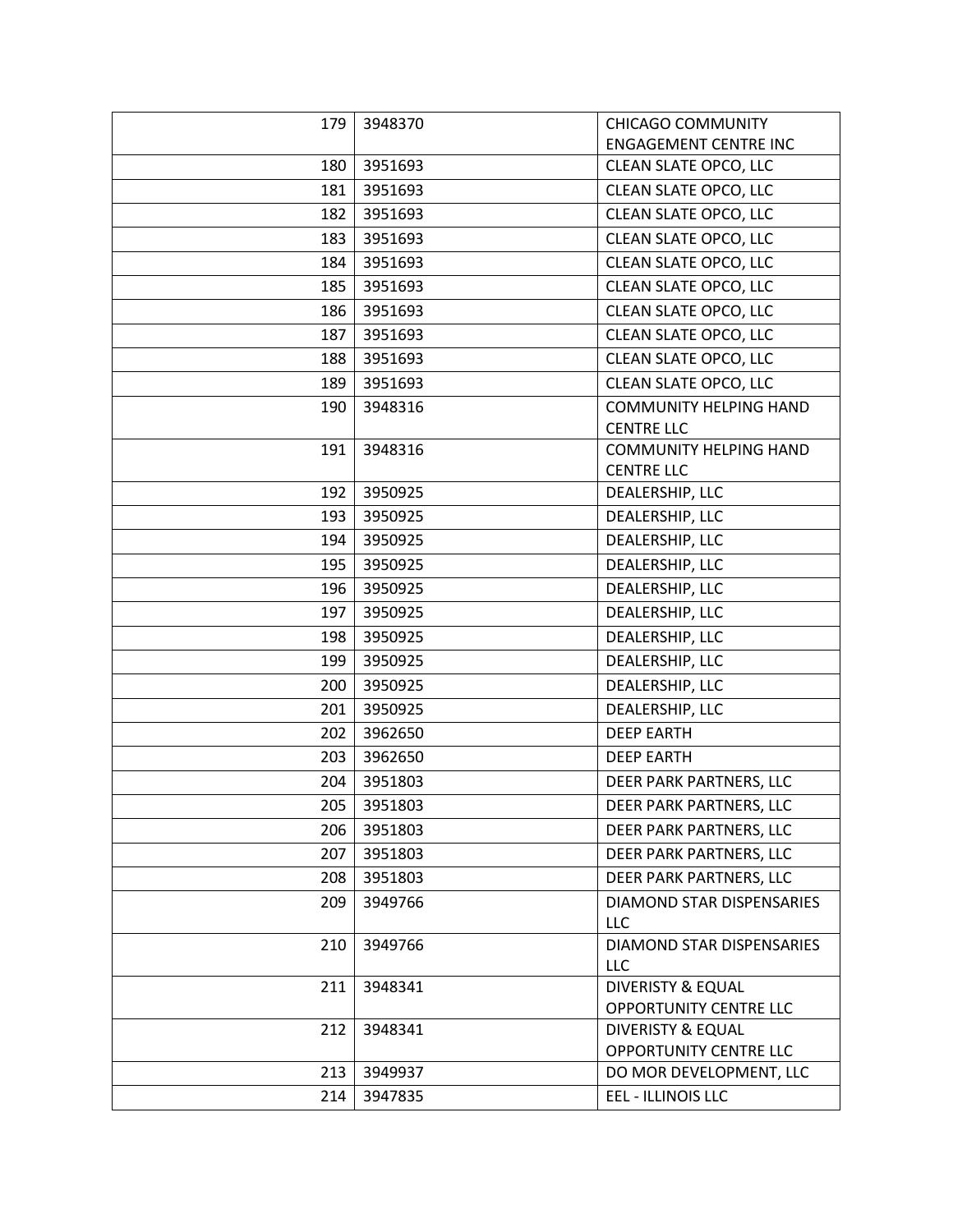| 179 | 3948370 | <b>CHICAGO COMMUNITY</b>                               |
|-----|---------|--------------------------------------------------------|
|     |         | <b>ENGAGEMENT CENTRE INC</b>                           |
| 180 | 3951693 | CLEAN SLATE OPCO, LLC                                  |
| 181 | 3951693 | CLEAN SLATE OPCO, LLC                                  |
| 182 | 3951693 | CLEAN SLATE OPCO, LLC                                  |
| 183 | 3951693 | CLEAN SLATE OPCO, LLC                                  |
| 184 | 3951693 | CLEAN SLATE OPCO, LLC                                  |
| 185 | 3951693 | CLEAN SLATE OPCO, LLC                                  |
| 186 | 3951693 | CLEAN SLATE OPCO, LLC                                  |
| 187 | 3951693 | CLEAN SLATE OPCO, LLC                                  |
| 188 | 3951693 | CLEAN SLATE OPCO, LLC                                  |
| 189 | 3951693 | CLEAN SLATE OPCO, LLC                                  |
| 190 | 3948316 | <b>COMMUNITY HELPING HAND</b><br><b>CENTRE LLC</b>     |
| 191 | 3948316 | <b>COMMUNITY HELPING HAND</b><br><b>CENTRE LLC</b>     |
| 192 | 3950925 | DEALERSHIP, LLC                                        |
| 193 | 3950925 | DEALERSHIP, LLC                                        |
| 194 | 3950925 | DEALERSHIP, LLC                                        |
| 195 | 3950925 | DEALERSHIP, LLC                                        |
| 196 | 3950925 | DEALERSHIP, LLC                                        |
| 197 | 3950925 | DEALERSHIP, LLC                                        |
| 198 | 3950925 | DEALERSHIP, LLC                                        |
| 199 | 3950925 | DEALERSHIP, LLC                                        |
| 200 | 3950925 | DEALERSHIP, LLC                                        |
| 201 | 3950925 | DEALERSHIP, LLC                                        |
| 202 | 3962650 | <b>DEEP EARTH</b>                                      |
| 203 | 3962650 | <b>DEEP EARTH</b>                                      |
| 204 | 3951803 | DEER PARK PARTNERS, LLC                                |
| 205 | 3951803 | DEER PARK PARTNERS, LLC                                |
| 206 | 3951803 | DEER PARK PARTNERS, LLC                                |
| 207 | 3951803 | DEER PARK PARTNERS, LLC                                |
| 208 | 3951803 | DEER PARK PARTNERS, LLC                                |
| 209 | 3949766 | <b>DIAMOND STAR DISPENSARIES</b><br>LLC                |
| 210 | 3949766 | <b>DIAMOND STAR DISPENSARIES</b><br>LLC                |
| 211 | 3948341 | <b>DIVERISTY &amp; EQUAL</b><br>OPPORTUNITY CENTRE LLC |
| 212 | 3948341 | <b>DIVERISTY &amp; EQUAL</b><br>OPPORTUNITY CENTRE LLC |
| 213 | 3949937 | DO MOR DEVELOPMENT, LLC                                |
| 214 | 3947835 | EEL - ILLINOIS LLC                                     |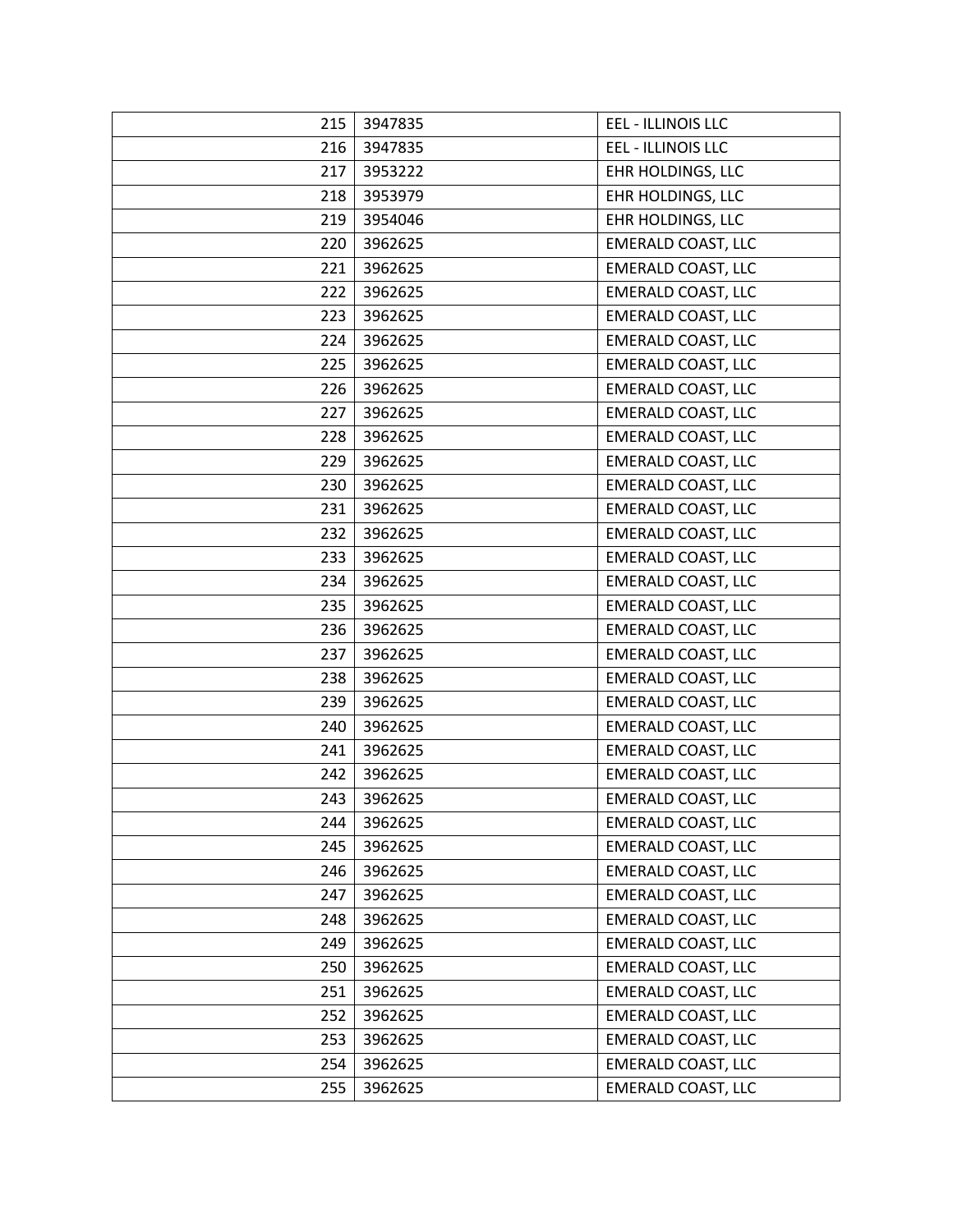| 215 | 3947835 | <b>EEL - ILLINOIS LLC</b> |
|-----|---------|---------------------------|
| 216 | 3947835 | EEL - ILLINOIS LLC        |
| 217 | 3953222 | EHR HOLDINGS, LLC         |
| 218 | 3953979 | EHR HOLDINGS, LLC         |
| 219 | 3954046 | EHR HOLDINGS, LLC         |
| 220 | 3962625 | <b>EMERALD COAST, LLC</b> |
| 221 | 3962625 | <b>EMERALD COAST, LLC</b> |
| 222 | 3962625 | <b>EMERALD COAST, LLC</b> |
| 223 | 3962625 | <b>EMERALD COAST, LLC</b> |
| 224 | 3962625 | <b>EMERALD COAST, LLC</b> |
| 225 | 3962625 | <b>EMERALD COAST, LLC</b> |
| 226 | 3962625 | <b>EMERALD COAST, LLC</b> |
| 227 | 3962625 | <b>EMERALD COAST, LLC</b> |
| 228 | 3962625 | <b>EMERALD COAST, LLC</b> |
| 229 | 3962625 | <b>EMERALD COAST, LLC</b> |
| 230 | 3962625 | <b>EMERALD COAST, LLC</b> |
| 231 | 3962625 | <b>EMERALD COAST, LLC</b> |
| 232 | 3962625 | <b>EMERALD COAST, LLC</b> |
| 233 | 3962625 | <b>EMERALD COAST, LLC</b> |
| 234 | 3962625 | <b>EMERALD COAST, LLC</b> |
| 235 | 3962625 | <b>EMERALD COAST, LLC</b> |
| 236 | 3962625 | <b>EMERALD COAST, LLC</b> |
| 237 | 3962625 | <b>EMERALD COAST, LLC</b> |
| 238 | 3962625 | <b>EMERALD COAST, LLC</b> |
| 239 | 3962625 | <b>EMERALD COAST, LLC</b> |
| 240 | 3962625 | <b>EMERALD COAST, LLC</b> |
| 241 | 3962625 | <b>EMERALD COAST, LLC</b> |
| 242 | 3962625 | <b>EMERALD COAST, LLC</b> |
| 243 | 3962625 | <b>EMERALD COAST, LLC</b> |
| 244 | 3962625 | <b>EMERALD COAST, LLC</b> |
| 245 | 3962625 | <b>EMERALD COAST, LLC</b> |
| 246 | 3962625 | <b>EMERALD COAST, LLC</b> |
| 247 | 3962625 | <b>EMERALD COAST, LLC</b> |
| 248 | 3962625 | <b>EMERALD COAST, LLC</b> |
| 249 | 3962625 | <b>EMERALD COAST, LLC</b> |
| 250 | 3962625 | <b>EMERALD COAST, LLC</b> |
| 251 | 3962625 | <b>EMERALD COAST, LLC</b> |
| 252 | 3962625 | <b>EMERALD COAST, LLC</b> |
| 253 | 3962625 | <b>EMERALD COAST, LLC</b> |
| 254 | 3962625 | <b>EMERALD COAST, LLC</b> |
| 255 | 3962625 | <b>EMERALD COAST, LLC</b> |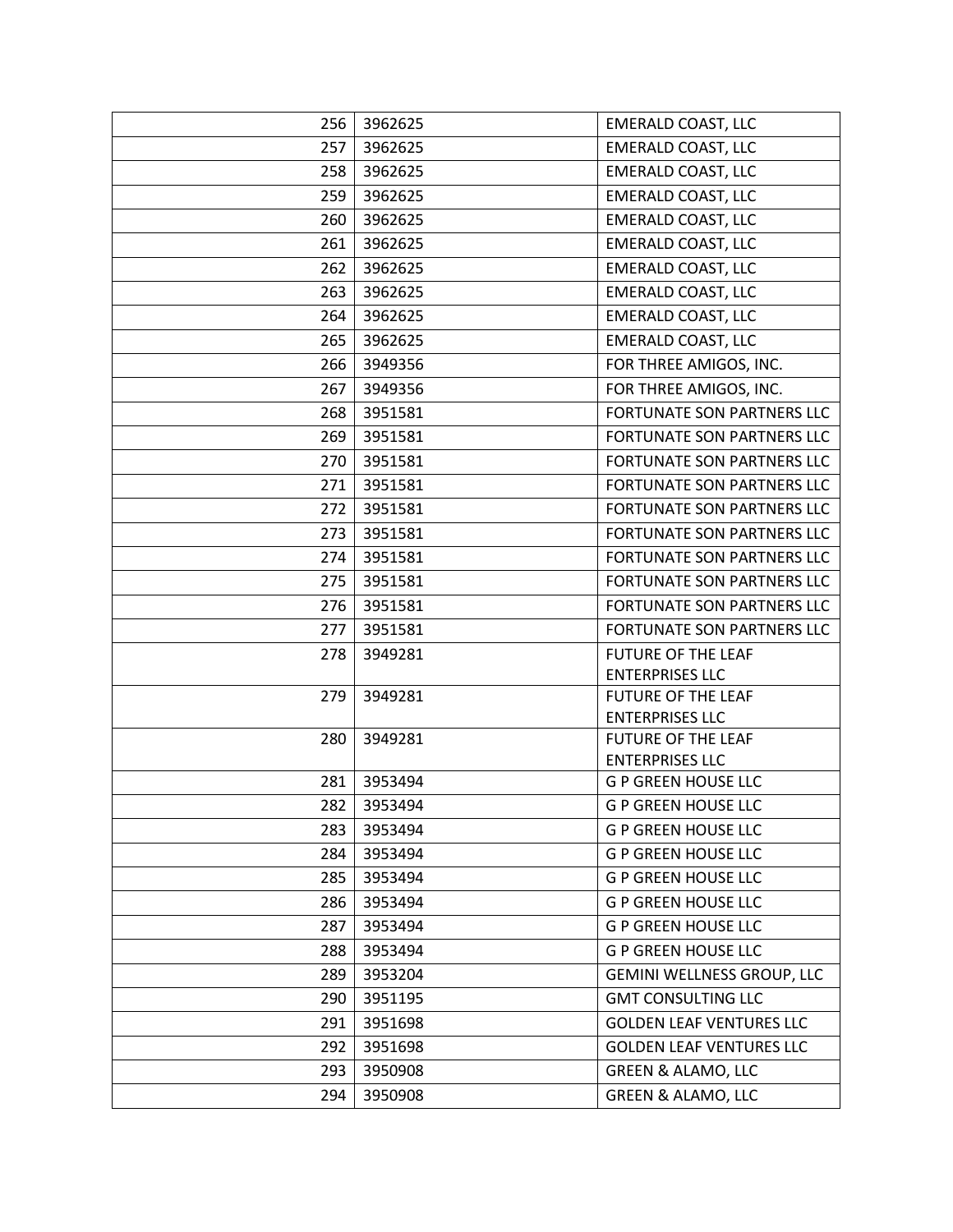| 256 | 3962625 | <b>EMERALD COAST, LLC</b>                           |
|-----|---------|-----------------------------------------------------|
| 257 | 3962625 | <b>EMERALD COAST, LLC</b>                           |
| 258 | 3962625 | <b>EMERALD COAST, LLC</b>                           |
| 259 | 3962625 | <b>EMERALD COAST, LLC</b>                           |
| 260 | 3962625 | <b>EMERALD COAST, LLC</b>                           |
| 261 | 3962625 | <b>EMERALD COAST, LLC</b>                           |
| 262 | 3962625 | <b>EMERALD COAST, LLC</b>                           |
| 263 | 3962625 | <b>EMERALD COAST, LLC</b>                           |
| 264 | 3962625 | <b>EMERALD COAST, LLC</b>                           |
| 265 | 3962625 | <b>EMERALD COAST, LLC</b>                           |
| 266 | 3949356 | FOR THREE AMIGOS, INC.                              |
| 267 | 3949356 | FOR THREE AMIGOS, INC.                              |
| 268 | 3951581 | FORTUNATE SON PARTNERS LLC                          |
| 269 | 3951581 | <b>FORTUNATE SON PARTNERS LLC</b>                   |
| 270 | 3951581 | <b>FORTUNATE SON PARTNERS LLC</b>                   |
| 271 | 3951581 | FORTUNATE SON PARTNERS LLC                          |
| 272 | 3951581 | FORTUNATE SON PARTNERS LLC                          |
| 273 | 3951581 | FORTUNATE SON PARTNERS LLC                          |
| 274 | 3951581 | FORTUNATE SON PARTNERS LLC                          |
| 275 | 3951581 | FORTUNATE SON PARTNERS LLC                          |
| 276 | 3951581 | FORTUNATE SON PARTNERS LLC                          |
| 277 | 3951581 | FORTUNATE SON PARTNERS LLC                          |
| 278 | 3949281 | <b>FUTURE OF THE LEAF</b>                           |
|     |         | <b>ENTERPRISES LLC</b>                              |
| 279 | 3949281 | <b>FUTURE OF THE LEAF</b>                           |
| 280 | 3949281 | <b>ENTERPRISES LLC</b><br><b>FUTURE OF THE LEAF</b> |
|     |         | <b>ENTERPRISES LLC</b>                              |
| 281 | 3953494 | <b>G P GREEN HOUSE LLC</b>                          |
| 282 | 3953494 | <b>G P GREEN HOUSE LLC</b>                          |
| 283 | 3953494 | <b>G P GREEN HOUSE LLC</b>                          |
| 284 | 3953494 | <b>G P GREEN HOUSE LLC</b>                          |
| 285 | 3953494 | <b>G P GREEN HOUSE LLC</b>                          |
| 286 | 3953494 | <b>G P GREEN HOUSE LLC</b>                          |
| 287 | 3953494 | <b>G P GREEN HOUSE LLC</b>                          |
| 288 | 3953494 | <b>G P GREEN HOUSE LLC</b>                          |
| 289 | 3953204 | <b>GEMINI WELLNESS GROUP, LLC</b>                   |
| 290 | 3951195 | <b>GMT CONSULTING LLC</b>                           |
| 291 | 3951698 | <b>GOLDEN LEAF VENTURES LLC</b>                     |
| 292 | 3951698 | <b>GOLDEN LEAF VENTURES LLC</b>                     |
| 293 | 3950908 | <b>GREEN &amp; ALAMO, LLC</b>                       |
| 294 | 3950908 | <b>GREEN &amp; ALAMO, LLC</b>                       |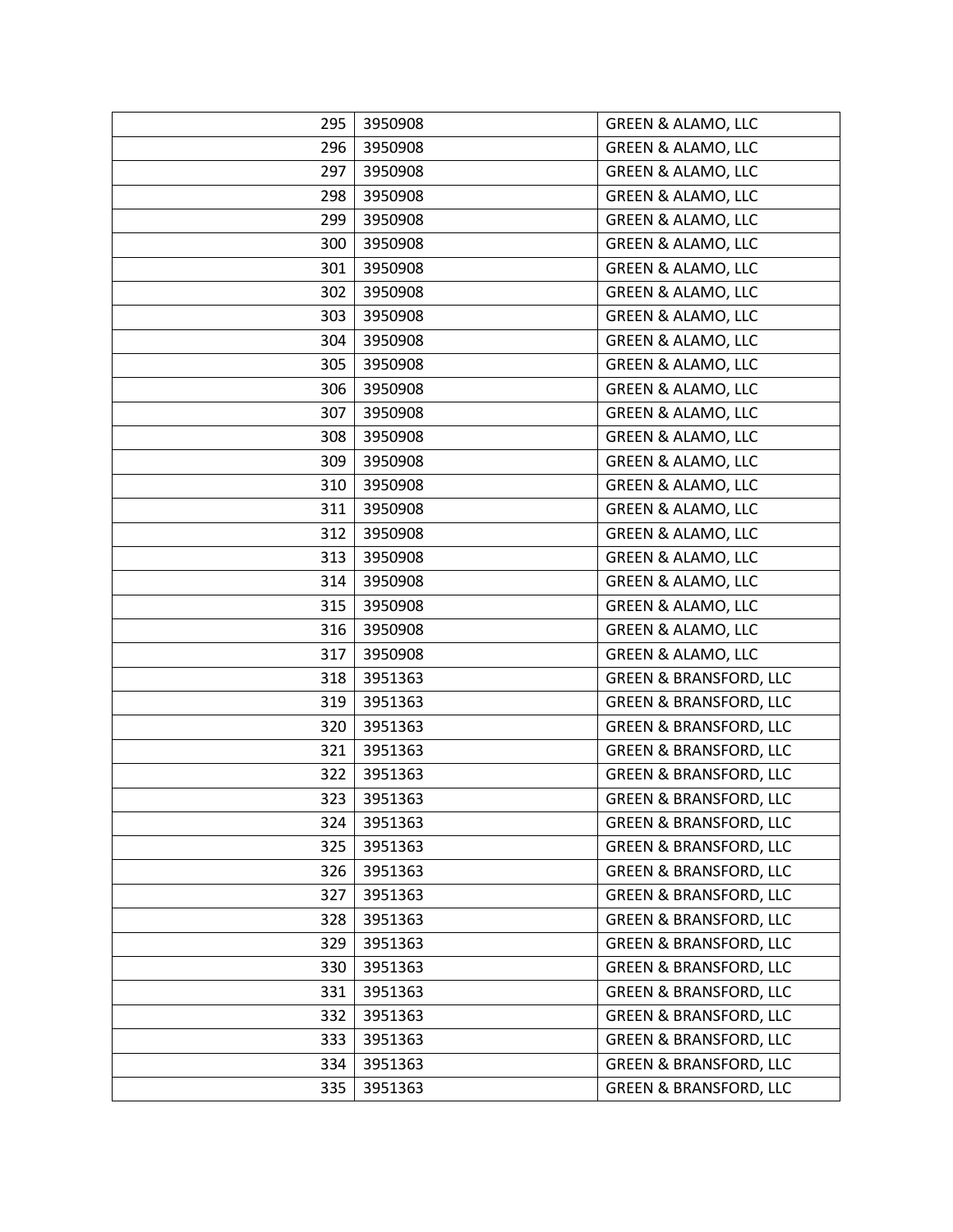| 295 | 3950908 | <b>GREEN &amp; ALAMO, LLC</b>     |
|-----|---------|-----------------------------------|
| 296 | 3950908 | <b>GREEN &amp; ALAMO, LLC</b>     |
| 297 | 3950908 | <b>GREEN &amp; ALAMO, LLC</b>     |
| 298 | 3950908 | GREEN & ALAMO, LLC                |
| 299 | 3950908 | <b>GREEN &amp; ALAMO, LLC</b>     |
| 300 | 3950908 | <b>GREEN &amp; ALAMO, LLC</b>     |
| 301 | 3950908 | <b>GREEN &amp; ALAMO, LLC</b>     |
| 302 | 3950908 | <b>GREEN &amp; ALAMO, LLC</b>     |
| 303 | 3950908 | GREEN & ALAMO, LLC                |
| 304 | 3950908 | <b>GREEN &amp; ALAMO, LLC</b>     |
| 305 | 3950908 | <b>GREEN &amp; ALAMO, LLC</b>     |
| 306 | 3950908 | <b>GREEN &amp; ALAMO, LLC</b>     |
| 307 | 3950908 | <b>GREEN &amp; ALAMO, LLC</b>     |
| 308 | 3950908 | GREEN & ALAMO, LLC                |
| 309 | 3950908 | GREEN & ALAMO, LLC                |
| 310 | 3950908 | <b>GREEN &amp; ALAMO, LLC</b>     |
| 311 | 3950908 | <b>GREEN &amp; ALAMO, LLC</b>     |
| 312 | 3950908 | <b>GREEN &amp; ALAMO, LLC</b>     |
| 313 | 3950908 | <b>GREEN &amp; ALAMO, LLC</b>     |
| 314 | 3950908 | <b>GREEN &amp; ALAMO, LLC</b>     |
| 315 | 3950908 | <b>GREEN &amp; ALAMO, LLC</b>     |
| 316 | 3950908 | <b>GREEN &amp; ALAMO, LLC</b>     |
| 317 | 3950908 | <b>GREEN &amp; ALAMO, LLC</b>     |
| 318 | 3951363 | <b>GREEN &amp; BRANSFORD, LLC</b> |
| 319 | 3951363 | <b>GREEN &amp; BRANSFORD, LLC</b> |
| 320 | 3951363 | <b>GREEN &amp; BRANSFORD, LLC</b> |
| 321 | 3951363 | <b>GREEN &amp; BRANSFORD, LLC</b> |
| 322 | 3951363 | <b>GREEN &amp; BRANSFORD, LLC</b> |
| 323 | 3951363 | <b>GREEN &amp; BRANSFORD, LLC</b> |
| 324 | 3951363 | <b>GREEN &amp; BRANSFORD, LLC</b> |
| 325 | 3951363 | <b>GREEN &amp; BRANSFORD, LLC</b> |
| 326 | 3951363 | <b>GREEN &amp; BRANSFORD, LLC</b> |
| 327 | 3951363 | <b>GREEN &amp; BRANSFORD, LLC</b> |
| 328 | 3951363 | <b>GREEN &amp; BRANSFORD, LLC</b> |
| 329 | 3951363 | <b>GREEN &amp; BRANSFORD, LLC</b> |
| 330 | 3951363 | <b>GREEN &amp; BRANSFORD, LLC</b> |
| 331 | 3951363 | <b>GREEN &amp; BRANSFORD, LLC</b> |
| 332 | 3951363 | <b>GREEN &amp; BRANSFORD, LLC</b> |
| 333 | 3951363 | <b>GREEN &amp; BRANSFORD, LLC</b> |
| 334 | 3951363 | <b>GREEN &amp; BRANSFORD, LLC</b> |
| 335 | 3951363 | <b>GREEN &amp; BRANSFORD, LLC</b> |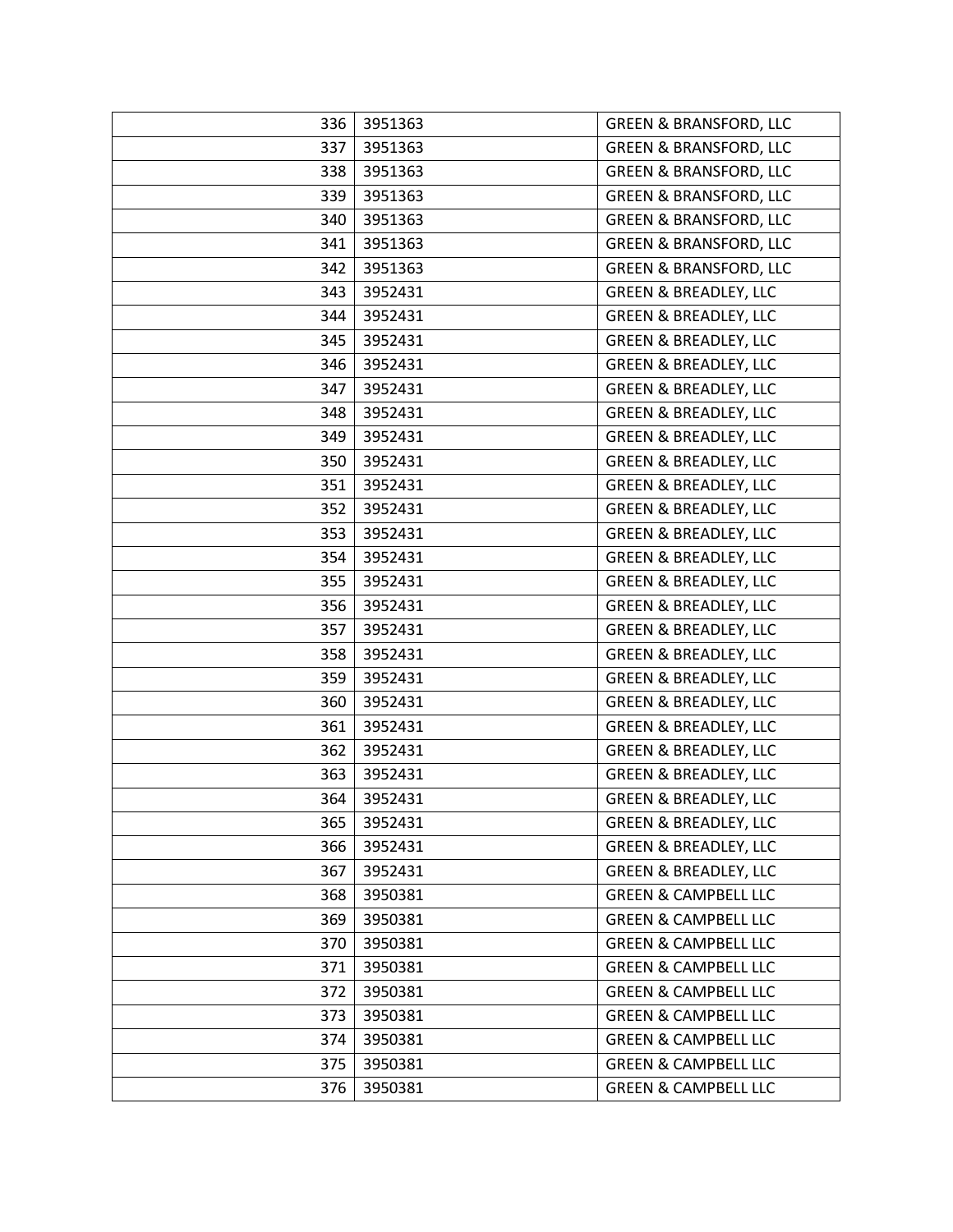| 336 | 3951363 | <b>GREEN &amp; BRANSFORD, LLC</b> |
|-----|---------|-----------------------------------|
| 337 | 3951363 | <b>GREEN &amp; BRANSFORD, LLC</b> |
| 338 | 3951363 | <b>GREEN &amp; BRANSFORD, LLC</b> |
| 339 | 3951363 | <b>GREEN &amp; BRANSFORD, LLC</b> |
| 340 | 3951363 | <b>GREEN &amp; BRANSFORD, LLC</b> |
| 341 | 3951363 | <b>GREEN &amp; BRANSFORD, LLC</b> |
| 342 | 3951363 | <b>GREEN &amp; BRANSFORD, LLC</b> |
| 343 | 3952431 | <b>GREEN &amp; BREADLEY, LLC</b>  |
| 344 | 3952431 | <b>GREEN &amp; BREADLEY, LLC</b>  |
| 345 | 3952431 | <b>GREEN &amp; BREADLEY, LLC</b>  |
| 346 | 3952431 | <b>GREEN &amp; BREADLEY, LLC</b>  |
| 347 | 3952431 | <b>GREEN &amp; BREADLEY, LLC</b>  |
| 348 | 3952431 | <b>GREEN &amp; BREADLEY, LLC</b>  |
| 349 | 3952431 | <b>GREEN &amp; BREADLEY, LLC</b>  |
| 350 | 3952431 | <b>GREEN &amp; BREADLEY, LLC</b>  |
| 351 | 3952431 | <b>GREEN &amp; BREADLEY, LLC</b>  |
| 352 | 3952431 | <b>GREEN &amp; BREADLEY, LLC</b>  |
| 353 | 3952431 | <b>GREEN &amp; BREADLEY, LLC</b>  |
| 354 | 3952431 | <b>GREEN &amp; BREADLEY, LLC</b>  |
| 355 | 3952431 | <b>GREEN &amp; BREADLEY, LLC</b>  |
| 356 | 3952431 | <b>GREEN &amp; BREADLEY, LLC</b>  |
| 357 | 3952431 | <b>GREEN &amp; BREADLEY, LLC</b>  |
| 358 | 3952431 | <b>GREEN &amp; BREADLEY, LLC</b>  |
| 359 | 3952431 | <b>GREEN &amp; BREADLEY, LLC</b>  |
| 360 | 3952431 | <b>GREEN &amp; BREADLEY, LLC</b>  |
| 361 | 3952431 | <b>GREEN &amp; BREADLEY, LLC</b>  |
| 362 | 3952431 | <b>GREEN &amp; BREADLEY, LLC</b>  |
| 363 | 3952431 | <b>GREEN &amp; BREADLEY, LLC</b>  |
| 364 | 3952431 | <b>GREEN &amp; BREADLEY, LLC</b>  |
| 365 | 3952431 | <b>GREEN &amp; BREADLEY, LLC</b>  |
| 366 | 3952431 | <b>GREEN &amp; BREADLEY, LLC</b>  |
| 367 | 3952431 | <b>GREEN &amp; BREADLEY, LLC</b>  |
| 368 | 3950381 | <b>GREEN &amp; CAMPBELL LLC</b>   |
| 369 | 3950381 | <b>GREEN &amp; CAMPBELL LLC</b>   |
| 370 | 3950381 | <b>GREEN &amp; CAMPBELL LLC</b>   |
| 371 | 3950381 | <b>GREEN &amp; CAMPBELL LLC</b>   |
| 372 | 3950381 | <b>GREEN &amp; CAMPBELL LLC</b>   |
| 373 | 3950381 | <b>GREEN &amp; CAMPBELL LLC</b>   |
| 374 | 3950381 | <b>GREEN &amp; CAMPBELL LLC</b>   |
| 375 | 3950381 | <b>GREEN &amp; CAMPBELL LLC</b>   |
| 376 | 3950381 | <b>GREEN &amp; CAMPBELL LLC</b>   |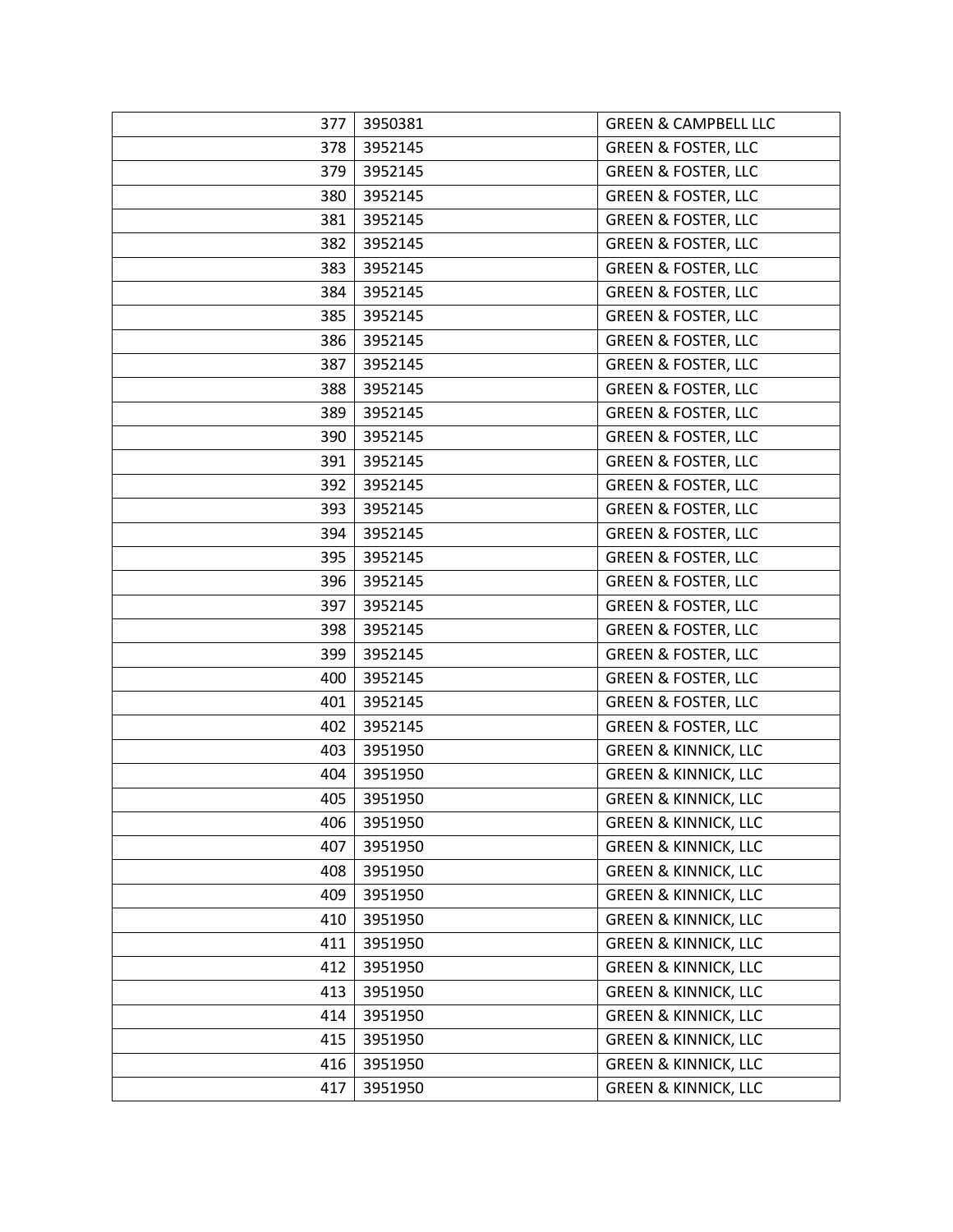| 377 | 3950381 | <b>GREEN &amp; CAMPBELL LLC</b> |
|-----|---------|---------------------------------|
| 378 | 3952145 | <b>GREEN &amp; FOSTER, LLC</b>  |
| 379 | 3952145 | <b>GREEN &amp; FOSTER, LLC</b>  |
| 380 | 3952145 | <b>GREEN &amp; FOSTER, LLC</b>  |
| 381 | 3952145 | <b>GREEN &amp; FOSTER, LLC</b>  |
| 382 | 3952145 | <b>GREEN &amp; FOSTER, LLC</b>  |
| 383 | 3952145 | <b>GREEN &amp; FOSTER, LLC</b>  |
| 384 | 3952145 | <b>GREEN &amp; FOSTER, LLC</b>  |
| 385 | 3952145 | <b>GREEN &amp; FOSTER, LLC</b>  |
| 386 | 3952145 | <b>GREEN &amp; FOSTER, LLC</b>  |
| 387 | 3952145 | <b>GREEN &amp; FOSTER, LLC</b>  |
| 388 | 3952145 | <b>GREEN &amp; FOSTER, LLC</b>  |
| 389 | 3952145 | <b>GREEN &amp; FOSTER, LLC</b>  |
| 390 | 3952145 | <b>GREEN &amp; FOSTER, LLC</b>  |
| 391 | 3952145 | <b>GREEN &amp; FOSTER, LLC</b>  |
| 392 | 3952145 | <b>GREEN &amp; FOSTER, LLC</b>  |
| 393 | 3952145 | <b>GREEN &amp; FOSTER, LLC</b>  |
| 394 | 3952145 | <b>GREEN &amp; FOSTER, LLC</b>  |
| 395 | 3952145 | <b>GREEN &amp; FOSTER, LLC</b>  |
| 396 | 3952145 | <b>GREEN &amp; FOSTER, LLC</b>  |
| 397 | 3952145 | <b>GREEN &amp; FOSTER, LLC</b>  |
| 398 | 3952145 | <b>GREEN &amp; FOSTER, LLC</b>  |
| 399 | 3952145 | <b>GREEN &amp; FOSTER, LLC</b>  |
| 400 | 3952145 | <b>GREEN &amp; FOSTER, LLC</b>  |
| 401 | 3952145 | <b>GREEN &amp; FOSTER, LLC</b>  |
| 402 | 3952145 | <b>GREEN &amp; FOSTER, LLC</b>  |
| 403 | 3951950 | <b>GREEN &amp; KINNICK, LLC</b> |
| 404 | 3951950 | <b>GREEN &amp; KINNICK, LLC</b> |
| 405 | 3951950 | <b>GREEN &amp; KINNICK, LLC</b> |
| 406 | 3951950 | <b>GREEN &amp; KINNICK, LLC</b> |
| 407 | 3951950 | <b>GREEN &amp; KINNICK, LLC</b> |
| 408 | 3951950 | <b>GREEN &amp; KINNICK, LLC</b> |
| 409 | 3951950 | <b>GREEN &amp; KINNICK, LLC</b> |
| 410 | 3951950 | <b>GREEN &amp; KINNICK, LLC</b> |
| 411 | 3951950 | <b>GREEN &amp; KINNICK, LLC</b> |
| 412 | 3951950 | <b>GREEN &amp; KINNICK, LLC</b> |
| 413 | 3951950 | <b>GREEN &amp; KINNICK, LLC</b> |
| 414 | 3951950 | <b>GREEN &amp; KINNICK, LLC</b> |
| 415 | 3951950 | <b>GREEN &amp; KINNICK, LLC</b> |
| 416 | 3951950 | <b>GREEN &amp; KINNICK, LLC</b> |
| 417 | 3951950 | <b>GREEN &amp; KINNICK, LLC</b> |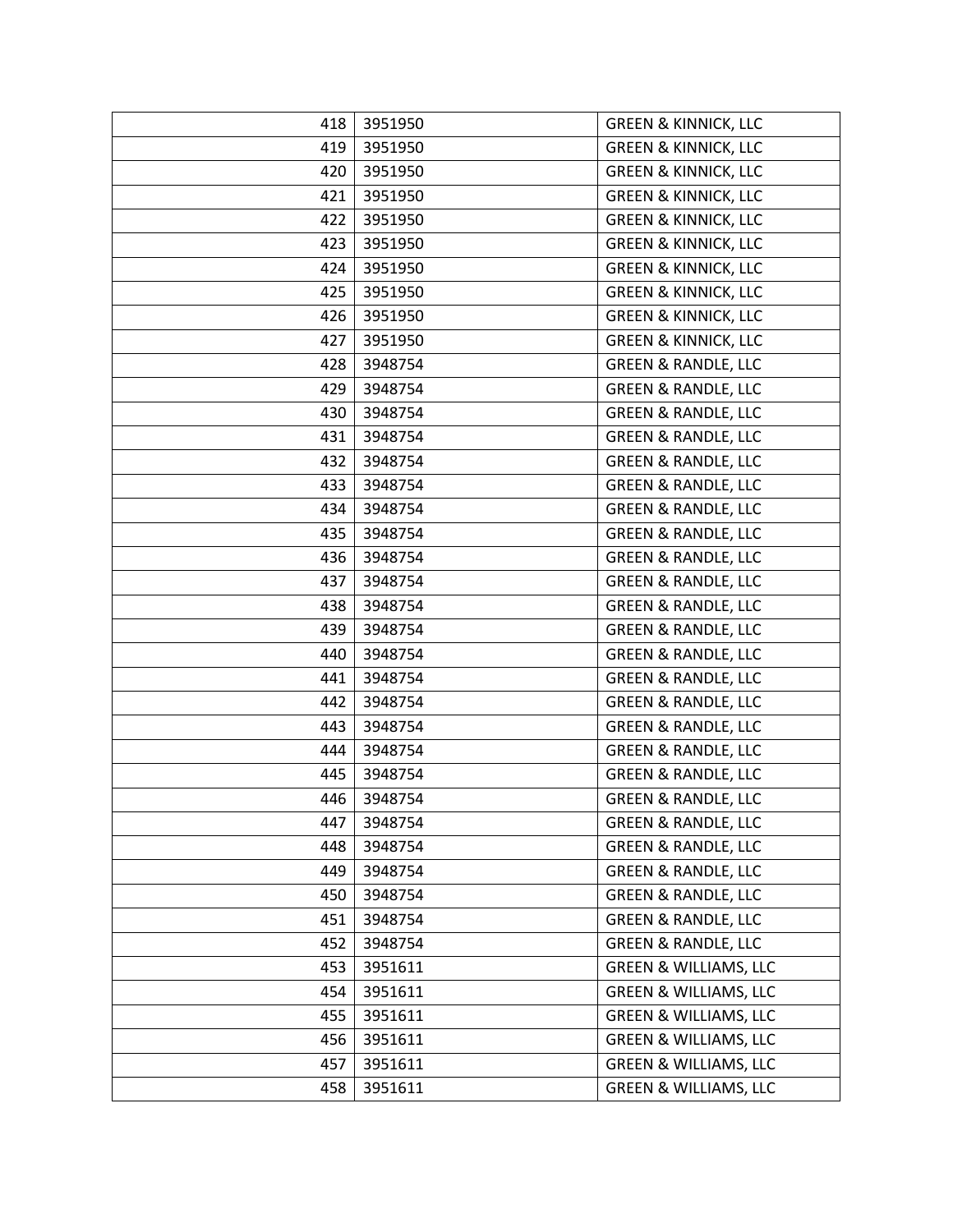| 418 | 3951950 | <b>GREEN &amp; KINNICK, LLC</b>  |
|-----|---------|----------------------------------|
| 419 | 3951950 | <b>GREEN &amp; KINNICK, LLC</b>  |
| 420 | 3951950 | <b>GREEN &amp; KINNICK, LLC</b>  |
| 421 | 3951950 | <b>GREEN &amp; KINNICK, LLC</b>  |
| 422 | 3951950 | <b>GREEN &amp; KINNICK, LLC</b>  |
| 423 | 3951950 | <b>GREEN &amp; KINNICK, LLC</b>  |
| 424 | 3951950 | <b>GREEN &amp; KINNICK, LLC</b>  |
| 425 | 3951950 | <b>GREEN &amp; KINNICK, LLC</b>  |
| 426 | 3951950 | <b>GREEN &amp; KINNICK, LLC</b>  |
| 427 | 3951950 | <b>GREEN &amp; KINNICK, LLC</b>  |
| 428 | 3948754 | <b>GREEN &amp; RANDLE, LLC</b>   |
| 429 | 3948754 | <b>GREEN &amp; RANDLE, LLC</b>   |
| 430 | 3948754 | <b>GREEN &amp; RANDLE, LLC</b>   |
| 431 | 3948754 | <b>GREEN &amp; RANDLE, LLC</b>   |
| 432 | 3948754 | <b>GREEN &amp; RANDLE, LLC</b>   |
| 433 | 3948754 | <b>GREEN &amp; RANDLE, LLC</b>   |
| 434 | 3948754 | <b>GREEN &amp; RANDLE, LLC</b>   |
| 435 | 3948754 | <b>GREEN &amp; RANDLE, LLC</b>   |
| 436 | 3948754 | <b>GREEN &amp; RANDLE, LLC</b>   |
| 437 | 3948754 | <b>GREEN &amp; RANDLE, LLC</b>   |
| 438 | 3948754 | <b>GREEN &amp; RANDLE, LLC</b>   |
| 439 | 3948754 | <b>GREEN &amp; RANDLE, LLC</b>   |
| 440 | 3948754 | <b>GREEN &amp; RANDLE, LLC</b>   |
| 441 | 3948754 | <b>GREEN &amp; RANDLE, LLC</b>   |
| 442 | 3948754 | <b>GREEN &amp; RANDLE, LLC</b>   |
| 443 | 3948754 | <b>GREEN &amp; RANDLE, LLC</b>   |
| 444 | 3948754 | <b>GREEN &amp; RANDLE, LLC</b>   |
| 445 | 3948754 | <b>GREEN &amp; RANDLE, LLC</b>   |
| 446 | 3948754 | <b>GREEN &amp; RANDLE, LLC</b>   |
| 447 | 3948754 | <b>GREEN &amp; RANDLE, LLC</b>   |
| 448 | 3948754 | <b>GREEN &amp; RANDLE, LLC</b>   |
| 449 | 3948754 | <b>GREEN &amp; RANDLE, LLC</b>   |
| 450 | 3948754 | <b>GREEN &amp; RANDLE, LLC</b>   |
| 451 | 3948754 | <b>GREEN &amp; RANDLE, LLC</b>   |
| 452 | 3948754 | <b>GREEN &amp; RANDLE, LLC</b>   |
| 453 | 3951611 | <b>GREEN &amp; WILLIAMS, LLC</b> |
| 454 | 3951611 | <b>GREEN &amp; WILLIAMS, LLC</b> |
| 455 | 3951611 | <b>GREEN &amp; WILLIAMS, LLC</b> |
| 456 | 3951611 | <b>GREEN &amp; WILLIAMS, LLC</b> |
| 457 | 3951611 | <b>GREEN &amp; WILLIAMS, LLC</b> |
| 458 | 3951611 | <b>GREEN &amp; WILLIAMS, LLC</b> |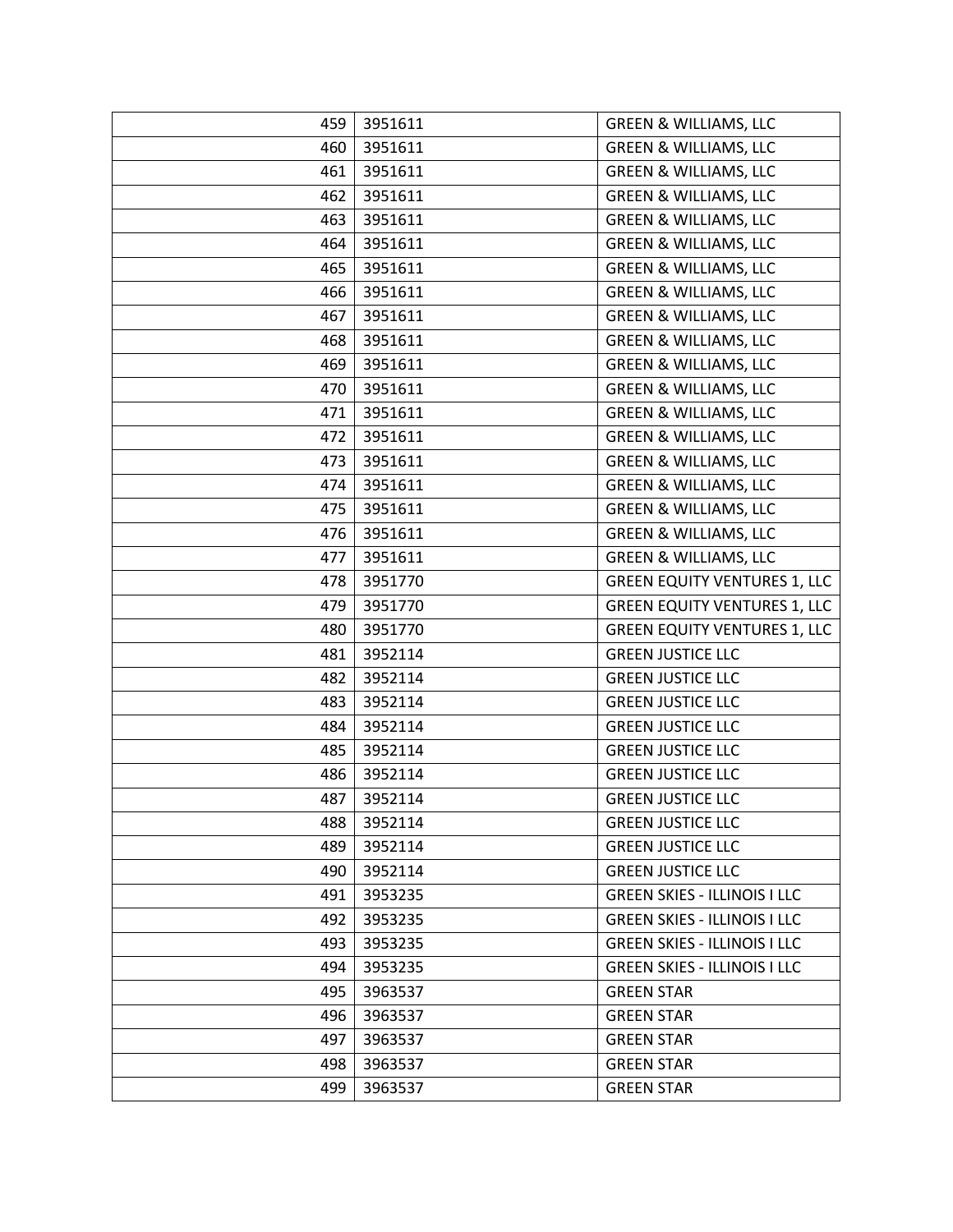| 459 | 3951611 | <b>GREEN &amp; WILLIAMS, LLC</b>    |
|-----|---------|-------------------------------------|
| 460 | 3951611 | <b>GREEN &amp; WILLIAMS, LLC</b>    |
| 461 | 3951611 | <b>GREEN &amp; WILLIAMS, LLC</b>    |
| 462 | 3951611 | <b>GREEN &amp; WILLIAMS, LLC</b>    |
| 463 | 3951611 | <b>GREEN &amp; WILLIAMS, LLC</b>    |
| 464 | 3951611 | <b>GREEN &amp; WILLIAMS, LLC</b>    |
| 465 | 3951611 | <b>GREEN &amp; WILLIAMS, LLC</b>    |
| 466 | 3951611 | <b>GREEN &amp; WILLIAMS, LLC</b>    |
| 467 | 3951611 | <b>GREEN &amp; WILLIAMS, LLC</b>    |
| 468 | 3951611 | <b>GREEN &amp; WILLIAMS, LLC</b>    |
| 469 | 3951611 | <b>GREEN &amp; WILLIAMS, LLC</b>    |
| 470 | 3951611 | <b>GREEN &amp; WILLIAMS, LLC</b>    |
| 471 | 3951611 | <b>GREEN &amp; WILLIAMS, LLC</b>    |
| 472 | 3951611 | <b>GREEN &amp; WILLIAMS, LLC</b>    |
| 473 | 3951611 | <b>GREEN &amp; WILLIAMS, LLC</b>    |
| 474 | 3951611 | <b>GREEN &amp; WILLIAMS, LLC</b>    |
| 475 | 3951611 | <b>GREEN &amp; WILLIAMS, LLC</b>    |
| 476 | 3951611 | <b>GREEN &amp; WILLIAMS, LLC</b>    |
| 477 | 3951611 | <b>GREEN &amp; WILLIAMS, LLC</b>    |
| 478 | 3951770 | <b>GREEN EQUITY VENTURES 1, LLC</b> |
| 479 | 3951770 | <b>GREEN EQUITY VENTURES 1, LLC</b> |
| 480 | 3951770 | <b>GREEN EQUITY VENTURES 1, LLC</b> |
| 481 | 3952114 | <b>GREEN JUSTICE LLC</b>            |
| 482 | 3952114 | <b>GREEN JUSTICE LLC</b>            |
| 483 | 3952114 | <b>GREEN JUSTICE LLC</b>            |
| 484 | 3952114 | <b>GREEN JUSTICE LLC</b>            |
| 485 | 3952114 | <b>GREEN JUSTICE LLC</b>            |
| 486 | 3952114 | <b>GREEN JUSTICE LLC</b>            |
| 487 | 3952114 | <b>GREEN JUSTICE LLC</b>            |
| 488 | 3952114 | <b>GREEN JUSTICE LLC</b>            |
| 489 | 3952114 | <b>GREEN JUSTICE LLC</b>            |
| 490 | 3952114 | <b>GREEN JUSTICE LLC</b>            |
| 491 | 3953235 | <b>GREEN SKIES - ILLINOIS I LLC</b> |
| 492 | 3953235 | <b>GREEN SKIES - ILLINOIS I LLC</b> |
| 493 | 3953235 | <b>GREEN SKIES - ILLINOIS I LLC</b> |
| 494 | 3953235 | <b>GREEN SKIES - ILLINOIS I LLC</b> |
| 495 | 3963537 | <b>GREEN STAR</b>                   |
| 496 | 3963537 | <b>GREEN STAR</b>                   |
| 497 | 3963537 | <b>GREEN STAR</b>                   |
| 498 | 3963537 | <b>GREEN STAR</b>                   |
| 499 | 3963537 | <b>GREEN STAR</b>                   |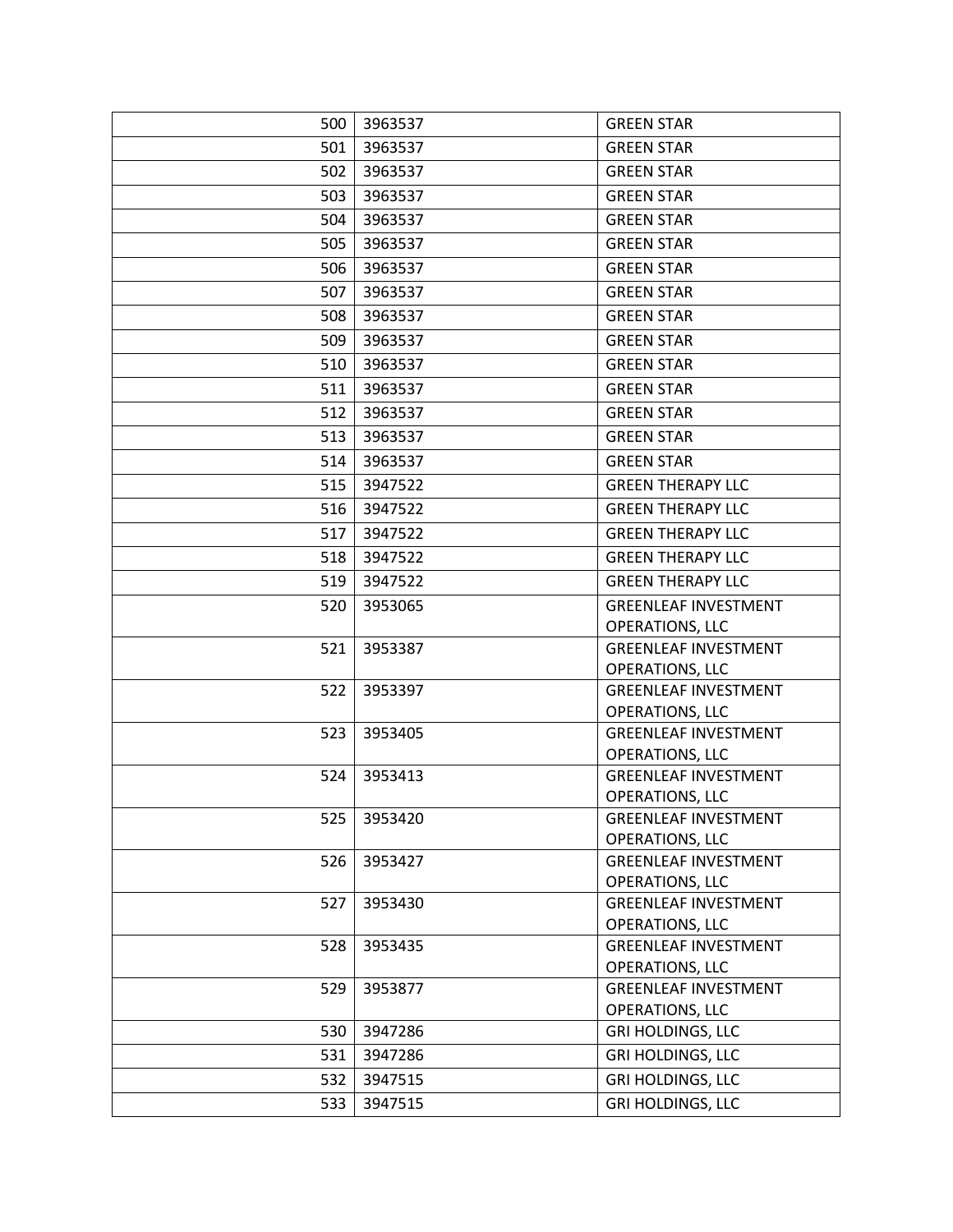| 500 | 3963537 | <b>GREEN STAR</b>                              |
|-----|---------|------------------------------------------------|
| 501 | 3963537 | <b>GREEN STAR</b>                              |
| 502 | 3963537 | <b>GREEN STAR</b>                              |
| 503 | 3963537 | <b>GREEN STAR</b>                              |
| 504 | 3963537 | <b>GREEN STAR</b>                              |
| 505 | 3963537 | <b>GREEN STAR</b>                              |
| 506 | 3963537 | <b>GREEN STAR</b>                              |
| 507 | 3963537 | <b>GREEN STAR</b>                              |
| 508 | 3963537 | <b>GREEN STAR</b>                              |
| 509 | 3963537 | <b>GREEN STAR</b>                              |
| 510 | 3963537 | <b>GREEN STAR</b>                              |
| 511 | 3963537 | <b>GREEN STAR</b>                              |
| 512 | 3963537 | <b>GREEN STAR</b>                              |
| 513 | 3963537 | <b>GREEN STAR</b>                              |
| 514 | 3963537 | <b>GREEN STAR</b>                              |
| 515 | 3947522 | <b>GREEN THERAPY LLC</b>                       |
| 516 | 3947522 | <b>GREEN THERAPY LLC</b>                       |
| 517 | 3947522 | <b>GREEN THERAPY LLC</b>                       |
| 518 | 3947522 | <b>GREEN THERAPY LLC</b>                       |
| 519 | 3947522 | <b>GREEN THERAPY LLC</b>                       |
| 520 | 3953065 | <b>GREENLEAF INVESTMENT</b>                    |
|     |         | OPERATIONS, LLC                                |
| 521 | 3953387 | <b>GREENLEAF INVESTMENT</b>                    |
|     |         | OPERATIONS, LLC                                |
| 522 | 3953397 | <b>GREENLEAF INVESTMENT</b>                    |
|     |         | OPERATIONS, LLC<br><b>GREENLEAF INVESTMENT</b> |
| 523 | 3953405 | OPERATIONS, LLC                                |
| 524 | 3953413 | <b>GREENLEAF INVESTMENT</b>                    |
|     |         | OPERATIONS, LLC                                |
| 525 | 3953420 | <b>GREENLEAF INVESTMENT</b>                    |
|     |         | OPERATIONS, LLC                                |
| 526 | 3953427 | <b>GREENLEAF INVESTMENT</b>                    |
|     |         | OPERATIONS, LLC                                |
| 527 | 3953430 | <b>GREENLEAF INVESTMENT</b>                    |
|     |         | OPERATIONS, LLC                                |
| 528 | 3953435 | <b>GREENLEAF INVESTMENT</b><br>OPERATIONS, LLC |
| 529 | 3953877 | <b>GREENLEAF INVESTMENT</b>                    |
|     |         | <b>OPERATIONS, LLC</b>                         |
| 530 | 3947286 | <b>GRI HOLDINGS, LLC</b>                       |
| 531 | 3947286 | <b>GRI HOLDINGS, LLC</b>                       |
| 532 | 3947515 | <b>GRI HOLDINGS, LLC</b>                       |
| 533 | 3947515 | <b>GRI HOLDINGS, LLC</b>                       |
|     |         |                                                |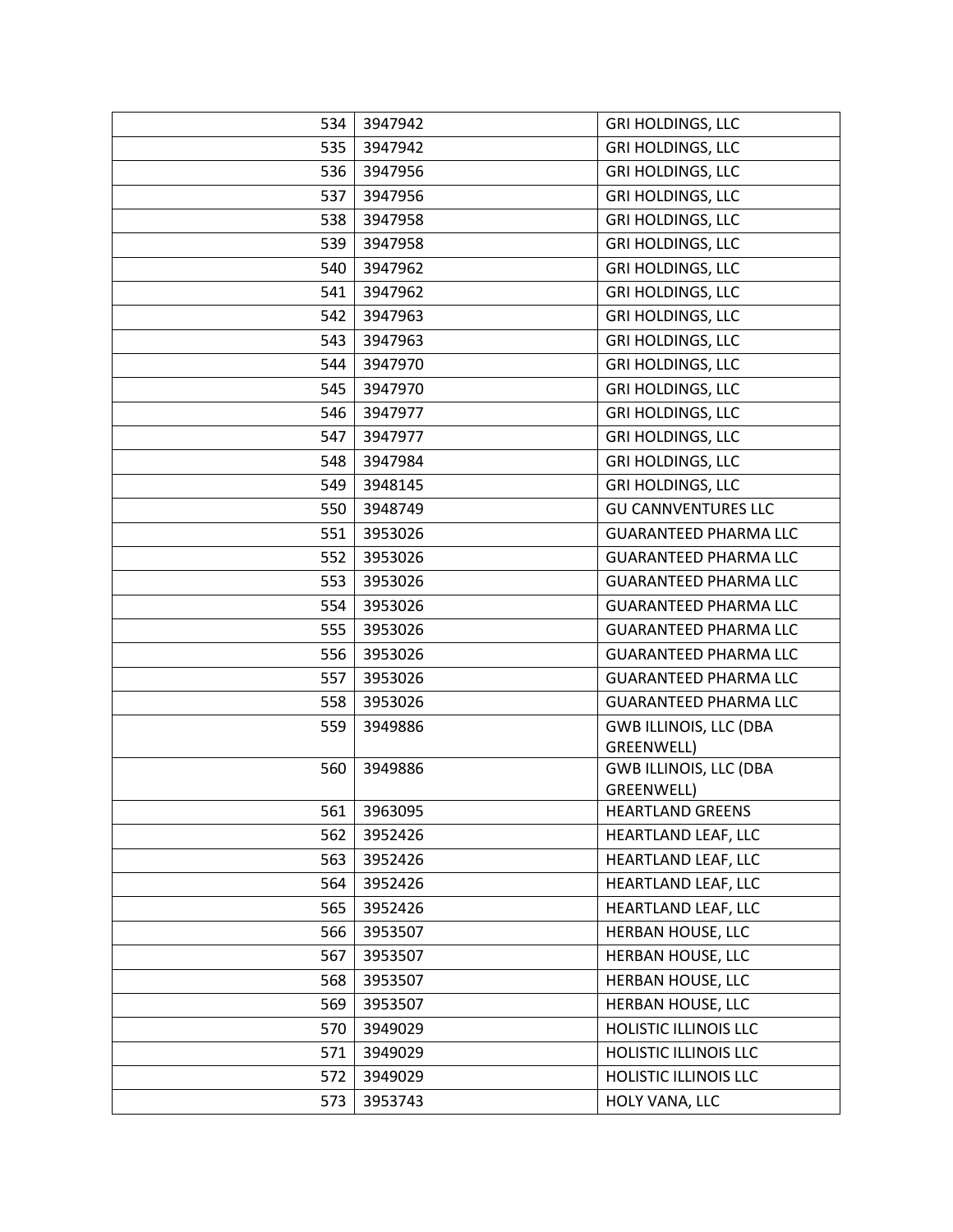| 534 | 3947942     | <b>GRI HOLDINGS, LLC</b>                    |
|-----|-------------|---------------------------------------------|
| 535 | 3947942     | <b>GRI HOLDINGS, LLC</b>                    |
| 536 | 3947956     | <b>GRI HOLDINGS, LLC</b>                    |
| 537 | 3947956     | <b>GRI HOLDINGS, LLC</b>                    |
| 538 | 3947958     | <b>GRI HOLDINGS, LLC</b>                    |
| 539 | 3947958     | <b>GRI HOLDINGS, LLC</b>                    |
| 540 | 3947962     | <b>GRI HOLDINGS, LLC</b>                    |
| 541 | 3947962     | <b>GRI HOLDINGS, LLC</b>                    |
| 542 | 3947963     | <b>GRI HOLDINGS, LLC</b>                    |
| 543 | 3947963     | <b>GRI HOLDINGS, LLC</b>                    |
| 544 | 3947970     | <b>GRI HOLDINGS, LLC</b>                    |
| 545 | 3947970     | <b>GRI HOLDINGS, LLC</b>                    |
| 546 | 3947977     | <b>GRI HOLDINGS, LLC</b>                    |
| 547 | 3947977     | <b>GRI HOLDINGS, LLC</b>                    |
| 548 | 3947984     | <b>GRI HOLDINGS, LLC</b>                    |
| 549 | 3948145     | <b>GRI HOLDINGS, LLC</b>                    |
| 550 | 3948749     | <b>GU CANNVENTURES LLC</b>                  |
| 551 | 3953026     | <b>GUARANTEED PHARMA LLC</b>                |
| 552 | 3953026     | <b>GUARANTEED PHARMA LLC</b>                |
| 553 | 3953026     | <b>GUARANTEED PHARMA LLC</b>                |
| 554 | 3953026     | <b>GUARANTEED PHARMA LLC</b>                |
| 555 | 3953026     | <b>GUARANTEED PHARMA LLC</b>                |
| 556 | 3953026     | <b>GUARANTEED PHARMA LLC</b>                |
| 557 | 3953026     | <b>GUARANTEED PHARMA LLC</b>                |
| 558 | 3953026     | <b>GUARANTEED PHARMA LLC</b>                |
| 559 | 3949886     | <b>GWB ILLINOIS, LLC (DBA</b><br>GREENWELL) |
| 560 | 3949886     | <b>GWB ILLINOIS, LLC (DBA</b>               |
|     |             | GREENWELL)                                  |
|     | 561 3963095 | <b>HEARTLAND GREENS</b>                     |
| 562 | 3952426     | HEARTLAND LEAF, LLC                         |
| 563 | 3952426     | HEARTLAND LEAF, LLC                         |
| 564 | 3952426     | HEARTLAND LEAF, LLC                         |
| 565 | 3952426     | HEARTLAND LEAF, LLC                         |
| 566 | 3953507     | HERBAN HOUSE, LLC                           |
| 567 | 3953507     | HERBAN HOUSE, LLC                           |
| 568 | 3953507     | HERBAN HOUSE, LLC                           |
| 569 | 3953507     | HERBAN HOUSE, LLC                           |
| 570 | 3949029     | HOLISTIC ILLINOIS LLC                       |
| 571 | 3949029     | HOLISTIC ILLINOIS LLC                       |
| 572 | 3949029     | HOLISTIC ILLINOIS LLC                       |
| 573 | 3953743     | HOLY VANA, LLC                              |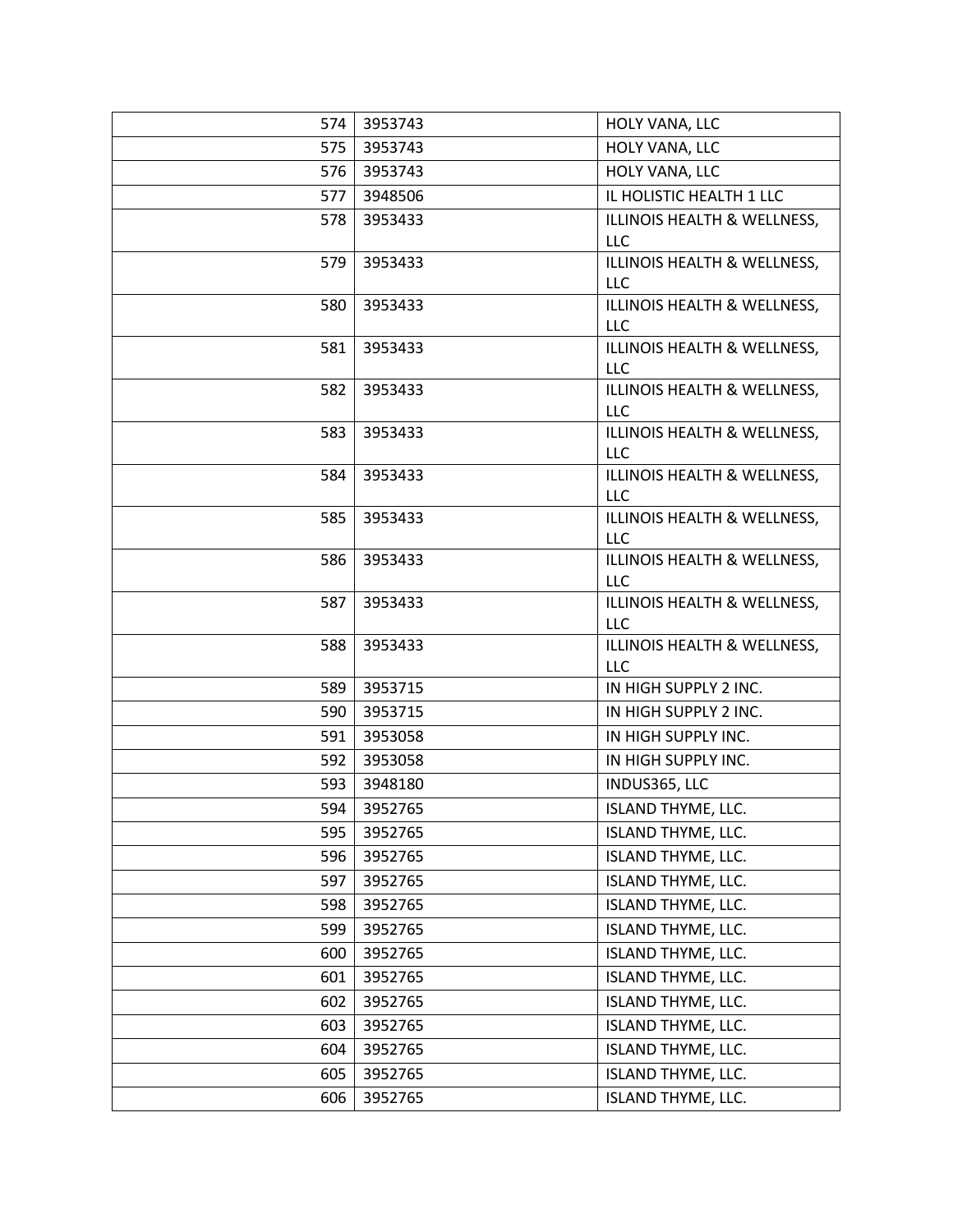| 574 | 3953743 | HOLY VANA, LLC                            |
|-----|---------|-------------------------------------------|
| 575 | 3953743 | HOLY VANA, LLC                            |
| 576 | 3953743 | HOLY VANA, LLC                            |
| 577 | 3948506 | IL HOLISTIC HEALTH 1 LLC                  |
| 578 | 3953433 | ILLINOIS HEALTH & WELLNESS,<br><b>LLC</b> |
| 579 | 3953433 | ILLINOIS HEALTH & WELLNESS,<br>LLC        |
| 580 | 3953433 | ILLINOIS HEALTH & WELLNESS,<br><b>LLC</b> |
| 581 | 3953433 | ILLINOIS HEALTH & WELLNESS,<br>LLC        |
| 582 | 3953433 | ILLINOIS HEALTH & WELLNESS,<br>LLC        |
| 583 | 3953433 | ILLINOIS HEALTH & WELLNESS,<br><b>LLC</b> |
| 584 | 3953433 | ILLINOIS HEALTH & WELLNESS,<br>LLC        |
| 585 | 3953433 | ILLINOIS HEALTH & WELLNESS,<br><b>LLC</b> |
| 586 | 3953433 | ILLINOIS HEALTH & WELLNESS,<br>LLC        |
| 587 | 3953433 | ILLINOIS HEALTH & WELLNESS,<br><b>LLC</b> |
| 588 | 3953433 | ILLINOIS HEALTH & WELLNESS,<br>LLC        |
| 589 | 3953715 | IN HIGH SUPPLY 2 INC.                     |
| 590 | 3953715 | IN HIGH SUPPLY 2 INC.                     |
| 591 | 3953058 | IN HIGH SUPPLY INC.                       |
| 592 | 3953058 | IN HIGH SUPPLY INC.                       |
| 593 | 3948180 | INDUS365, LLC                             |
| 594 | 3952765 | ISLAND THYME, LLC.                        |
| 595 | 3952765 | ISLAND THYME, LLC.                        |
| 596 | 3952765 | <b>ISLAND THYME, LLC.</b>                 |
| 597 | 3952765 | <b>ISLAND THYME, LLC.</b>                 |
| 598 | 3952765 | <b>ISLAND THYME, LLC.</b>                 |
| 599 | 3952765 | <b>ISLAND THYME, LLC.</b>                 |
| 600 | 3952765 | <b>ISLAND THYME, LLC.</b>                 |
| 601 | 3952765 | <b>ISLAND THYME, LLC.</b>                 |
| 602 | 3952765 | <b>ISLAND THYME, LLC.</b>                 |
| 603 | 3952765 | <b>ISLAND THYME, LLC.</b>                 |
| 604 | 3952765 | ISLAND THYME, LLC.                        |
| 605 | 3952765 | <b>ISLAND THYME, LLC.</b>                 |
| 606 | 3952765 | <b>ISLAND THYME, LLC.</b>                 |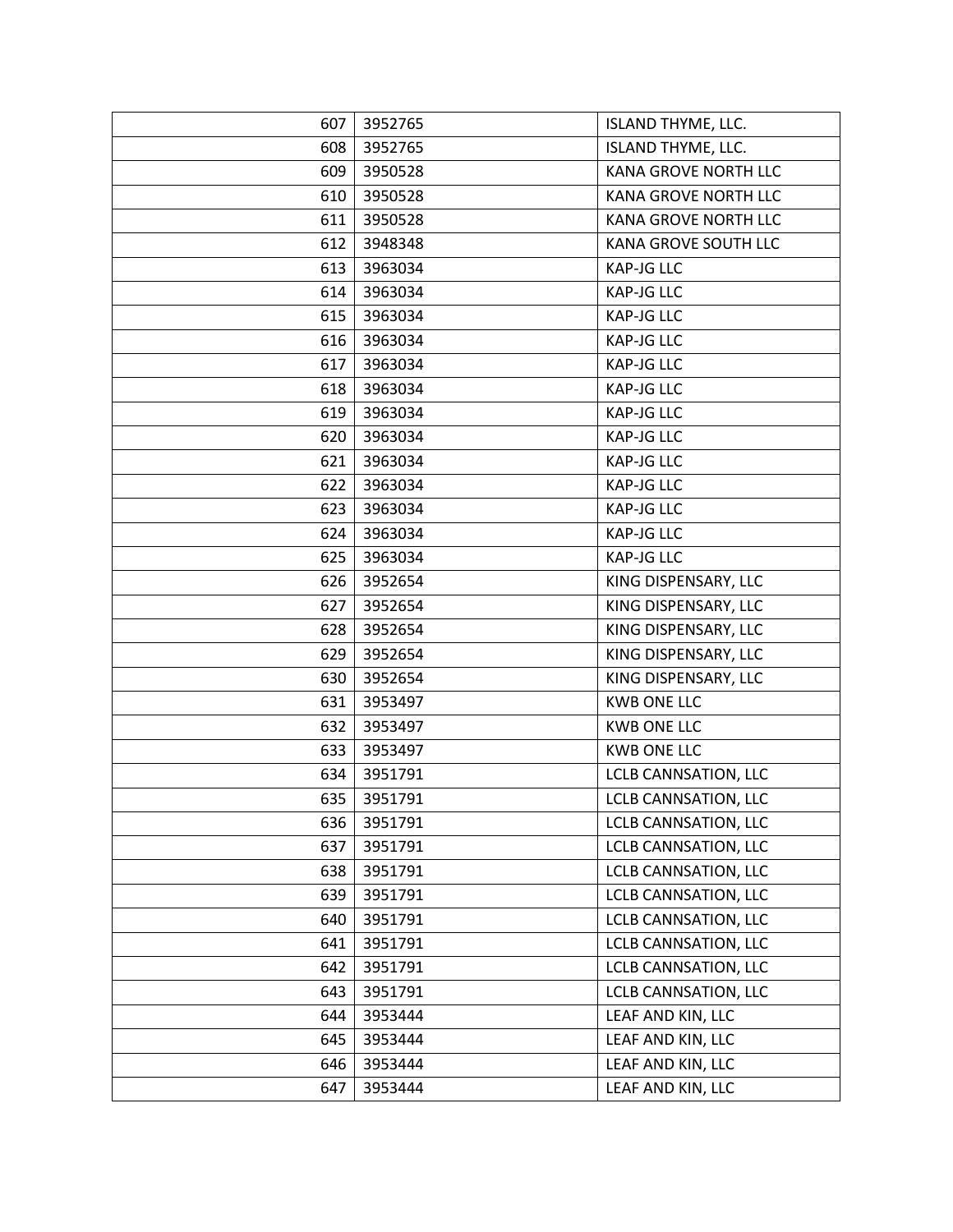| 607 | 3952765 | ISLAND THYME, LLC.          |
|-----|---------|-----------------------------|
| 608 | 3952765 | <b>ISLAND THYME, LLC.</b>   |
| 609 | 3950528 | <b>KANA GROVE NORTH LLC</b> |
| 610 | 3950528 | KANA GROVE NORTH LLC        |
| 611 | 3950528 | KANA GROVE NORTH LLC        |
| 612 | 3948348 | KANA GROVE SOUTH LLC        |
| 613 | 3963034 | <b>KAP-JG LLC</b>           |
| 614 | 3963034 | <b>KAP-JG LLC</b>           |
| 615 | 3963034 | <b>KAP-JG LLC</b>           |
| 616 | 3963034 | <b>KAP-JG LLC</b>           |
| 617 | 3963034 | <b>KAP-JG LLC</b>           |
| 618 | 3963034 | <b>KAP-JG LLC</b>           |
| 619 | 3963034 | <b>KAP-JG LLC</b>           |
| 620 | 3963034 | <b>KAP-JG LLC</b>           |
| 621 | 3963034 | <b>KAP-JG LLC</b>           |
| 622 | 3963034 | <b>KAP-JG LLC</b>           |
| 623 | 3963034 | <b>KAP-JG LLC</b>           |
| 624 | 3963034 | <b>KAP-JG LLC</b>           |
| 625 | 3963034 | <b>KAP-JG LLC</b>           |
| 626 | 3952654 | KING DISPENSARY, LLC        |
| 627 | 3952654 | KING DISPENSARY, LLC        |
| 628 | 3952654 | KING DISPENSARY, LLC        |
| 629 | 3952654 | KING DISPENSARY, LLC        |
| 630 | 3952654 | KING DISPENSARY, LLC        |
| 631 | 3953497 | <b>KWB ONE LLC</b>          |
| 632 | 3953497 | <b>KWB ONE LLC</b>          |
| 633 | 3953497 | <b>KWB ONE LLC</b>          |
| 634 | 3951791 | LCLB CANNSATION, LLC        |
| 635 | 3951791 | LCLB CANNSATION, LLC        |
| 636 | 3951791 | LCLB CANNSATION, LLC        |
| 637 | 3951791 | LCLB CANNSATION, LLC        |
| 638 | 3951791 | LCLB CANNSATION, LLC        |
| 639 | 3951791 | LCLB CANNSATION, LLC        |
| 640 | 3951791 | LCLB CANNSATION, LLC        |
| 641 | 3951791 | <b>LCLB CANNSATION, LLC</b> |
| 642 | 3951791 | LCLB CANNSATION, LLC        |
| 643 | 3951791 | LCLB CANNSATION, LLC        |
| 644 | 3953444 | LEAF AND KIN, LLC           |
| 645 | 3953444 | LEAF AND KIN, LLC           |
| 646 | 3953444 | LEAF AND KIN, LLC           |
| 647 | 3953444 | LEAF AND KIN, LLC           |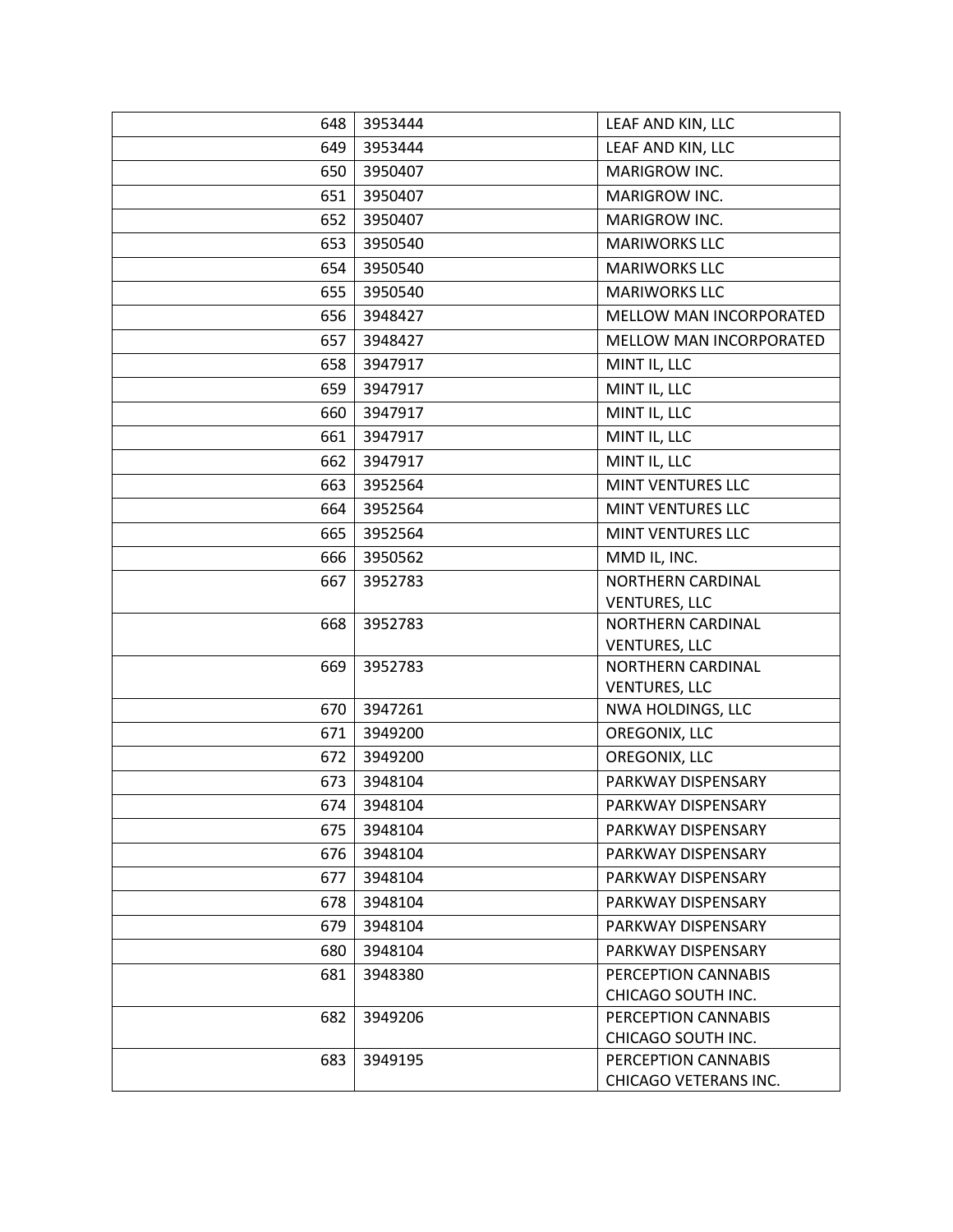| 648 | 3953444 | LEAF AND KIN, LLC                            |
|-----|---------|----------------------------------------------|
| 649 | 3953444 | LEAF AND KIN, LLC                            |
| 650 | 3950407 | MARIGROW INC.                                |
| 651 | 3950407 | MARIGROW INC.                                |
| 652 | 3950407 | MARIGROW INC.                                |
| 653 | 3950540 | <b>MARIWORKS LLC</b>                         |
| 654 | 3950540 | <b>MARIWORKS LLC</b>                         |
| 655 | 3950540 | <b>MARIWORKS LLC</b>                         |
| 656 | 3948427 | MELLOW MAN INCORPORATED                      |
| 657 | 3948427 | MELLOW MAN INCORPORATED                      |
| 658 | 3947917 | MINT IL, LLC                                 |
| 659 | 3947917 | MINT IL, LLC                                 |
| 660 | 3947917 | MINT IL, LLC                                 |
| 661 | 3947917 | MINT IL, LLC                                 |
| 662 | 3947917 | MINT IL, LLC                                 |
| 663 | 3952564 | MINT VENTURES LLC                            |
| 664 | 3952564 | MINT VENTURES LLC                            |
| 665 | 3952564 | MINT VENTURES LLC                            |
| 666 | 3950562 | MMD IL, INC.                                 |
| 667 | 3952783 | NORTHERN CARDINAL<br><b>VENTURES, LLC</b>    |
| 668 | 3952783 | NORTHERN CARDINAL                            |
|     |         | <b>VENTURES, LLC</b>                         |
| 669 | 3952783 | NORTHERN CARDINAL<br><b>VENTURES, LLC</b>    |
| 670 | 3947261 | NWA HOLDINGS, LLC                            |
| 671 | 3949200 | OREGONIX, LLC                                |
| 672 | 3949200 | OREGONIX, LLC                                |
| 673 | 3948104 | PARKWAY DISPENSARY                           |
| 674 | 3948104 | PARKWAY DISPENSARY                           |
| 675 | 3948104 | PARKWAY DISPENSARY                           |
| 676 | 3948104 | PARKWAY DISPENSARY                           |
| 677 | 3948104 | PARKWAY DISPENSARY                           |
| 678 | 3948104 | PARKWAY DISPENSARY                           |
| 679 | 3948104 | PARKWAY DISPENSARY                           |
| 680 | 3948104 | PARKWAY DISPENSARY                           |
| 681 | 3948380 | PERCEPTION CANNABIS                          |
|     |         | CHICAGO SOUTH INC.                           |
| 682 | 3949206 | PERCEPTION CANNABIS                          |
|     |         | CHICAGO SOUTH INC.                           |
| 683 | 3949195 | PERCEPTION CANNABIS<br>CHICAGO VETERANS INC. |
|     |         |                                              |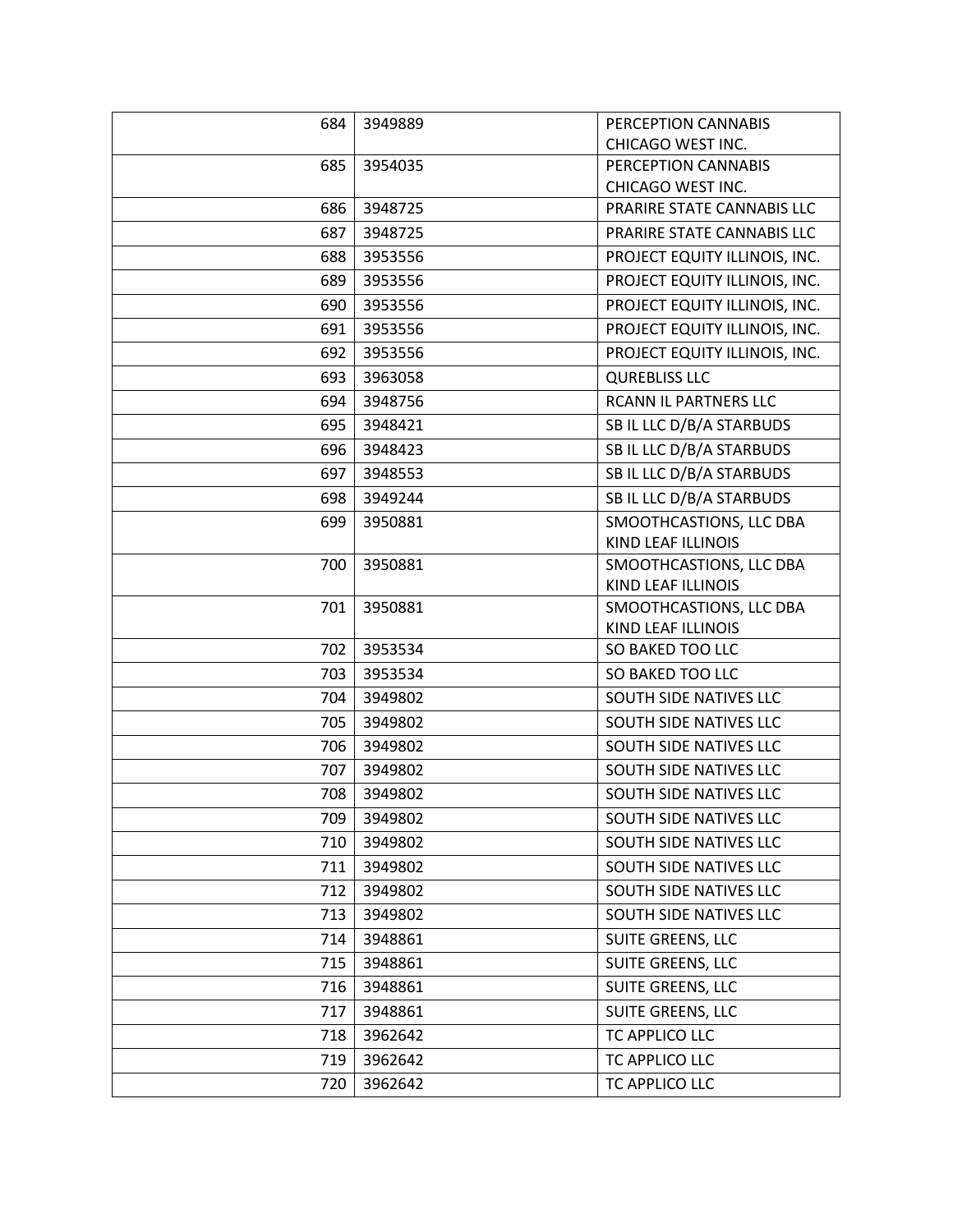| 684 | 3949889 | PERCEPTION CANNABIS                    |
|-----|---------|----------------------------------------|
|     |         | CHICAGO WEST INC.                      |
| 685 | 3954035 | PERCEPTION CANNABIS                    |
|     |         | CHICAGO WEST INC.                      |
| 686 | 3948725 | PRARIRE STATE CANNABIS LLC             |
| 687 | 3948725 | PRARIRE STATE CANNABIS LLC             |
| 688 | 3953556 | PROJECT EQUITY ILLINOIS, INC.          |
| 689 | 3953556 | PROJECT EQUITY ILLINOIS, INC.          |
| 690 | 3953556 | PROJECT EQUITY ILLINOIS, INC.          |
| 691 | 3953556 | PROJECT EQUITY ILLINOIS, INC.          |
| 692 | 3953556 | PROJECT EQUITY ILLINOIS, INC.          |
| 693 | 3963058 | <b>QUREBLISS LLC</b>                   |
| 694 | 3948756 | RCANN IL PARTNERS LLC                  |
| 695 | 3948421 | SB IL LLC D/B/A STARBUDS               |
| 696 | 3948423 | SB IL LLC D/B/A STARBUDS               |
| 697 | 3948553 | SB IL LLC D/B/A STARBUDS               |
| 698 | 3949244 | SB IL LLC D/B/A STARBUDS               |
| 699 | 3950881 | SMOOTHCASTIONS, LLC DBA                |
|     |         | KIND LEAF ILLINOIS                     |
| 700 | 3950881 | SMOOTHCASTIONS, LLC DBA                |
|     |         | KIND LEAF ILLINOIS                     |
| 701 | 3950881 | SMOOTHCASTIONS, LLC DBA                |
| 702 | 3953534 | KIND LEAF ILLINOIS<br>SO BAKED TOO LLC |
|     |         |                                        |
| 703 | 3953534 | SO BAKED TOO LLC                       |
| 704 | 3949802 | SOUTH SIDE NATIVES LLC                 |
| 705 | 3949802 | SOUTH SIDE NATIVES LLC                 |
| 706 | 3949802 | SOUTH SIDE NATIVES LLC                 |
| 707 | 3949802 | SOUTH SIDE NATIVES LLC                 |
| 708 | 3949802 | SOUTH SIDE NATIVES LLC                 |
| 709 | 3949802 | SOUTH SIDE NATIVES LLC                 |
| 710 | 3949802 | SOUTH SIDE NATIVES LLC                 |
| 711 | 3949802 | SOUTH SIDE NATIVES LLC                 |
| 712 | 3949802 | SOUTH SIDE NATIVES LLC                 |
| 713 | 3949802 | SOUTH SIDE NATIVES LLC                 |
| 714 | 3948861 | SUITE GREENS, LLC                      |
| 715 | 3948861 | SUITE GREENS, LLC                      |
| 716 | 3948861 | <b>SUITE GREENS, LLC</b>               |
| 717 | 3948861 | SUITE GREENS, LLC                      |
| 718 | 3962642 | TC APPLICO LLC                         |
| 719 | 3962642 | TC APPLICO LLC                         |
| 720 | 3962642 | TC APPLICO LLC                         |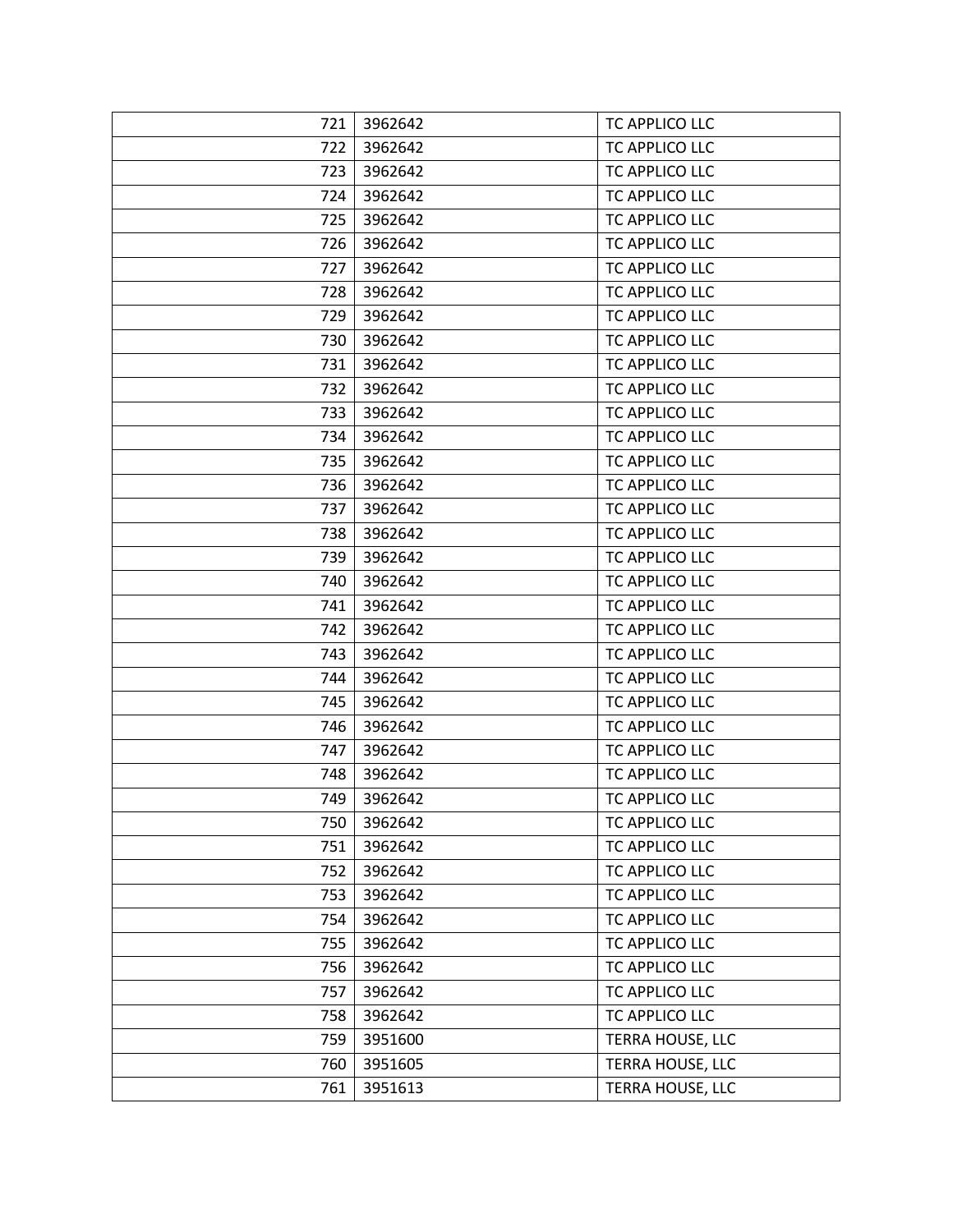| 721 | 3962642 | TC APPLICO LLC   |
|-----|---------|------------------|
| 722 | 3962642 | TC APPLICO LLC   |
| 723 | 3962642 | TC APPLICO LLC   |
| 724 | 3962642 | TC APPLICO LLC   |
| 725 | 3962642 | TC APPLICO LLC   |
| 726 | 3962642 | TC APPLICO LLC   |
| 727 | 3962642 | TC APPLICO LLC   |
| 728 | 3962642 | TC APPLICO LLC   |
| 729 | 3962642 | TC APPLICO LLC   |
| 730 | 3962642 | TC APPLICO LLC   |
| 731 | 3962642 | TC APPLICO LLC   |
| 732 | 3962642 | TC APPLICO LLC   |
| 733 | 3962642 | TC APPLICO LLC   |
| 734 | 3962642 | TC APPLICO LLC   |
| 735 | 3962642 | TC APPLICO LLC   |
| 736 | 3962642 | TC APPLICO LLC   |
| 737 | 3962642 | TC APPLICO LLC   |
| 738 | 3962642 | TC APPLICO LLC   |
| 739 | 3962642 | TC APPLICO LLC   |
| 740 | 3962642 | TC APPLICO LLC   |
| 741 | 3962642 | TC APPLICO LLC   |
| 742 | 3962642 | TC APPLICO LLC   |
| 743 | 3962642 | TC APPLICO LLC   |
| 744 | 3962642 | TC APPLICO LLC   |
| 745 | 3962642 | TC APPLICO LLC   |
| 746 | 3962642 | TC APPLICO LLC   |
| 747 | 3962642 | TC APPLICO LLC   |
| 748 | 3962642 | TC APPLICO LLC   |
| 749 | 3962642 | TC APPLICO LLC   |
| 750 | 3962642 | TC APPLICO LLC   |
| 751 | 3962642 | TC APPLICO LLC   |
| 752 | 3962642 | TC APPLICO LLC   |
| 753 | 3962642 | TC APPLICO LLC   |
| 754 | 3962642 | TC APPLICO LLC   |
| 755 | 3962642 | TC APPLICO LLC   |
| 756 | 3962642 | TC APPLICO LLC   |
| 757 | 3962642 | TC APPLICO LLC   |
| 758 | 3962642 | TC APPLICO LLC   |
| 759 | 3951600 | TERRA HOUSE, LLC |
| 760 | 3951605 | TERRA HOUSE, LLC |
| 761 | 3951613 | TERRA HOUSE, LLC |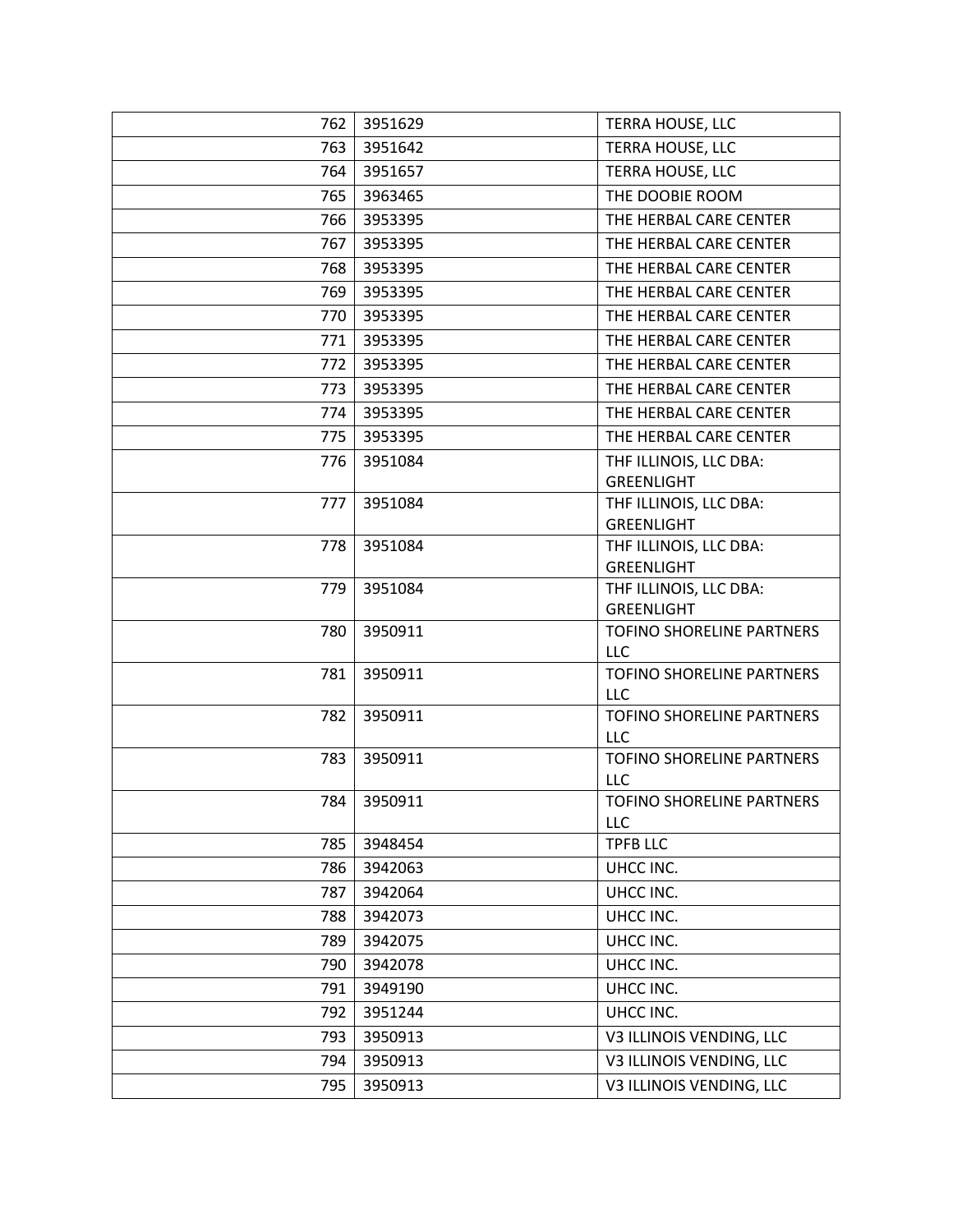| 762        | 3951629            | <b>TERRA HOUSE, LLC</b>                 |
|------------|--------------------|-----------------------------------------|
| 763        | 3951642            | TERRA HOUSE, LLC                        |
| 764        | 3951657            | TERRA HOUSE, LLC                        |
| 765        | 3963465            | THE DOOBIE ROOM                         |
| 766        | 3953395            | THE HERBAL CARE CENTER                  |
| 767        | 3953395            | THE HERBAL CARE CENTER                  |
| 768        | 3953395            | THE HERBAL CARE CENTER                  |
| 769        | 3953395            | THE HERBAL CARE CENTER                  |
| 770        | 3953395            | THE HERBAL CARE CENTER                  |
| 771        | 3953395            | THE HERBAL CARE CENTER                  |
| 772        | 3953395            | THE HERBAL CARE CENTER                  |
| 773        | 3953395            | THE HERBAL CARE CENTER                  |
| 774        | 3953395            | THE HERBAL CARE CENTER                  |
| 775        | 3953395            | THE HERBAL CARE CENTER                  |
| 776        | 3951084            | THF ILLINOIS, LLC DBA:                  |
|            |                    | GREENLIGHT                              |
| 777        | 3951084            | THF ILLINOIS, LLC DBA:                  |
| 778        | 3951084            | <b>GREENLIGHT</b>                       |
|            |                    | THF ILLINOIS, LLC DBA:<br>GREENLIGHT    |
| 779        | 3951084            | THF ILLINOIS, LLC DBA:                  |
|            |                    | GREENLIGHT                              |
| 780        | 3950911            | TOFINO SHORELINE PARTNERS               |
|            |                    | <b>LLC</b>                              |
| 781        | 3950911            | TOFINO SHORELINE PARTNERS<br><b>LLC</b> |
| 782        | 3950911            | TOFINO SHORELINE PARTNERS               |
|            |                    | <b>LLC</b>                              |
| 783        | 3950911            | TOFINO SHORELINE PARTNERS               |
|            |                    | <b>LLC</b>                              |
| 784        | 3950911            | TOFINO SHORELINE PARTNERS               |
|            |                    | <b>LLC</b>                              |
| 785        | 3948454            | <b>TPFB LLC</b>                         |
| 786<br>787 | 3942063<br>3942064 | UHCC INC.<br>UHCC INC.                  |
|            |                    |                                         |
| 788        | 3942073            | UHCC INC.                               |
| 789        | 3942075            | UHCC INC.                               |
| 790        | 3942078            | UHCC INC.                               |
| 791        | 3949190            | UHCC INC.                               |
| 792        | 3951244            | UHCC INC.                               |
| 793        | 3950913            | V3 ILLINOIS VENDING, LLC                |
| 794        | 3950913            | V3 ILLINOIS VENDING, LLC                |
| 795        | 3950913            | V3 ILLINOIS VENDING, LLC                |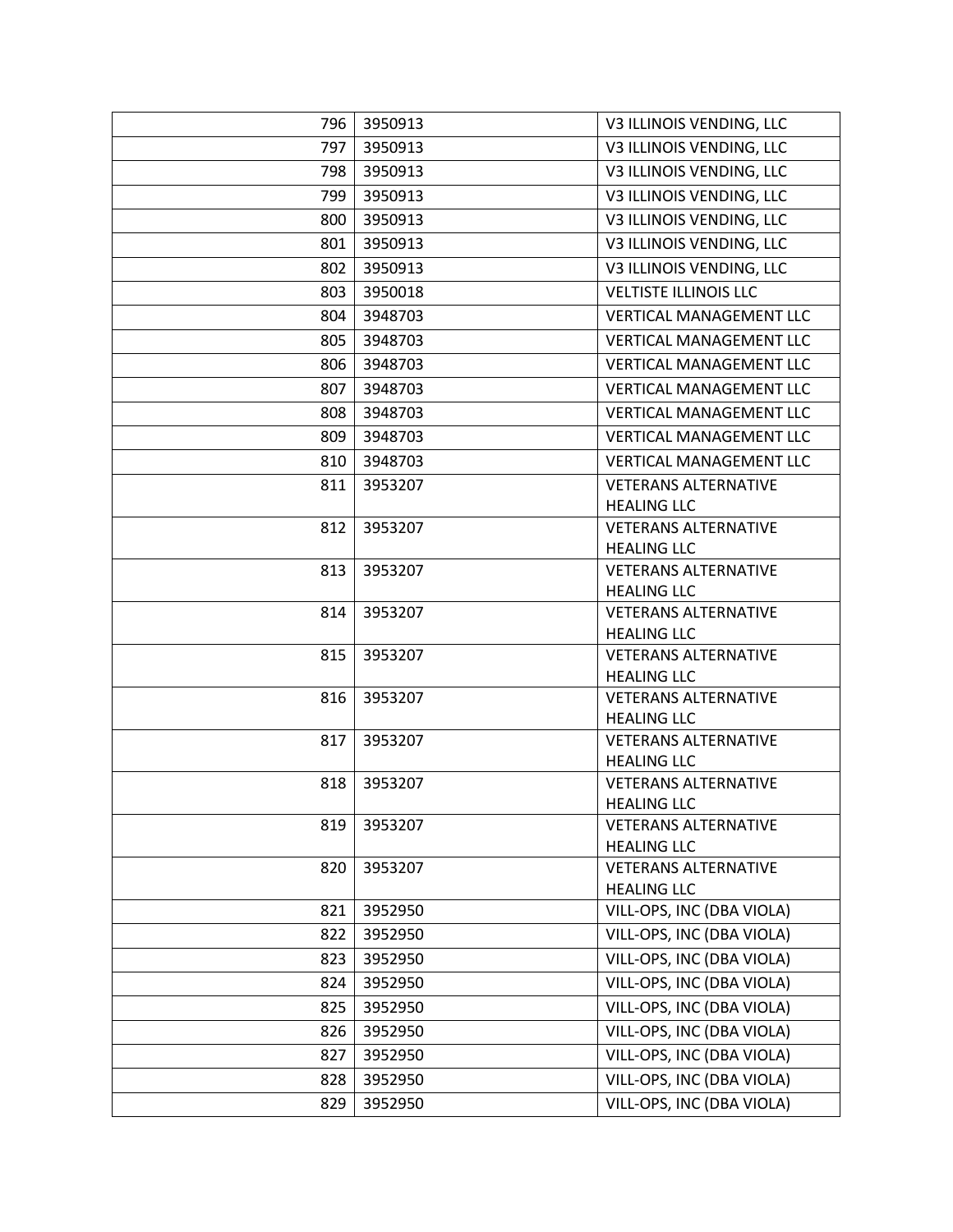| 796 | 3950913 | V3 ILLINOIS VENDING, LLC                          |
|-----|---------|---------------------------------------------------|
| 797 | 3950913 | V3 ILLINOIS VENDING, LLC                          |
| 798 | 3950913 | V3 ILLINOIS VENDING, LLC                          |
| 799 | 3950913 | V3 ILLINOIS VENDING, LLC                          |
| 800 | 3950913 | V3 ILLINOIS VENDING, LLC                          |
| 801 | 3950913 | V3 ILLINOIS VENDING, LLC                          |
| 802 | 3950913 | V3 ILLINOIS VENDING, LLC                          |
| 803 | 3950018 | <b>VELTISTE ILLINOIS LLC</b>                      |
| 804 | 3948703 | <b>VERTICAL MANAGEMENT LLC</b>                    |
| 805 | 3948703 | <b>VERTICAL MANAGEMENT LLC</b>                    |
| 806 | 3948703 | <b>VERTICAL MANAGEMENT LLC</b>                    |
| 807 | 3948703 | <b>VERTICAL MANAGEMENT LLC</b>                    |
| 808 | 3948703 | <b>VERTICAL MANAGEMENT LLC</b>                    |
| 809 | 3948703 | <b>VERTICAL MANAGEMENT LLC</b>                    |
| 810 | 3948703 | <b>VERTICAL MANAGEMENT LLC</b>                    |
| 811 | 3953207 | <b>VETERANS ALTERNATIVE</b>                       |
|     |         | <b>HEALING LLC</b>                                |
| 812 | 3953207 | <b>VETERANS ALTERNATIVE</b>                       |
|     |         | <b>HEALING LLC</b>                                |
| 813 | 3953207 | <b>VETERANS ALTERNATIVE</b>                       |
|     |         | <b>HEALING LLC</b>                                |
| 814 | 3953207 | <b>VETERANS ALTERNATIVE</b>                       |
|     |         | <b>HEALING LLC</b>                                |
| 815 | 3953207 | <b>VETERANS ALTERNATIVE</b><br><b>HEALING LLC</b> |
| 816 | 3953207 | <b>VETERANS ALTERNATIVE</b>                       |
|     |         | <b>HEALING LLC</b>                                |
| 817 | 3953207 | <b>VETERANS ALTERNATIVE</b>                       |
|     |         | <b>HEALING LLC</b>                                |
| 818 | 3953207 | <b>VETERANS ALTERNATIVE</b>                       |
|     |         | <b>HEALING LLC</b>                                |
| 819 | 3953207 | <b>VETERANS ALTERNATIVE</b>                       |
|     |         | <b>HEALING LLC</b>                                |
| 820 | 3953207 | <b>VETERANS ALTERNATIVE</b>                       |
| 821 | 3952950 | <b>HEALING LLC</b>                                |
|     |         | VILL-OPS, INC (DBA VIOLA)                         |
| 822 | 3952950 | VILL-OPS, INC (DBA VIOLA)                         |
| 823 | 3952950 | VILL-OPS, INC (DBA VIOLA)                         |
| 824 | 3952950 | VILL-OPS, INC (DBA VIOLA)                         |
| 825 | 3952950 | VILL-OPS, INC (DBA VIOLA)                         |
| 826 | 3952950 | VILL-OPS, INC (DBA VIOLA)                         |
| 827 | 3952950 | VILL-OPS, INC (DBA VIOLA)                         |
| 828 | 3952950 | VILL-OPS, INC (DBA VIOLA)                         |
| 829 | 3952950 | VILL-OPS, INC (DBA VIOLA)                         |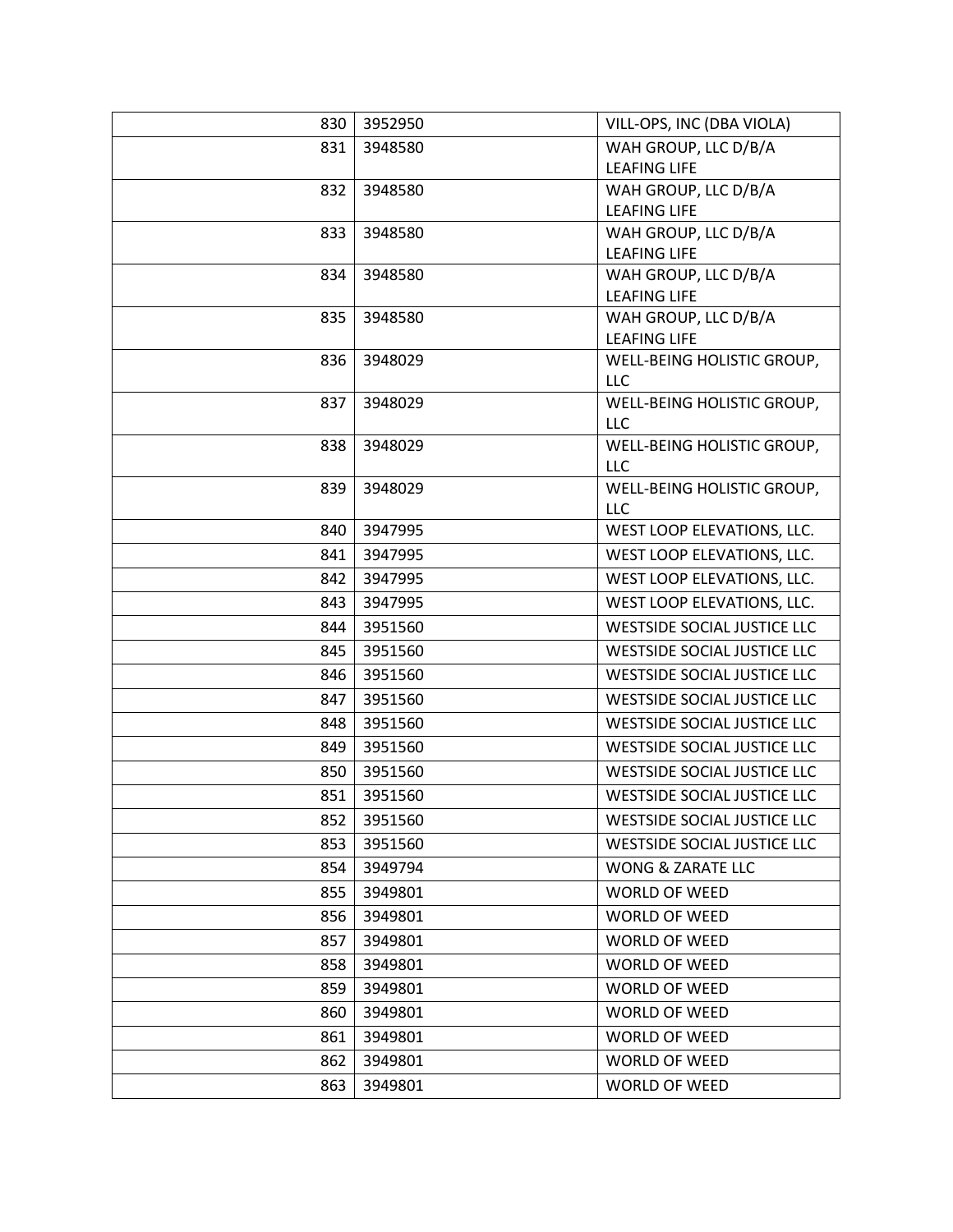| 830 | 3952950 | VILL-OPS, INC (DBA VIOLA)                   |
|-----|---------|---------------------------------------------|
| 831 | 3948580 | WAH GROUP, LLC D/B/A                        |
|     |         | <b>LEAFING LIFE</b>                         |
| 832 | 3948580 | WAH GROUP, LLC D/B/A                        |
|     |         | <b>LEAFING LIFE</b>                         |
| 833 | 3948580 | WAH GROUP, LLC D/B/A                        |
|     |         | <b>LEAFING LIFE</b>                         |
| 834 | 3948580 | WAH GROUP, LLC D/B/A<br><b>LEAFING LIFE</b> |
| 835 | 3948580 | WAH GROUP, LLC D/B/A                        |
|     |         | <b>LEAFING LIFE</b>                         |
| 836 | 3948029 | WELL-BEING HOLISTIC GROUP,                  |
|     |         | <b>LLC</b>                                  |
| 837 | 3948029 | WELL-BEING HOLISTIC GROUP,                  |
|     |         | LLC                                         |
| 838 | 3948029 | WELL-BEING HOLISTIC GROUP,                  |
|     |         | LLC                                         |
| 839 | 3948029 | WELL-BEING HOLISTIC GROUP,                  |
|     |         | LLC                                         |
| 840 | 3947995 | WEST LOOP ELEVATIONS, LLC.                  |
| 841 | 3947995 | WEST LOOP ELEVATIONS, LLC.                  |
| 842 | 3947995 | WEST LOOP ELEVATIONS, LLC.                  |
| 843 | 3947995 | WEST LOOP ELEVATIONS, LLC.                  |
| 844 | 3951560 | <b>WESTSIDE SOCIAL JUSTICE LLC</b>          |
| 845 | 3951560 | WESTSIDE SOCIAL JUSTICE LLC                 |
| 846 | 3951560 | WESTSIDE SOCIAL JUSTICE LLC                 |
| 847 | 3951560 | WESTSIDE SOCIAL JUSTICE LLC                 |
| 848 | 3951560 | WESTSIDE SOCIAL JUSTICE LLC                 |
| 849 | 3951560 | <b>WESTSIDE SOCIAL JUSTICE LLC</b>          |
| 850 | 3951560 | WESTSIDE SOCIAL JUSTICE LLC                 |
| 851 | 3951560 | WESTSIDE SOCIAL JUSTICE LLC                 |
| 852 | 3951560 | <b>WESTSIDE SOCIAL JUSTICE LLC</b>          |
| 853 | 3951560 | WESTSIDE SOCIAL JUSTICE LLC                 |
| 854 | 3949794 | WONG & ZARATE LLC                           |
| 855 | 3949801 | <b>WORLD OF WEED</b>                        |
| 856 | 3949801 | WORLD OF WEED                               |
| 857 | 3949801 | <b>WORLD OF WEED</b>                        |
| 858 | 3949801 | <b>WORLD OF WEED</b>                        |
| 859 | 3949801 | <b>WORLD OF WEED</b>                        |
| 860 | 3949801 | <b>WORLD OF WEED</b>                        |
| 861 | 3949801 | WORLD OF WEED                               |
| 862 | 3949801 | <b>WORLD OF WEED</b>                        |
| 863 | 3949801 | <b>WORLD OF WEED</b>                        |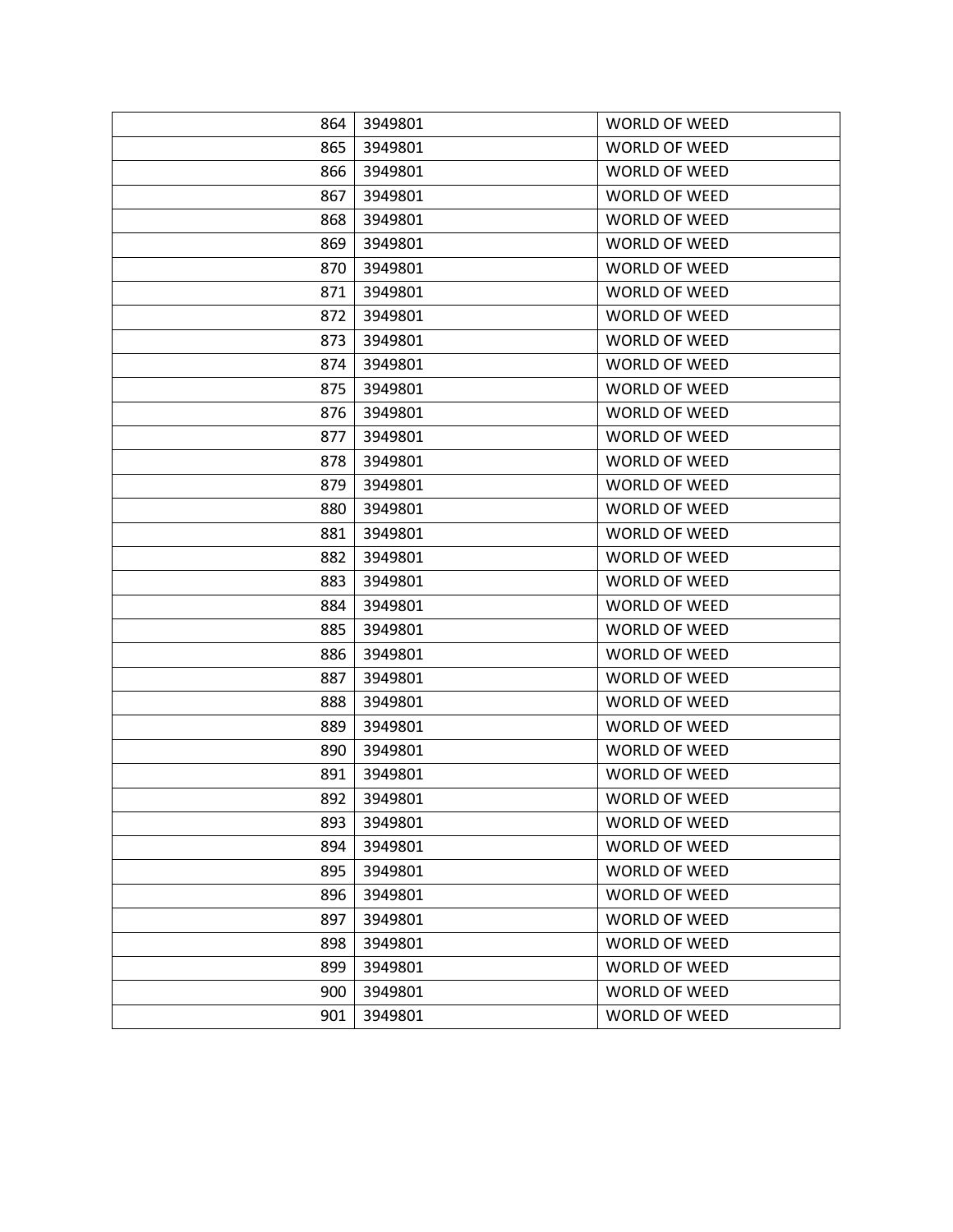| 864 | 3949801 | <b>WORLD OF WEED</b> |
|-----|---------|----------------------|
| 865 | 3949801 | <b>WORLD OF WEED</b> |
| 866 | 3949801 | <b>WORLD OF WEED</b> |
| 867 | 3949801 | <b>WORLD OF WEED</b> |
| 868 | 3949801 | <b>WORLD OF WEED</b> |
| 869 | 3949801 | <b>WORLD OF WEED</b> |
| 870 | 3949801 | <b>WORLD OF WEED</b> |
| 871 | 3949801 | <b>WORLD OF WEED</b> |
| 872 | 3949801 | WORLD OF WEED        |
| 873 | 3949801 | <b>WORLD OF WEED</b> |
| 874 | 3949801 | <b>WORLD OF WEED</b> |
| 875 | 3949801 | <b>WORLD OF WEED</b> |
| 876 | 3949801 | <b>WORLD OF WEED</b> |
| 877 | 3949801 | <b>WORLD OF WEED</b> |
| 878 | 3949801 | <b>WORLD OF WEED</b> |
| 879 | 3949801 | <b>WORLD OF WEED</b> |
| 880 | 3949801 | <b>WORLD OF WEED</b> |
| 881 | 3949801 | <b>WORLD OF WEED</b> |
| 882 | 3949801 | <b>WORLD OF WEED</b> |
| 883 | 3949801 | <b>WORLD OF WEED</b> |
| 884 | 3949801 | <b>WORLD OF WEED</b> |
| 885 | 3949801 | <b>WORLD OF WEED</b> |
| 886 | 3949801 | <b>WORLD OF WEED</b> |
| 887 | 3949801 | <b>WORLD OF WEED</b> |
| 888 | 3949801 | <b>WORLD OF WEED</b> |
| 889 | 3949801 | <b>WORLD OF WEED</b> |
| 890 | 3949801 | <b>WORLD OF WEED</b> |
| 891 | 3949801 | <b>WORLD OF WEED</b> |
| 892 | 3949801 | <b>WORLD OF WEED</b> |
| 893 | 3949801 | <b>WORLD OF WEED</b> |
| 894 | 3949801 | <b>WORLD OF WEED</b> |
| 895 | 3949801 | WORLD OF WEED        |
| 896 | 3949801 | <b>WORLD OF WEED</b> |
| 897 | 3949801 | <b>WORLD OF WEED</b> |
| 898 | 3949801 | <b>WORLD OF WEED</b> |
| 899 | 3949801 | WORLD OF WEED        |
| 900 | 3949801 | <b>WORLD OF WEED</b> |
| 901 | 3949801 | <b>WORLD OF WEED</b> |
|     |         |                      |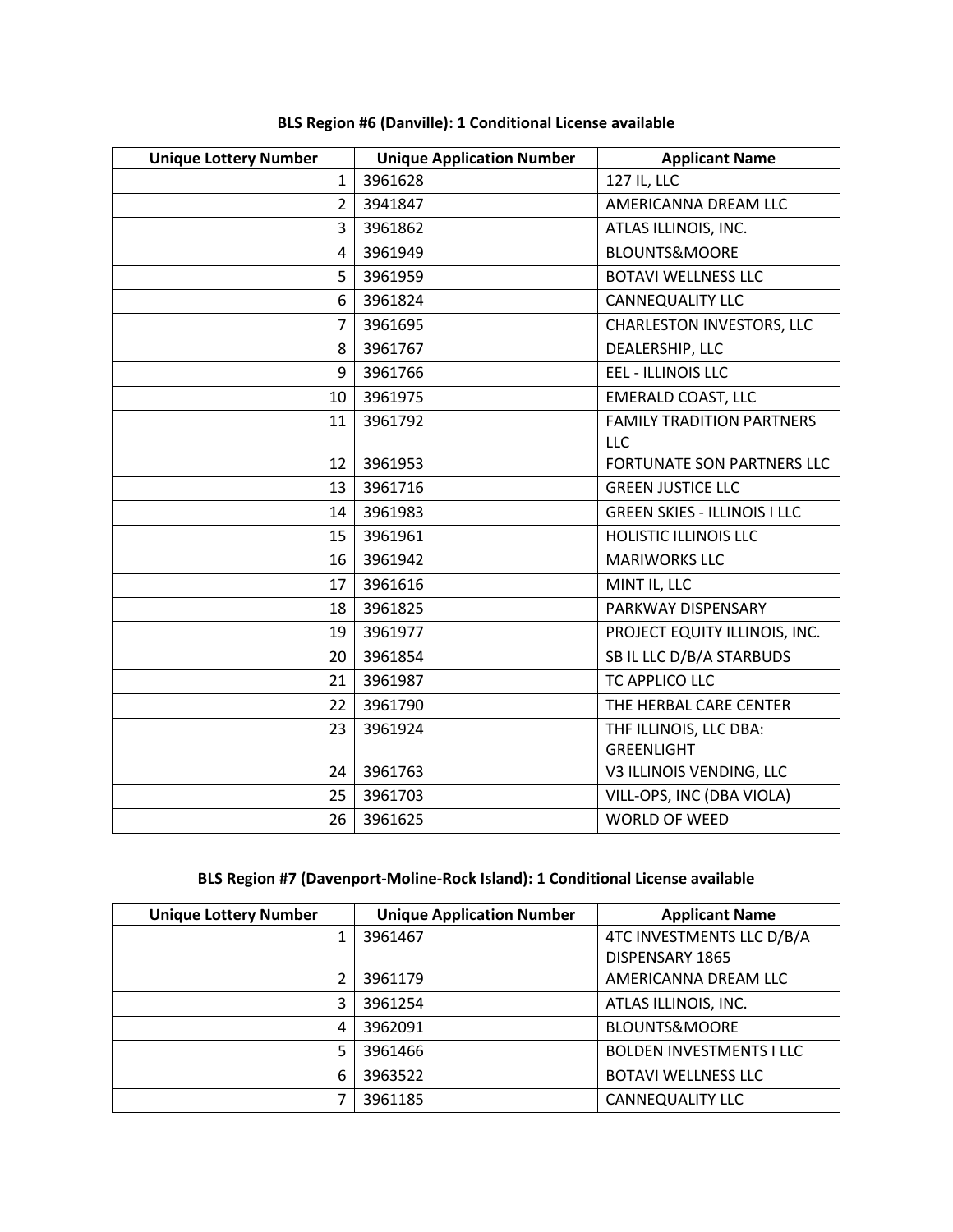| <b>Unique Lottery Number</b> | <b>Unique Application Number</b> | <b>Applicant Name</b>                   |
|------------------------------|----------------------------------|-----------------------------------------|
| $\mathbf{1}$                 | 3961628                          | 127 IL, LLC                             |
| $\overline{2}$               | 3941847                          | AMERICANNA DREAM LLC                    |
| 3                            | 3961862                          | ATLAS ILLINOIS, INC.                    |
| 4                            | 3961949                          | <b>BLOUNTS&amp;MOORE</b>                |
| 5                            | 3961959                          | <b>BOTAVI WELLNESS LLC</b>              |
| 6                            | 3961824                          | CANNEQUALITY LLC                        |
| $\overline{7}$               | 3961695                          | CHARLESTON INVESTORS, LLC               |
| 8                            | 3961767                          | DEALERSHIP, LLC                         |
| 9                            | 3961766                          | EEL - ILLINOIS LLC                      |
| 10                           | 3961975                          | EMERALD COAST, LLC                      |
| 11                           | 3961792                          | <b>FAMILY TRADITION PARTNERS</b><br>LLC |
| 12                           | 3961953                          | FORTUNATE SON PARTNERS LLC              |
| 13                           | 3961716                          | <b>GREEN JUSTICE LLC</b>                |
| 14                           | 3961983                          | <b>GREEN SKIES - ILLINOIS I LLC</b>     |
| 15                           | 3961961                          | <b>HOLISTIC ILLINOIS LLC</b>            |
| 16                           | 3961942                          | <b>MARIWORKS LLC</b>                    |
| 17                           | 3961616                          | MINT IL, LLC                            |
| 18                           | 3961825                          | PARKWAY DISPENSARY                      |
| 19                           | 3961977                          | PROJECT EQUITY ILLINOIS, INC.           |
| 20                           | 3961854                          | SB IL LLC D/B/A STARBUDS                |
| 21                           | 3961987                          | <b>TC APPLICO LLC</b>                   |
| 22                           | 3961790                          | THE HERBAL CARE CENTER                  |
| 23                           | 3961924                          | THF ILLINOIS, LLC DBA:                  |
|                              |                                  | <b>GREENLIGHT</b>                       |
| 24                           | 3961763                          | V3 ILLINOIS VENDING, LLC                |
| 25                           | 3961703                          | VILL-OPS, INC (DBA VIOLA)               |
| 26                           | 3961625                          | <b>WORLD OF WEED</b>                    |

# **BLS Region #6 (Danville): 1 Conditional License available**

# **BLS Region #7 (Davenport-Moline-Rock Island): 1 Conditional License available**

| <b>Unique Lottery Number</b> | <b>Unique Application Number</b> | <b>Applicant Name</b>           |
|------------------------------|----------------------------------|---------------------------------|
|                              | 3961467                          | 4TC INVESTMENTS LLC D/B/A       |
|                              |                                  | DISPENSARY 1865                 |
|                              | 3961179                          | AMERICANNA DREAM LLC            |
| 3                            | 3961254                          | ATLAS ILLINOIS, INC.            |
| 4                            | 3962091                          | <b>BLOUNTS&amp;MOORE</b>        |
| 5                            | 3961466                          | <b>BOLDEN INVESTMENTS I LLC</b> |
| 6                            | 3963522                          | <b>BOTAVI WELLNESS LLC</b>      |
|                              | 3961185                          | <b>CANNEQUALITY LLC</b>         |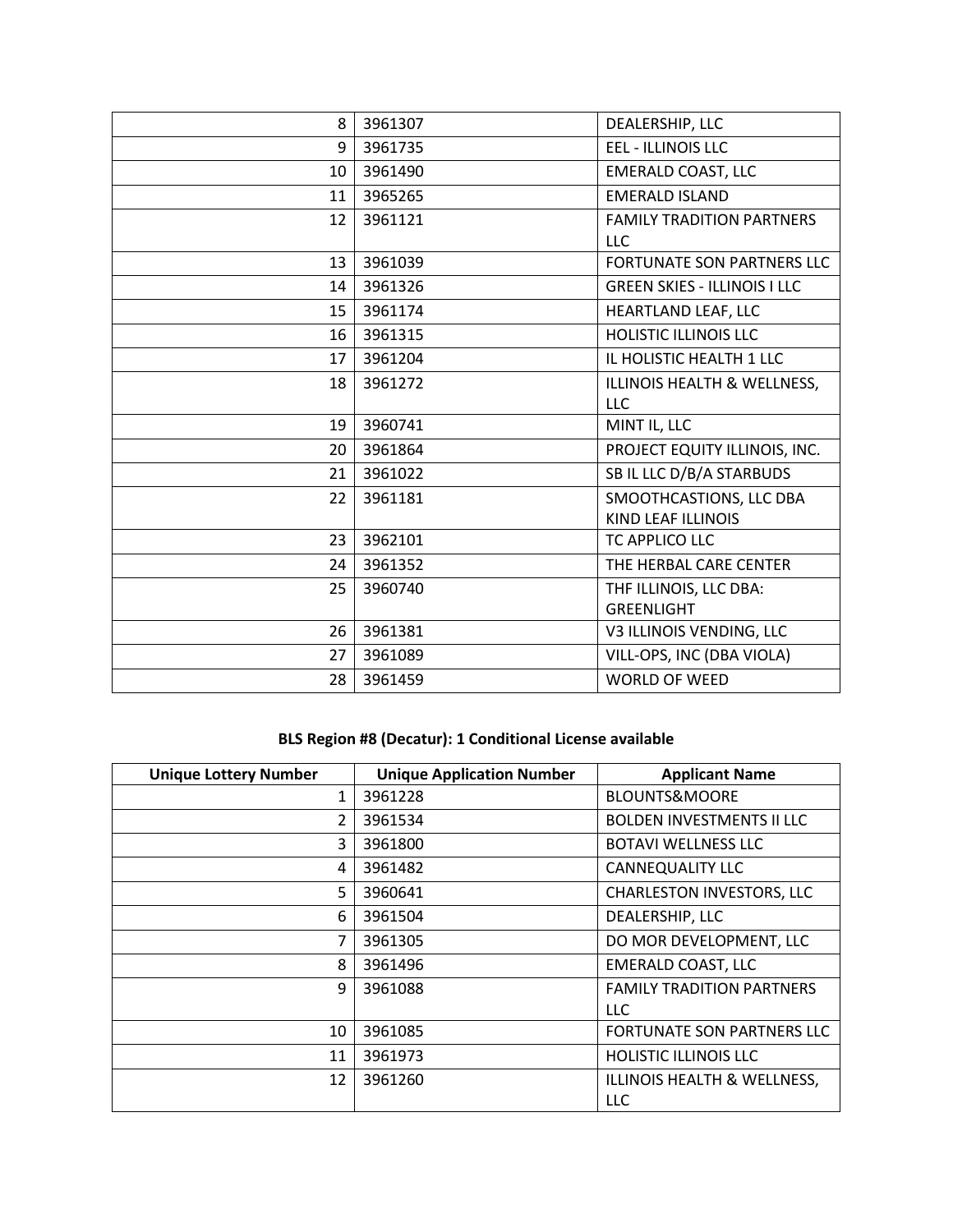| 8  | 3961307 | DEALERSHIP, LLC                                      |
|----|---------|------------------------------------------------------|
| 9  | 3961735 | <b>EEL - ILLINOIS LLC</b>                            |
| 10 | 3961490 | <b>EMERALD COAST, LLC</b>                            |
| 11 | 3965265 | <b>EMERALD ISLAND</b>                                |
| 12 | 3961121 | <b>FAMILY TRADITION PARTNERS</b><br><b>LLC</b>       |
| 13 | 3961039 | <b>FORTUNATE SON PARTNERS LLC</b>                    |
| 14 | 3961326 | <b>GREEN SKIES - ILLINOIS I LLC</b>                  |
| 15 | 3961174 | HEARTLAND LEAF, LLC                                  |
| 16 | 3961315 | HOLISTIC ILLINOIS LLC                                |
| 17 | 3961204 | IL HOLISTIC HEALTH 1 LLC                             |
| 18 | 3961272 | ILLINOIS HEALTH & WELLNESS,<br><b>LLC</b>            |
| 19 | 3960741 | MINT IL, LLC                                         |
| 20 | 3961864 | PROJECT EQUITY ILLINOIS, INC.                        |
| 21 | 3961022 | SB IL LLC D/B/A STARBUDS                             |
| 22 | 3961181 | SMOOTHCASTIONS, LLC DBA<br><b>KIND LEAF ILLINOIS</b> |
| 23 | 3962101 | TC APPLICO LLC                                       |
| 24 | 3961352 | THE HERBAL CARE CENTER                               |
| 25 | 3960740 | THF ILLINOIS, LLC DBA:<br><b>GREENLIGHT</b>          |
| 26 | 3961381 | V3 ILLINOIS VENDING, LLC                             |
| 27 | 3961089 | VILL-OPS, INC (DBA VIOLA)                            |
| 28 | 3961459 | <b>WORLD OF WEED</b>                                 |

# **BLS Region #8 (Decatur): 1 Conditional License available**

| <b>Unique Lottery Number</b> | <b>Unique Application Number</b> | <b>Applicant Name</b>            |
|------------------------------|----------------------------------|----------------------------------|
| 1                            | 3961228                          | <b>BLOUNTS&amp;MOORE</b>         |
| 2                            | 3961534                          | <b>BOLDEN INVESTMENTS II LLC</b> |
| 3                            | 3961800                          | <b>BOTAVI WELLNESS LLC</b>       |
| 4                            | 3961482                          | CANNEQUALITY LLC                 |
| 5                            | 3960641                          | CHARLESTON INVESTORS, LLC        |
| 6                            | 3961504                          | DEALERSHIP, LLC                  |
| 7                            | 3961305                          | DO MOR DEVELOPMENT, LLC          |
| 8                            | 3961496                          | <b>EMERALD COAST, LLC</b>        |
| 9                            | 3961088                          | <b>FAMILY TRADITION PARTNERS</b> |
|                              |                                  | <b>LLC</b>                       |
| 10                           | 3961085                          | FORTUNATE SON PARTNERS LLC       |
| 11                           | 3961973                          | <b>HOLISTIC ILLINOIS LLC</b>     |
| 12                           | 3961260                          | ILLINOIS HEALTH & WELLNESS,      |
|                              |                                  | <b>LLC</b>                       |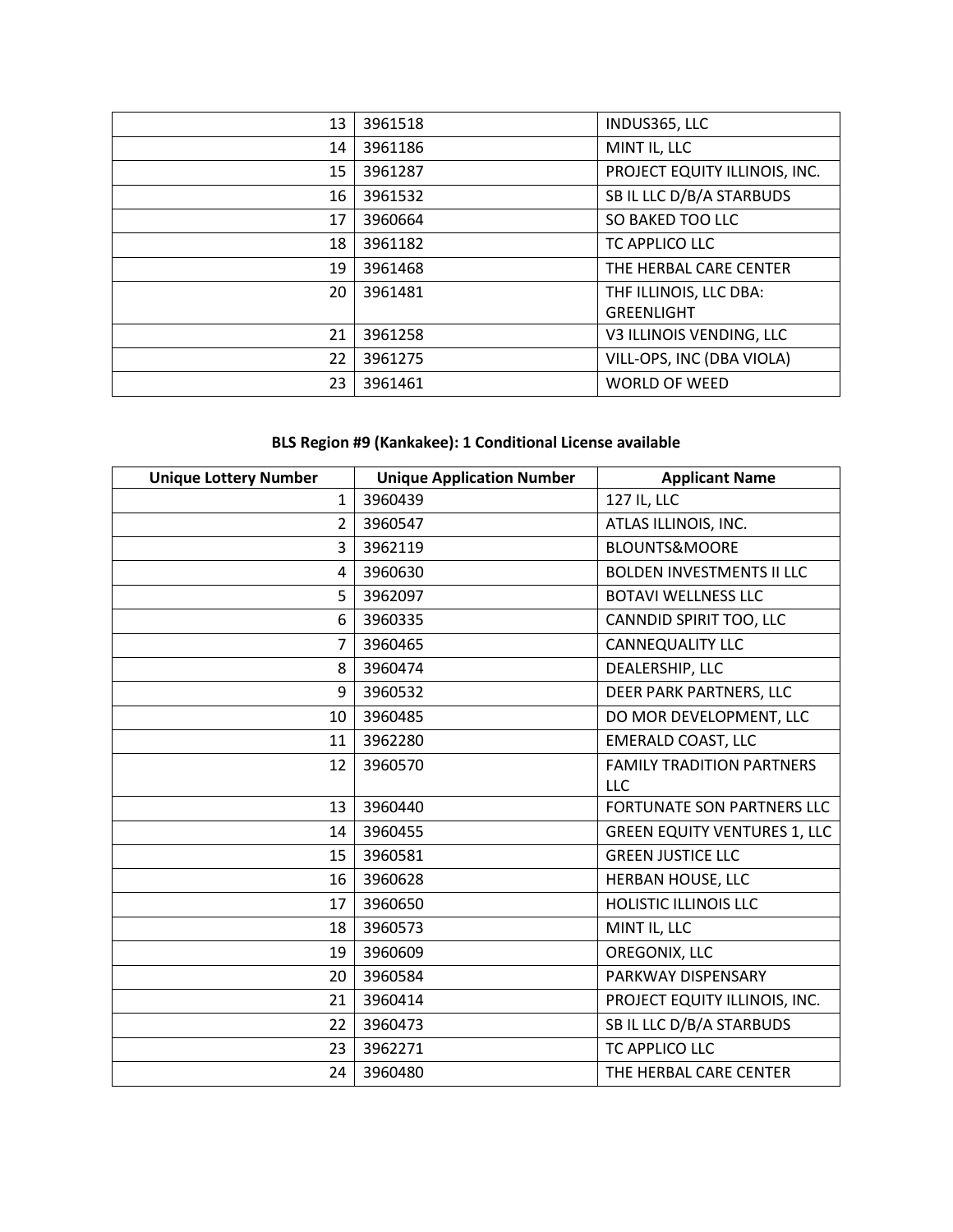| 13 | 3961518 | INDUS365, LLC                 |
|----|---------|-------------------------------|
| 14 | 3961186 | MINT IL, LLC                  |
| 15 | 3961287 | PROJECT EQUITY ILLINOIS, INC. |
| 16 | 3961532 | SB IL LLC D/B/A STARBUDS      |
| 17 | 3960664 | SO BAKED TOO LLC              |
| 18 | 3961182 | TC APPLICO LLC                |
| 19 | 3961468 | THE HERBAL CARE CENTER        |
| 20 | 3961481 | THF ILLINOIS, LLC DBA:        |
|    |         | GREENLIGHT                    |
| 21 | 3961258 | V3 ILLINOIS VENDING, LLC      |
| 22 | 3961275 | VILL-OPS, INC (DBA VIOLA)     |
| 23 | 3961461 | <b>WORLD OF WEED</b>          |

# **BLS Region #9 (Kankakee): 1 Conditional License available**

| <b>Unique Lottery Number</b> | <b>Unique Application Number</b> | <b>Applicant Name</b>               |
|------------------------------|----------------------------------|-------------------------------------|
| $\mathbf{1}$                 | 3960439                          | 127 IL, LLC                         |
| $\overline{2}$               | 3960547                          | ATLAS ILLINOIS, INC.                |
| 3                            | 3962119                          | <b>BLOUNTS&amp;MOORE</b>            |
| 4                            | 3960630                          | <b>BOLDEN INVESTMENTS II LLC</b>    |
| 5                            | 3962097                          | <b>BOTAVI WELLNESS LLC</b>          |
| 6                            | 3960335                          | CANNDID SPIRIT TOO, LLC             |
| $\overline{7}$               | 3960465                          | <b>CANNEQUALITY LLC</b>             |
| 8                            | 3960474                          | DEALERSHIP, LLC                     |
| 9                            | 3960532                          | DEER PARK PARTNERS, LLC             |
| 10                           | 3960485                          | DO MOR DEVELOPMENT, LLC             |
| 11                           | 3962280                          | <b>EMERALD COAST, LLC</b>           |
| 12                           | 3960570                          | <b>FAMILY TRADITION PARTNERS</b>    |
|                              |                                  | <b>LLC</b>                          |
| 13                           | 3960440                          | FORTUNATE SON PARTNERS LLC          |
| 14                           | 3960455                          | <b>GREEN EQUITY VENTURES 1, LLC</b> |
| 15                           | 3960581                          | <b>GREEN JUSTICE LLC</b>            |
| 16                           | 3960628                          | HERBAN HOUSE, LLC                   |
| 17                           | 3960650                          | <b>HOLISTIC ILLINOIS LLC</b>        |
| 18                           | 3960573                          | MINT IL, LLC                        |
| 19                           | 3960609                          | OREGONIX, LLC                       |
| 20                           | 3960584                          | PARKWAY DISPENSARY                  |
| 21                           | 3960414                          | PROJECT EQUITY ILLINOIS, INC.       |
| 22                           | 3960473                          | SB IL LLC D/B/A STARBUDS            |
| 23                           | 3962271                          | TC APPLICO LLC                      |
| 24                           | 3960480                          | THE HERBAL CARE CENTER              |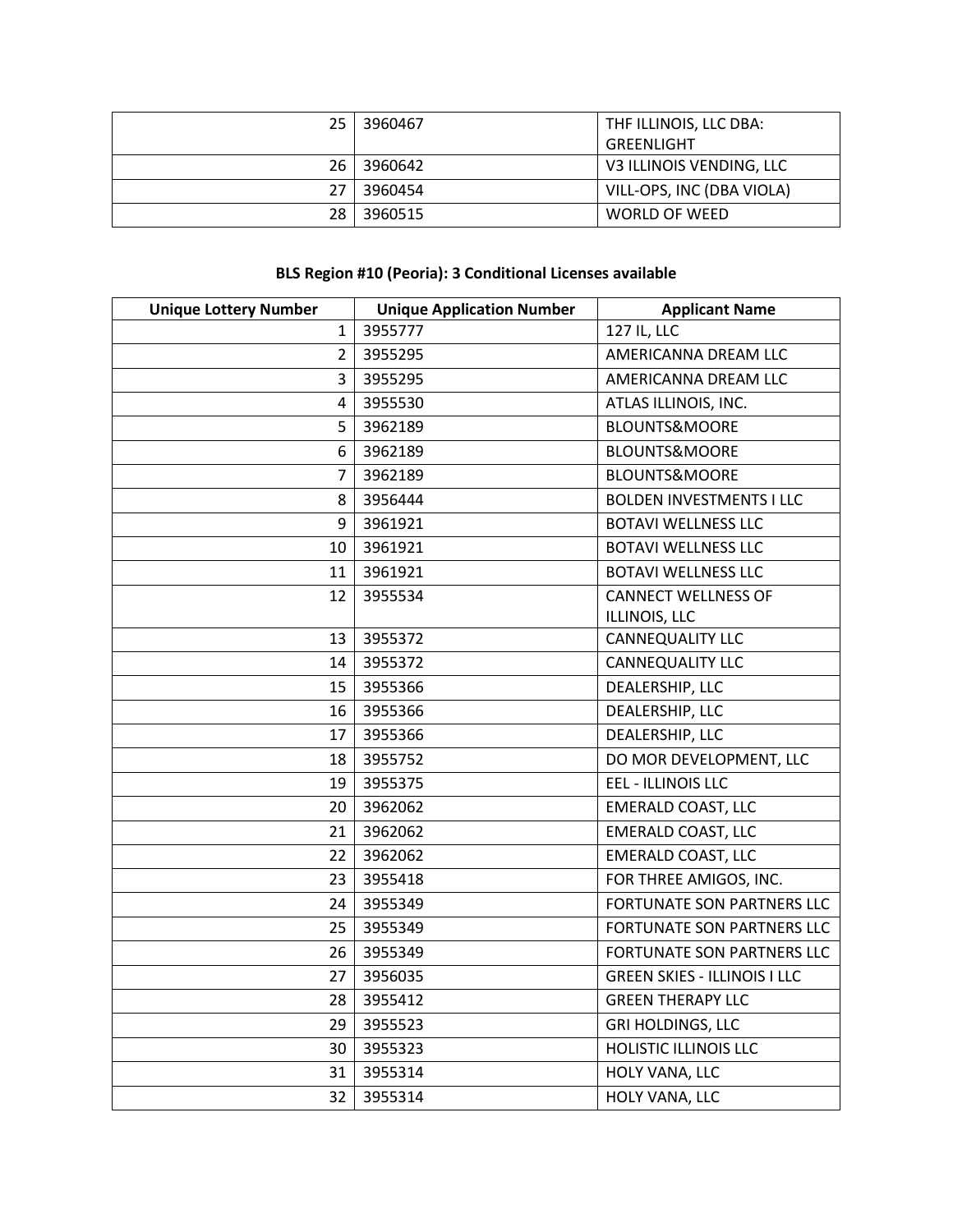| 25. | 3960467 | THE ILLINOIS, LLC DBA:    |
|-----|---------|---------------------------|
|     |         | GREENLIGHT                |
| 26  | 3960642 | V3 ILLINOIS VENDING, LLC  |
| 27  | 3960454 | VILL-OPS, INC (DBA VIOLA) |
| 28  | 3960515 | WORLD OF WEED             |

#### **BLS Region #10 (Peoria): 3 Conditional Licenses available**

| <b>Unique Lottery Number</b> | <b>Unique Application Number</b> | <b>Applicant Name</b>               |
|------------------------------|----------------------------------|-------------------------------------|
| $\mathbf{1}$                 | 3955777                          | 127 IL, LLC                         |
| $\overline{2}$               | 3955295                          | AMERICANNA DREAM LLC                |
| 3                            | 3955295                          | AMERICANNA DREAM LLC                |
| 4                            | 3955530                          | ATLAS ILLINOIS, INC.                |
| 5                            | 3962189                          | <b>BLOUNTS&amp;MOORE</b>            |
| 6                            | 3962189                          | BLOUNTS&MOORE                       |
| 7                            | 3962189                          | <b>BLOUNTS&amp;MOORE</b>            |
| 8                            | 3956444                          | <b>BOLDEN INVESTMENTS I LLC</b>     |
| 9                            | 3961921                          | <b>BOTAVI WELLNESS LLC</b>          |
| 10                           | 3961921                          | <b>BOTAVI WELLNESS LLC</b>          |
| 11                           | 3961921                          | <b>BOTAVI WELLNESS LLC</b>          |
| 12                           | 3955534                          | <b>CANNECT WELLNESS OF</b>          |
|                              |                                  | ILLINOIS, LLC                       |
| 13                           | 3955372                          | CANNEQUALITY LLC                    |
| 14                           | 3955372                          | CANNEQUALITY LLC                    |
| 15                           | 3955366                          | DEALERSHIP, LLC                     |
| 16                           | 3955366                          | DEALERSHIP, LLC                     |
| 17                           | 3955366                          | DEALERSHIP, LLC                     |
| 18                           | 3955752                          | DO MOR DEVELOPMENT, LLC             |
| 19                           | 3955375                          | <b>EEL - ILLINOIS LLC</b>           |
| 20                           | 3962062                          | <b>EMERALD COAST, LLC</b>           |
| 21                           | 3962062                          | <b>EMERALD COAST, LLC</b>           |
| 22                           | 3962062                          | <b>EMERALD COAST, LLC</b>           |
| 23                           | 3955418                          | FOR THREE AMIGOS, INC.              |
| 24                           | 3955349                          | FORTUNATE SON PARTNERS LLC          |
| 25                           | 3955349                          | FORTUNATE SON PARTNERS LLC          |
| 26                           | 3955349                          | FORTUNATE SON PARTNERS LLC          |
| 27                           | 3956035                          | <b>GREEN SKIES - ILLINOIS I LLC</b> |
| 28                           | 3955412                          | <b>GREEN THERAPY LLC</b>            |
| 29                           | 3955523                          | <b>GRI HOLDINGS, LLC</b>            |
| 30                           | 3955323                          | <b>HOLISTIC ILLINOIS LLC</b>        |
| 31                           | 3955314                          | HOLY VANA, LLC                      |
| 32                           | 3955314                          | HOLY VANA, LLC                      |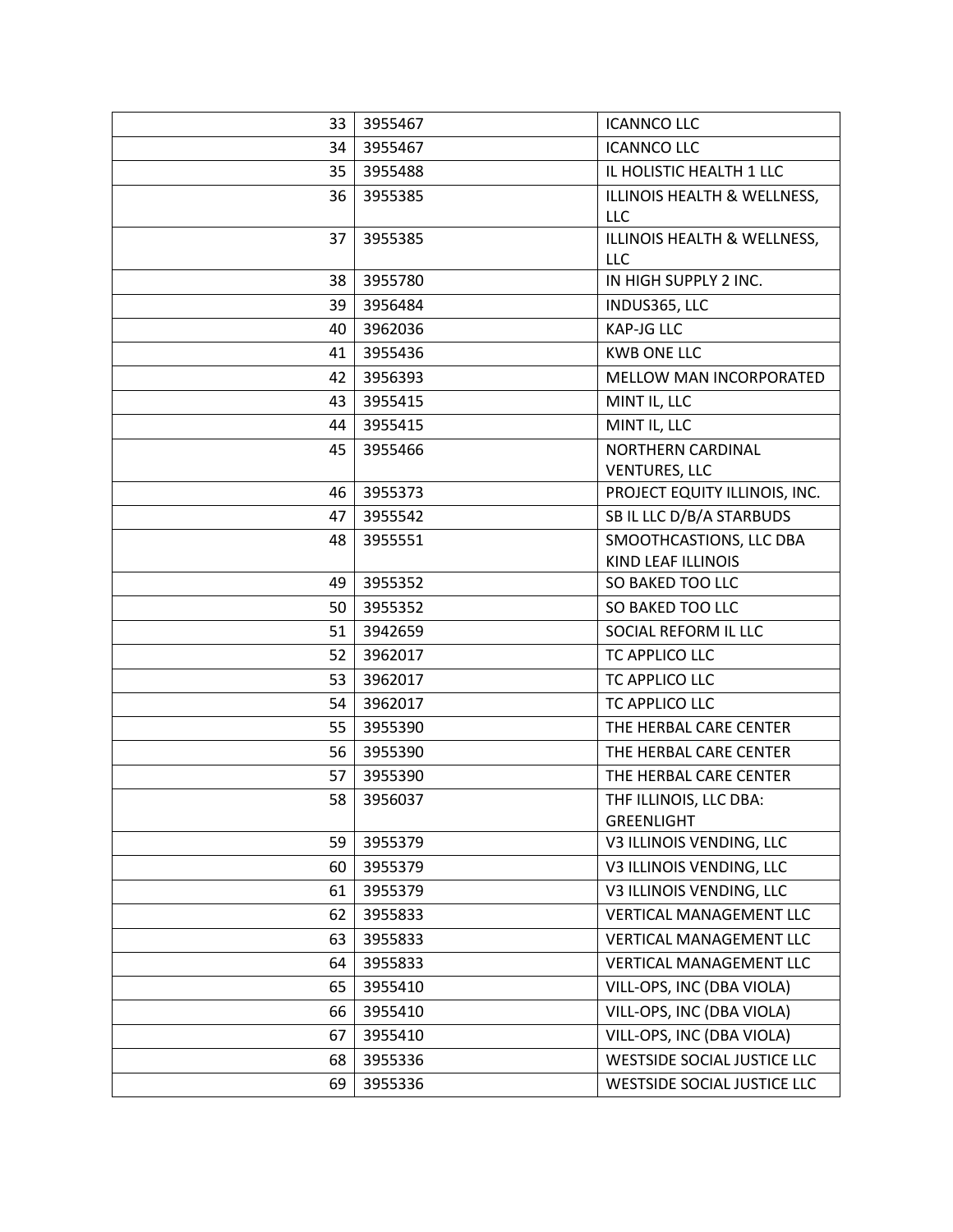| 33 | 3955467 | <b>ICANNCO LLC</b>                               |
|----|---------|--------------------------------------------------|
| 34 | 3955467 | <b>ICANNCO LLC</b>                               |
| 35 | 3955488 | IL HOLISTIC HEALTH 1 LLC                         |
| 36 | 3955385 | ILLINOIS HEALTH & WELLNESS,<br><b>LLC</b>        |
| 37 | 3955385 | ILLINOIS HEALTH & WELLNESS,<br><b>LLC</b>        |
| 38 | 3955780 | IN HIGH SUPPLY 2 INC.                            |
| 39 | 3956484 | INDUS365, LLC                                    |
| 40 | 3962036 | <b>KAP-JG LLC</b>                                |
| 41 | 3955436 | <b>KWB ONE LLC</b>                               |
| 42 | 3956393 | MELLOW MAN INCORPORATED                          |
| 43 | 3955415 | MINT IL, LLC                                     |
| 44 | 3955415 | MINT IL, LLC                                     |
| 45 | 3955466 | <b>NORTHERN CARDINAL</b><br><b>VENTURES, LLC</b> |
| 46 | 3955373 | PROJECT EQUITY ILLINOIS, INC.                    |
| 47 | 3955542 | SB IL LLC D/B/A STARBUDS                         |
| 48 | 3955551 | SMOOTHCASTIONS, LLC DBA<br>KIND LEAF ILLINOIS    |
| 49 | 3955352 | SO BAKED TOO LLC                                 |
| 50 | 3955352 | SO BAKED TOO LLC                                 |
| 51 | 3942659 | SOCIAL REFORM IL LLC                             |
| 52 | 3962017 | TC APPLICO LLC                                   |
| 53 | 3962017 | TC APPLICO LLC                                   |
| 54 | 3962017 | TC APPLICO LLC                                   |
| 55 | 3955390 | THE HERBAL CARE CENTER                           |
| 56 | 3955390 | THE HERBAL CARE CENTER                           |
| 57 | 3955390 | THE HERBAL CARE CENTER                           |
| 58 | 3956037 | THF ILLINOIS, LLC DBA:<br><b>GREENLIGHT</b>      |
| 59 | 3955379 | V3 ILLINOIS VENDING, LLC                         |
| 60 | 3955379 | V3 ILLINOIS VENDING, LLC                         |
| 61 | 3955379 | V3 ILLINOIS VENDING, LLC                         |
| 62 | 3955833 | <b>VERTICAL MANAGEMENT LLC</b>                   |
| 63 | 3955833 | <b>VERTICAL MANAGEMENT LLC</b>                   |
| 64 | 3955833 | <b>VERTICAL MANAGEMENT LLC</b>                   |
| 65 | 3955410 | VILL-OPS, INC (DBA VIOLA)                        |
| 66 | 3955410 | VILL-OPS, INC (DBA VIOLA)                        |
| 67 | 3955410 | VILL-OPS, INC (DBA VIOLA)                        |
| 68 | 3955336 | <b>WESTSIDE SOCIAL JUSTICE LLC</b>               |
| 69 | 3955336 | WESTSIDE SOCIAL JUSTICE LLC                      |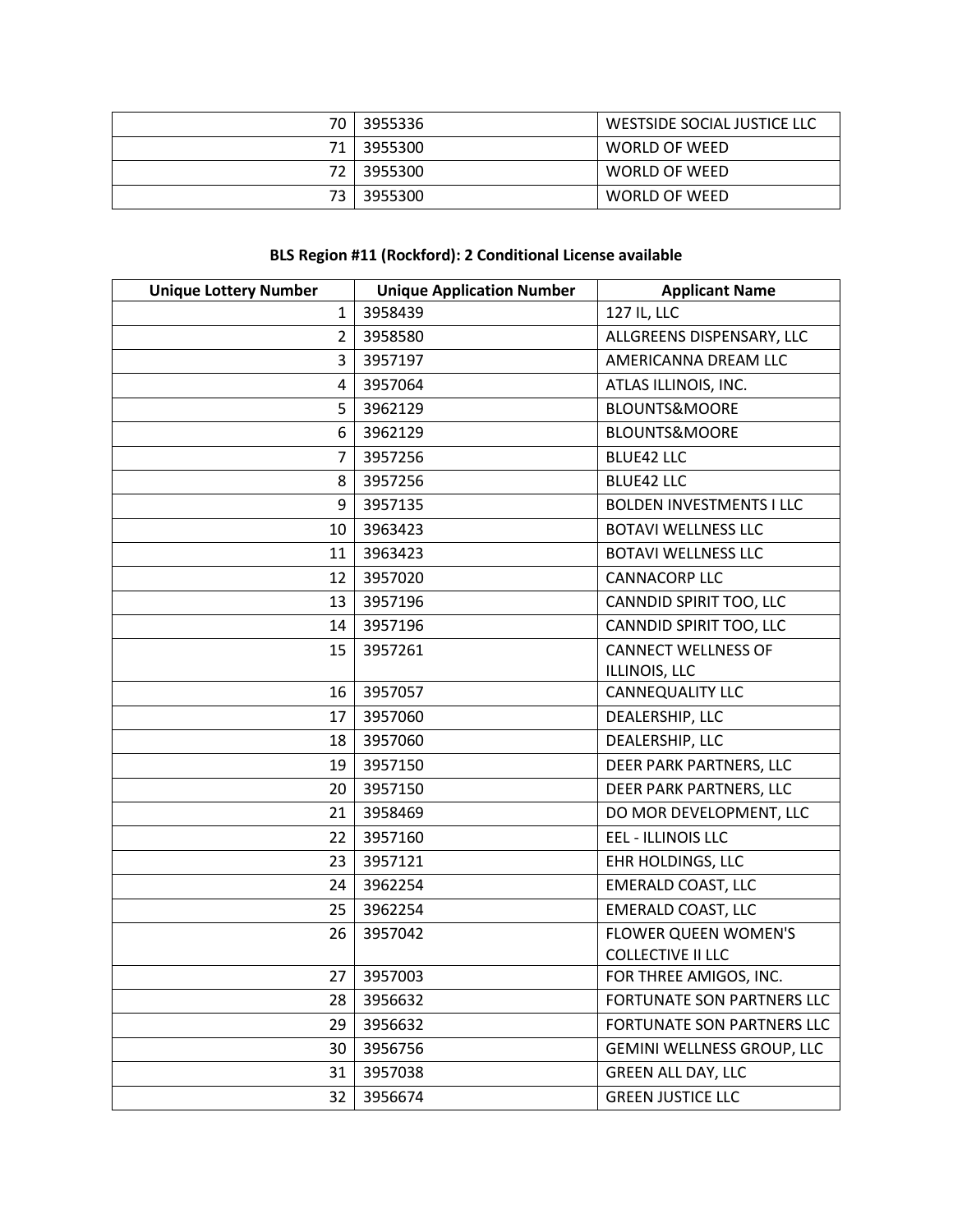| 70.  | 3955336    | WESTSIDE SOCIAL JUSTICE LLC |
|------|------------|-----------------------------|
| 71 I | 3955300    | WORLD OF WEED               |
|      | 72 3955300 | WORLD OF WEED               |
| 73.  | 3955300    | WORLD OF WEED               |

# **BLS Region #11 (Rockford): 2 Conditional License available**

| <b>Unique Lottery Number</b> | <b>Unique Application Number</b> | <b>Applicant Name</b>             |
|------------------------------|----------------------------------|-----------------------------------|
| $\mathbf{1}$                 | 3958439                          | 127 IL, LLC                       |
| $\overline{2}$               | 3958580                          | ALLGREENS DISPENSARY, LLC         |
| 3                            | 3957197                          | AMERICANNA DREAM LLC              |
| 4                            | 3957064                          | ATLAS ILLINOIS, INC.              |
| 5                            | 3962129                          | <b>BLOUNTS&amp;MOORE</b>          |
| 6                            | 3962129                          | <b>BLOUNTS&amp;MOORE</b>          |
| 7                            | 3957256                          | <b>BLUE42 LLC</b>                 |
| 8                            | 3957256                          | <b>BLUE42 LLC</b>                 |
| 9                            | 3957135                          | <b>BOLDEN INVESTMENTS I LLC</b>   |
| 10                           | 3963423                          | <b>BOTAVI WELLNESS LLC</b>        |
| 11                           | 3963423                          | <b>BOTAVI WELLNESS LLC</b>        |
| 12                           | 3957020                          | <b>CANNACORP LLC</b>              |
| 13                           | 3957196                          | CANNDID SPIRIT TOO, LLC           |
| 14                           | 3957196                          | CANNDID SPIRIT TOO, LLC           |
| 15                           | 3957261                          | <b>CANNECT WELLNESS OF</b>        |
|                              |                                  | ILLINOIS, LLC                     |
| 16                           | 3957057                          | CANNEQUALITY LLC                  |
| 17                           | 3957060                          | DEALERSHIP, LLC                   |
| 18                           | 3957060                          | DEALERSHIP, LLC                   |
| 19                           | 3957150                          | DEER PARK PARTNERS, LLC           |
| 20                           | 3957150                          | DEER PARK PARTNERS, LLC           |
| 21                           | 3958469                          | DO MOR DEVELOPMENT, LLC           |
| 22                           | 3957160                          | EEL - ILLINOIS LLC                |
| 23                           | 3957121                          | EHR HOLDINGS, LLC                 |
| 24                           | 3962254                          | <b>EMERALD COAST, LLC</b>         |
| 25                           | 3962254                          | <b>EMERALD COAST, LLC</b>         |
| 26                           | 3957042                          | <b>FLOWER QUEEN WOMEN'S</b>       |
|                              |                                  | <b>COLLECTIVE II LLC</b>          |
|                              | 27 3957003                       | FOR THREE AMIGOS, INC.            |
| 28                           | 3956632                          | <b>FORTUNATE SON PARTNERS LLC</b> |
| 29                           | 3956632                          | FORTUNATE SON PARTNERS LLC        |
| 30                           | 3956756                          | GEMINI WELLNESS GROUP, LLC        |
| 31                           | 3957038                          | <b>GREEN ALL DAY, LLC</b>         |
| 32                           | 3956674                          | <b>GREEN JUSTICE LLC</b>          |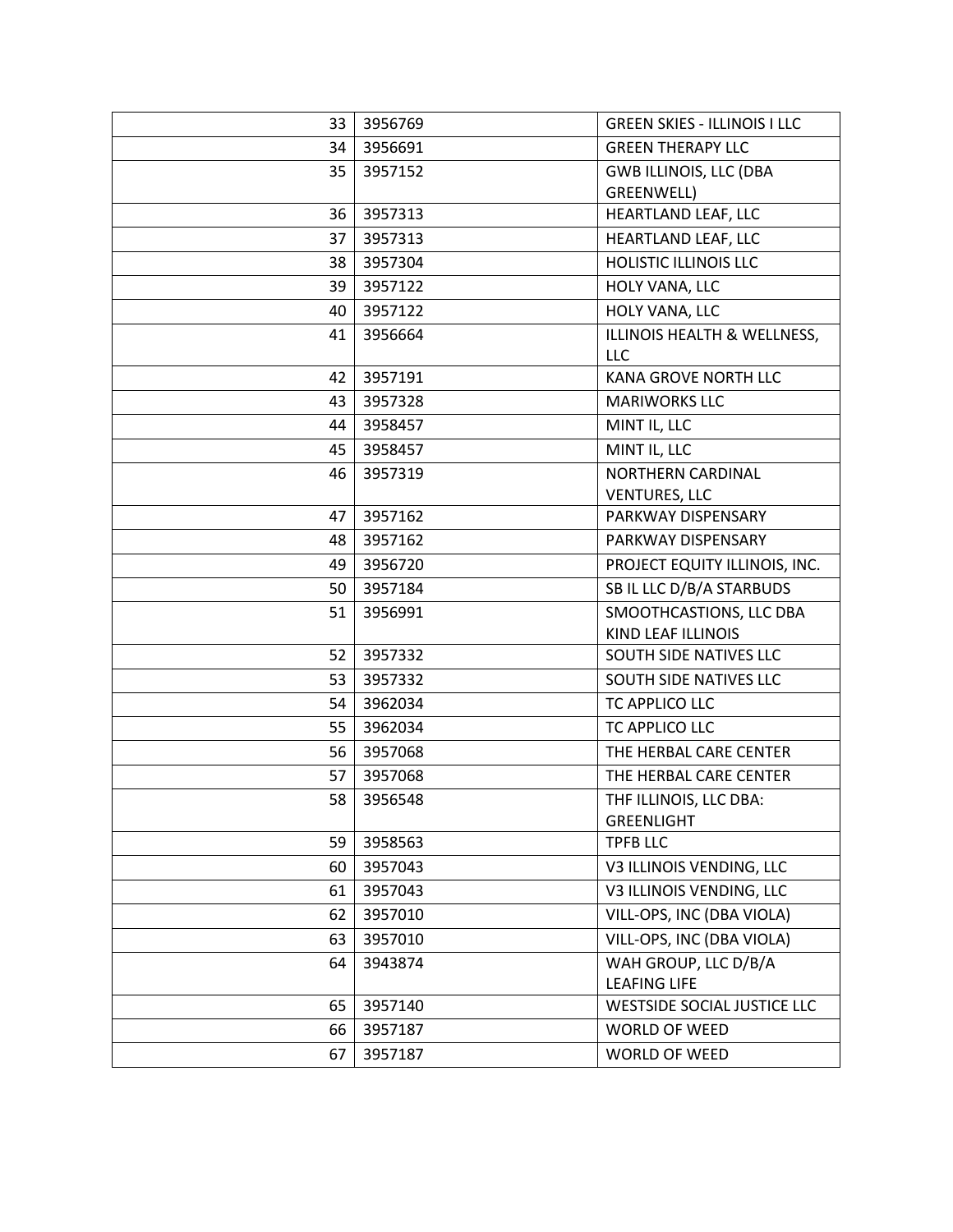| 33 | 3956769 | <b>GREEN SKIES - ILLINOIS I LLC</b>          |
|----|---------|----------------------------------------------|
| 34 | 3956691 | <b>GREEN THERAPY LLC</b>                     |
| 35 | 3957152 | <b>GWB ILLINOIS, LLC (DBA</b>                |
|    |         | GREENWELL)                                   |
| 36 | 3957313 | HEARTLAND LEAF, LLC                          |
| 37 | 3957313 | HEARTLAND LEAF, LLC                          |
| 38 | 3957304 | <b>HOLISTIC ILLINOIS LLC</b>                 |
| 39 | 3957122 | HOLY VANA, LLC                               |
| 40 | 3957122 | HOLY VANA, LLC                               |
| 41 | 3956664 | ILLINOIS HEALTH & WELLNESS,                  |
|    |         | <b>LLC</b>                                   |
| 42 | 3957191 | <b>KANA GROVE NORTH LLC</b>                  |
| 43 | 3957328 | <b>MARIWORKS LLC</b>                         |
| 44 | 3958457 | MINT IL, LLC                                 |
| 45 | 3958457 | MINT IL, LLC                                 |
| 46 | 3957319 | NORTHERN CARDINAL                            |
|    |         | <b>VENTURES, LLC</b>                         |
| 47 | 3957162 | PARKWAY DISPENSARY                           |
| 48 | 3957162 | PARKWAY DISPENSARY                           |
| 49 | 3956720 | PROJECT EQUITY ILLINOIS, INC.                |
| 50 | 3957184 | SB IL LLC D/B/A STARBUDS                     |
| 51 | 3956991 | SMOOTHCASTIONS, LLC DBA                      |
| 52 | 3957332 | KIND LEAF ILLINOIS<br>SOUTH SIDE NATIVES LLC |
| 53 | 3957332 | SOUTH SIDE NATIVES LLC                       |
| 54 | 3962034 | TC APPLICO LLC                               |
| 55 | 3962034 | TC APPLICO LLC                               |
| 56 | 3957068 | THE HERBAL CARE CENTER                       |
|    |         | THE HERBAL CARE CENTER                       |
| 57 | 3957068 |                                              |
| 58 | 3956548 | THF ILLINOIS, LLC DBA:<br><b>GREENLIGHT</b>  |
| 59 | 3958563 | <b>TPFB LLC</b>                              |
| 60 | 3957043 | V3 ILLINOIS VENDING, LLC                     |
| 61 | 3957043 | V3 ILLINOIS VENDING, LLC                     |
| 62 | 3957010 | VILL-OPS, INC (DBA VIOLA)                    |
| 63 | 3957010 | VILL-OPS, INC (DBA VIOLA)                    |
| 64 | 3943874 | WAH GROUP, LLC D/B/A                         |
|    |         | <b>LEAFING LIFE</b>                          |
| 65 | 3957140 | WESTSIDE SOCIAL JUSTICE LLC                  |
| 66 | 3957187 | WORLD OF WEED                                |
| 67 | 3957187 | WORLD OF WEED                                |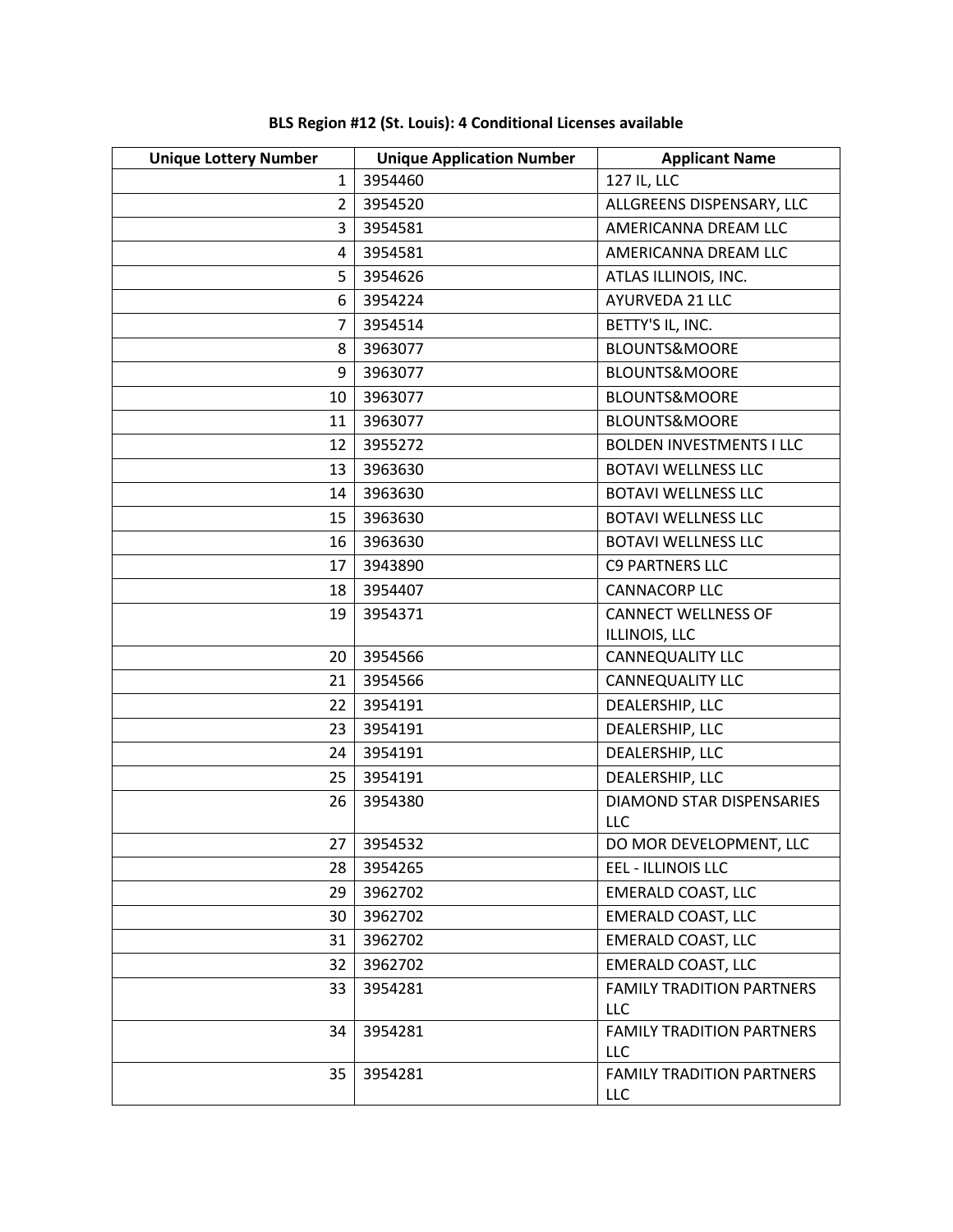| <b>Unique Lottery Number</b><br>$\mathbf{1}$ | <b>Unique Application Number</b><br>3954460 | <b>Applicant Name</b><br>127 IL, LLC    |
|----------------------------------------------|---------------------------------------------|-----------------------------------------|
| $\overline{2}$                               | 3954520                                     |                                         |
|                                              |                                             | ALLGREENS DISPENSARY, LLC               |
| 3                                            | 3954581                                     | AMERICANNA DREAM LLC                    |
| 4                                            | 3954581                                     | AMERICANNA DREAM LLC                    |
| 5                                            | 3954626                                     | ATLAS ILLINOIS, INC.                    |
| 6                                            | 3954224                                     | AYURVEDA 21 LLC                         |
| $\overline{7}$                               | 3954514                                     | BETTY'S IL, INC.                        |
| 8                                            | 3963077                                     | <b>BLOUNTS&amp;MOORE</b>                |
| 9                                            | 3963077                                     | BLOUNTS&MOORE                           |
| 10                                           | 3963077                                     | BLOUNTS&MOORE                           |
| 11                                           | 3963077                                     | <b>BLOUNTS&amp;MOORE</b>                |
| 12                                           | 3955272                                     | <b>BOLDEN INVESTMENTS I LLC</b>         |
| 13                                           | 3963630                                     | <b>BOTAVI WELLNESS LLC</b>              |
| 14                                           | 3963630                                     | <b>BOTAVI WELLNESS LLC</b>              |
| 15                                           | 3963630                                     | <b>BOTAVI WELLNESS LLC</b>              |
| 16                                           | 3963630                                     | <b>BOTAVI WELLNESS LLC</b>              |
| 17                                           | 3943890                                     | <b>C9 PARTNERS LLC</b>                  |
| 18                                           | 3954407                                     | <b>CANNACORP LLC</b>                    |
| 19                                           | 3954371                                     | <b>CANNECT WELLNESS OF</b>              |
|                                              |                                             | ILLINOIS, LLC                           |
| 20                                           | 3954566                                     | CANNEQUALITY LLC                        |
| 21                                           | 3954566                                     | <b>CANNEQUALITY LLC</b>                 |
| 22                                           | 3954191                                     | DEALERSHIP, LLC                         |
| 23                                           | 3954191                                     | DEALERSHIP, LLC                         |
| 24                                           | 3954191                                     | DEALERSHIP, LLC                         |
| 25                                           | 3954191                                     | DEALERSHIP, LLC                         |
| 26                                           | 3954380                                     | <b>DIAMOND STAR DISPENSARIES</b>        |
|                                              | 27 3954532                                  | LLC                                     |
|                                              |                                             | DO MOR DEVELOPMENT, LLC                 |
| 28                                           | 3954265                                     | EEL - ILLINOIS LLC                      |
| 29                                           | 3962702                                     | <b>EMERALD COAST, LLC</b>               |
| 30                                           | 3962702                                     | <b>EMERALD COAST, LLC</b>               |
| 31                                           | 3962702                                     | <b>EMERALD COAST, LLC</b>               |
| 32                                           | 3962702                                     | <b>EMERALD COAST, LLC</b>               |
| 33                                           | 3954281                                     | <b>FAMILY TRADITION PARTNERS</b><br>LLC |
| 34                                           | 3954281                                     | <b>FAMILY TRADITION PARTNERS</b>        |
|                                              |                                             | <b>LLC</b>                              |
| 35                                           | 3954281                                     | <b>FAMILY TRADITION PARTNERS</b>        |
|                                              |                                             | LLC                                     |

**BLS Region #12 (St. Louis): 4 Conditional Licenses available**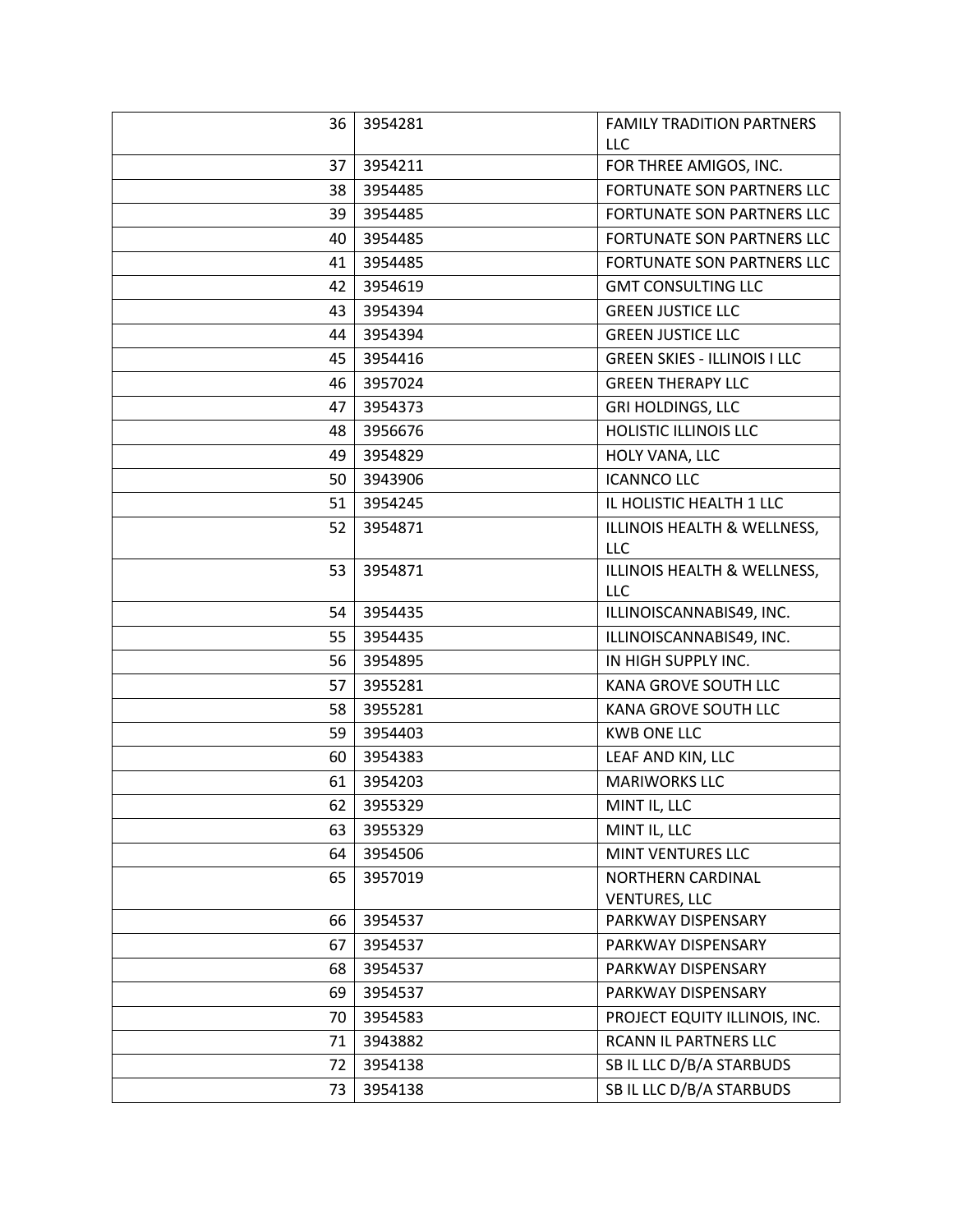| 36 | 3954281 | <b>FAMILY TRADITION PARTNERS</b>    |
|----|---------|-------------------------------------|
|    |         | LLC                                 |
| 37 | 3954211 | FOR THREE AMIGOS, INC.              |
| 38 | 3954485 | <b>FORTUNATE SON PARTNERS LLC</b>   |
| 39 | 3954485 | FORTUNATE SON PARTNERS LLC          |
| 40 | 3954485 | FORTUNATE SON PARTNERS LLC          |
| 41 | 3954485 | FORTUNATE SON PARTNERS LLC          |
| 42 | 3954619 | <b>GMT CONSULTING LLC</b>           |
| 43 | 3954394 | <b>GREEN JUSTICE LLC</b>            |
| 44 | 3954394 | <b>GREEN JUSTICE LLC</b>            |
| 45 | 3954416 | <b>GREEN SKIES - ILLINOIS I LLC</b> |
| 46 | 3957024 | <b>GREEN THERAPY LLC</b>            |
| 47 | 3954373 | <b>GRI HOLDINGS, LLC</b>            |
| 48 | 3956676 | HOLISTIC ILLINOIS LLC               |
| 49 | 3954829 | HOLY VANA, LLC                      |
| 50 | 3943906 | <b>ICANNCO LLC</b>                  |
| 51 | 3954245 | IL HOLISTIC HEALTH 1 LLC            |
| 52 | 3954871 | ILLINOIS HEALTH & WELLNESS,         |
|    |         | LLC                                 |
| 53 | 3954871 | ILLINOIS HEALTH & WELLNESS,         |
|    |         | LLC                                 |
| 54 | 3954435 | ILLINOISCANNABIS49, INC.            |
| 55 | 3954435 | ILLINOISCANNABIS49, INC.            |
| 56 | 3954895 | IN HIGH SUPPLY INC.                 |
| 57 | 3955281 | KANA GROVE SOUTH LLC                |
| 58 | 3955281 | KANA GROVE SOUTH LLC                |
| 59 | 3954403 | <b>KWB ONE LLC</b>                  |
| 60 | 3954383 | LEAF AND KIN, LLC                   |
| 61 | 3954203 | <b>MARIWORKS LLC</b>                |
| 62 | 3955329 | MINT IL, LLC                        |
| 63 | 3955329 | MINT IL, LLC                        |
| 64 | 3954506 | MINT VENTURES LLC                   |
| 65 | 3957019 | <b>NORTHERN CARDINAL</b>            |
|    |         | <b>VENTURES, LLC</b>                |
| 66 | 3954537 | PARKWAY DISPENSARY                  |
| 67 | 3954537 | PARKWAY DISPENSARY                  |
| 68 | 3954537 | PARKWAY DISPENSARY                  |
| 69 | 3954537 | PARKWAY DISPENSARY                  |
| 70 | 3954583 | PROJECT EQUITY ILLINOIS, INC.       |
| 71 | 3943882 | RCANN IL PARTNERS LLC               |
| 72 | 3954138 | SB IL LLC D/B/A STARBUDS            |
| 73 | 3954138 | SB IL LLC D/B/A STARBUDS            |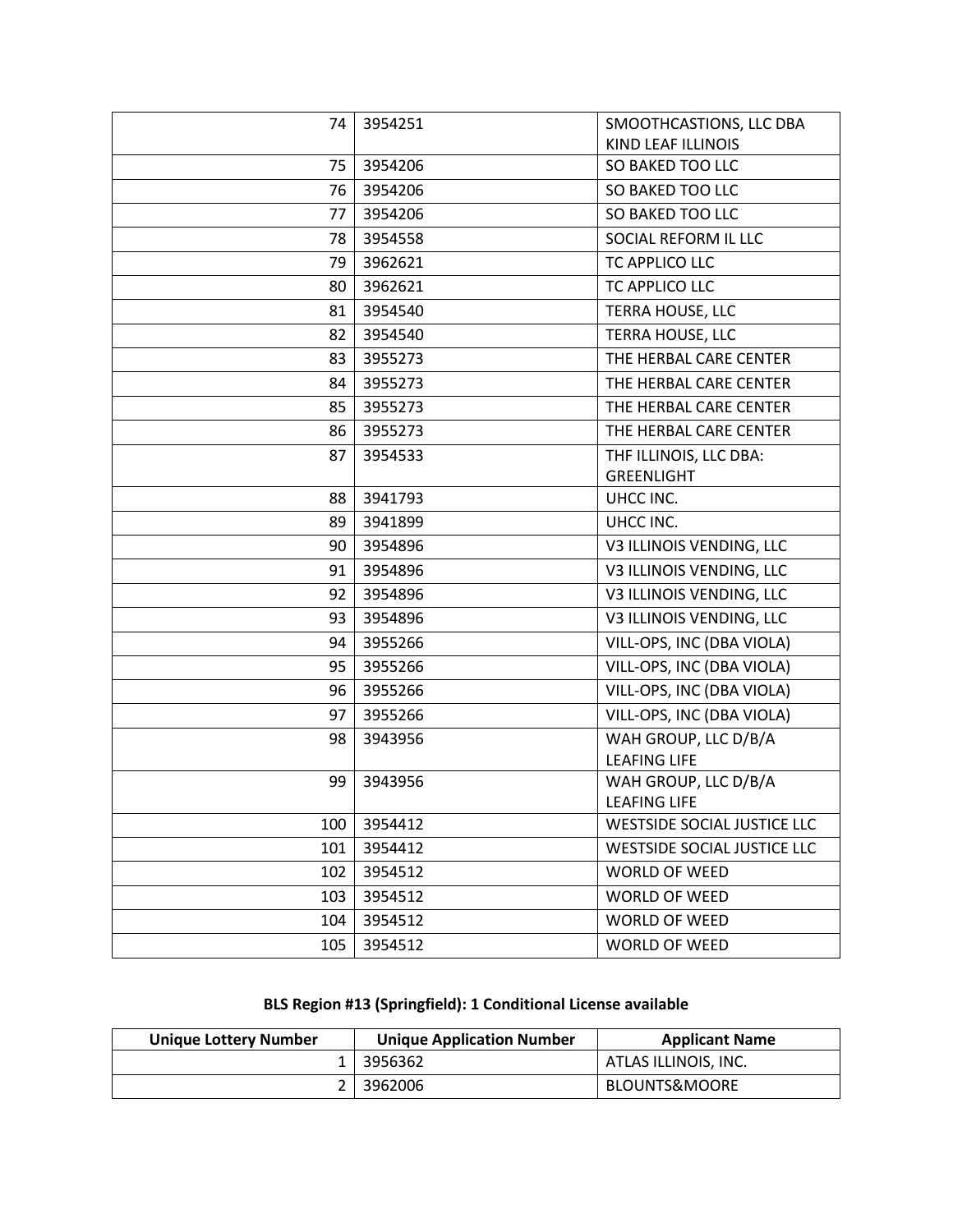| 74  | 3954251 | SMOOTHCASTIONS, LLC DBA            |
|-----|---------|------------------------------------|
|     |         | KIND LEAF ILLINOIS                 |
| 75  | 3954206 | SO BAKED TOO LLC                   |
| 76  | 3954206 | SO BAKED TOO LLC                   |
| 77  | 3954206 | SO BAKED TOO LLC                   |
| 78  | 3954558 | SOCIAL REFORM IL LLC               |
| 79  | 3962621 | TC APPLICO LLC                     |
| 80  | 3962621 | TC APPLICO LLC                     |
| 81  | 3954540 | TERRA HOUSE, LLC                   |
| 82  | 3954540 | TERRA HOUSE, LLC                   |
| 83  | 3955273 | THE HERBAL CARE CENTER             |
| 84  | 3955273 | THE HERBAL CARE CENTER             |
| 85  | 3955273 | THE HERBAL CARE CENTER             |
| 86  | 3955273 | THE HERBAL CARE CENTER             |
| 87  | 3954533 | THF ILLINOIS, LLC DBA:             |
|     |         | <b>GREENLIGHT</b>                  |
| 88  | 3941793 | UHCC INC.                          |
| 89  | 3941899 | UHCC INC.                          |
| 90  | 3954896 | V3 ILLINOIS VENDING, LLC           |
| 91  | 3954896 | V3 ILLINOIS VENDING, LLC           |
| 92  | 3954896 | V3 ILLINOIS VENDING, LLC           |
| 93  | 3954896 | V3 ILLINOIS VENDING, LLC           |
| 94  | 3955266 | VILL-OPS, INC (DBA VIOLA)          |
| 95  | 3955266 | VILL-OPS, INC (DBA VIOLA)          |
| 96  | 3955266 | VILL-OPS, INC (DBA VIOLA)          |
| 97  | 3955266 | VILL-OPS, INC (DBA VIOLA)          |
| 98  | 3943956 | WAH GROUP, LLC D/B/A               |
|     |         | <b>LEAFING LIFE</b>                |
| 99  | 3943956 | WAH GROUP, LLC D/B/A               |
|     |         | <b>LEAFING LIFE</b>                |
| 100 | 3954412 | <b>WESTSIDE SOCIAL JUSTICE LLC</b> |
| 101 | 3954412 | <b>WESTSIDE SOCIAL JUSTICE LLC</b> |
| 102 | 3954512 | <b>WORLD OF WEED</b>               |
| 103 | 3954512 | <b>WORLD OF WEED</b>               |
| 104 | 3954512 | <b>WORLD OF WEED</b>               |
| 105 | 3954512 | WORLD OF WEED                      |

# **BLS Region #13 (Springfield): 1 Conditional License available**

| <b>Unique Lottery Number</b> | <b>Unique Application Number</b> | <b>Applicant Name</b> |
|------------------------------|----------------------------------|-----------------------|
|                              | 1 3956362                        | ATLAS ILLINOIS, INC.  |
|                              | 2 3962006                        | BLOUNTS&MOORE         |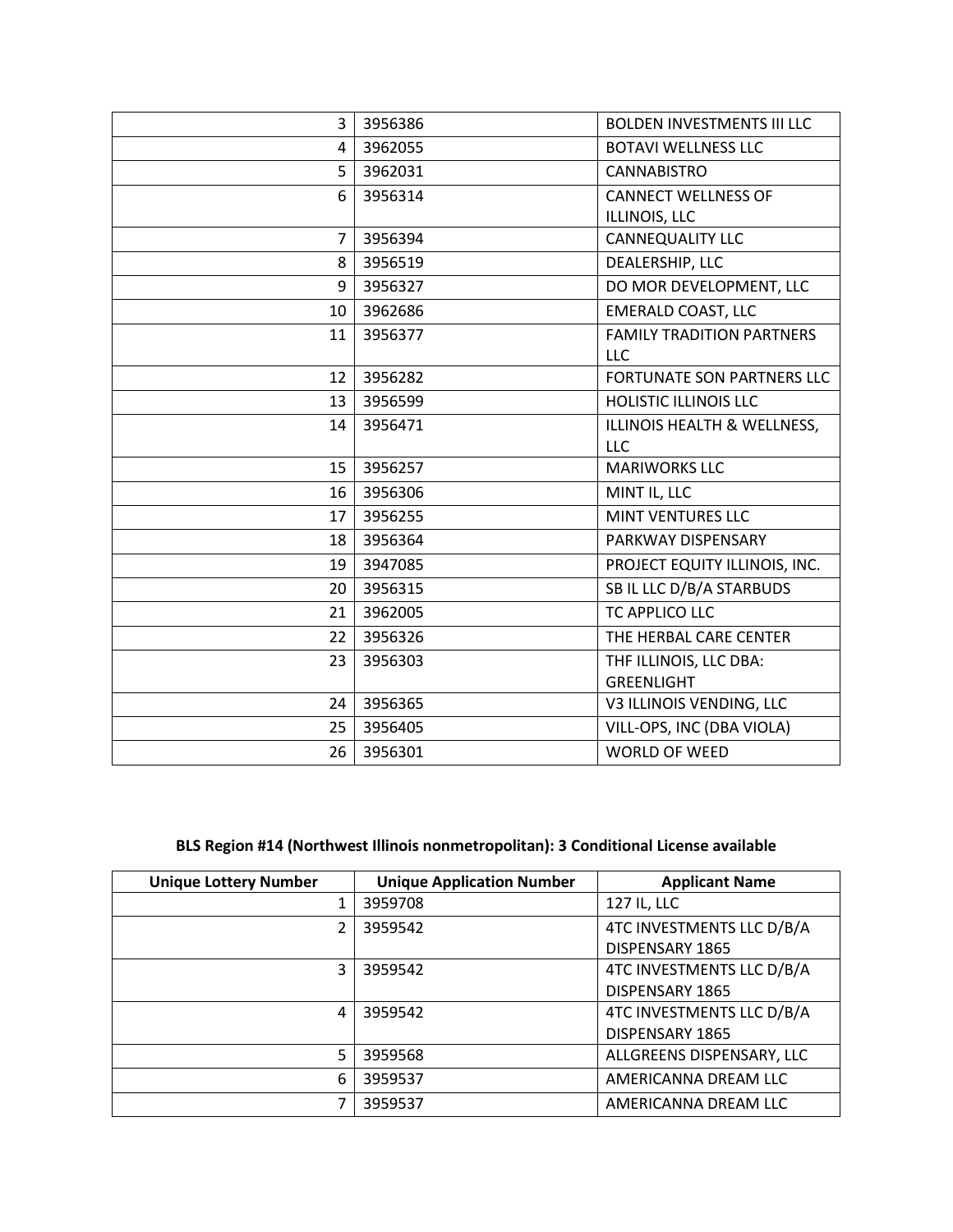| 3              | 3956386 | <b>BOLDEN INVESTMENTS III LLC</b>       |
|----------------|---------|-----------------------------------------|
| 4              | 3962055 | <b>BOTAVI WELLNESS LLC</b>              |
| 5              | 3962031 | <b>CANNABISTRO</b>                      |
| 6              | 3956314 | <b>CANNECT WELLNESS OF</b>              |
|                |         | ILLINOIS, LLC                           |
| $\overline{7}$ | 3956394 | CANNEQUALITY LLC                        |
| 8              | 3956519 | DEALERSHIP, LLC                         |
| 9              | 3956327 | DO MOR DEVELOPMENT, LLC                 |
| 10             | 3962686 | <b>EMERALD COAST, LLC</b>               |
| 11             | 3956377 | <b>FAMILY TRADITION PARTNERS</b><br>LLC |
| 12             | 3956282 | <b>FORTUNATE SON PARTNERS LLC</b>       |
| 13             | 3956599 | <b>HOLISTIC ILLINOIS LLC</b>            |
| 14             | 3956471 | ILLINOIS HEALTH & WELLNESS,             |
|                |         | <b>LLC</b>                              |
| 15             | 3956257 | <b>MARIWORKS LLC</b>                    |
| 16             | 3956306 | MINT IL, LLC                            |
| 17             | 3956255 | MINT VENTURES LLC                       |
| 18             | 3956364 | PARKWAY DISPENSARY                      |
| 19             | 3947085 | PROJECT EQUITY ILLINOIS, INC.           |
| 20             | 3956315 | SB IL LLC D/B/A STARBUDS                |
| 21             | 3962005 | TC APPLICO LLC                          |
| 22             | 3956326 | THE HERBAL CARE CENTER                  |
| 23             | 3956303 | THF ILLINOIS, LLC DBA:                  |
|                |         | <b>GREENLIGHT</b>                       |
| 24             | 3956365 | V3 ILLINOIS VENDING, LLC                |
| 25             | 3956405 | VILL-OPS, INC (DBA VIOLA)               |
| 26             | 3956301 | <b>WORLD OF WEED</b>                    |

#### **BLS Region #14 (Northwest Illinois nonmetropolitan): 3 Conditional License available**

| <b>Unique Lottery Number</b> | <b>Unique Application Number</b> | <b>Applicant Name</b>     |
|------------------------------|----------------------------------|---------------------------|
|                              | 3959708                          | 127 IL, LLC               |
| 2                            | 3959542                          | 4TC INVESTMENTS LLC D/B/A |
|                              |                                  | DISPENSARY 1865           |
| 3                            | 3959542                          | 4TC INVESTMENTS LLC D/B/A |
|                              |                                  | DISPENSARY 1865           |
| 4                            | 3959542                          | 4TC INVESTMENTS LLC D/B/A |
|                              |                                  | DISPENSARY 1865           |
| 5                            | 3959568                          | ALLGREENS DISPENSARY, LLC |
| 6                            | 3959537                          | AMERICANNA DREAM LLC      |
|                              | 3959537                          | AMERICANNA DREAM LLC      |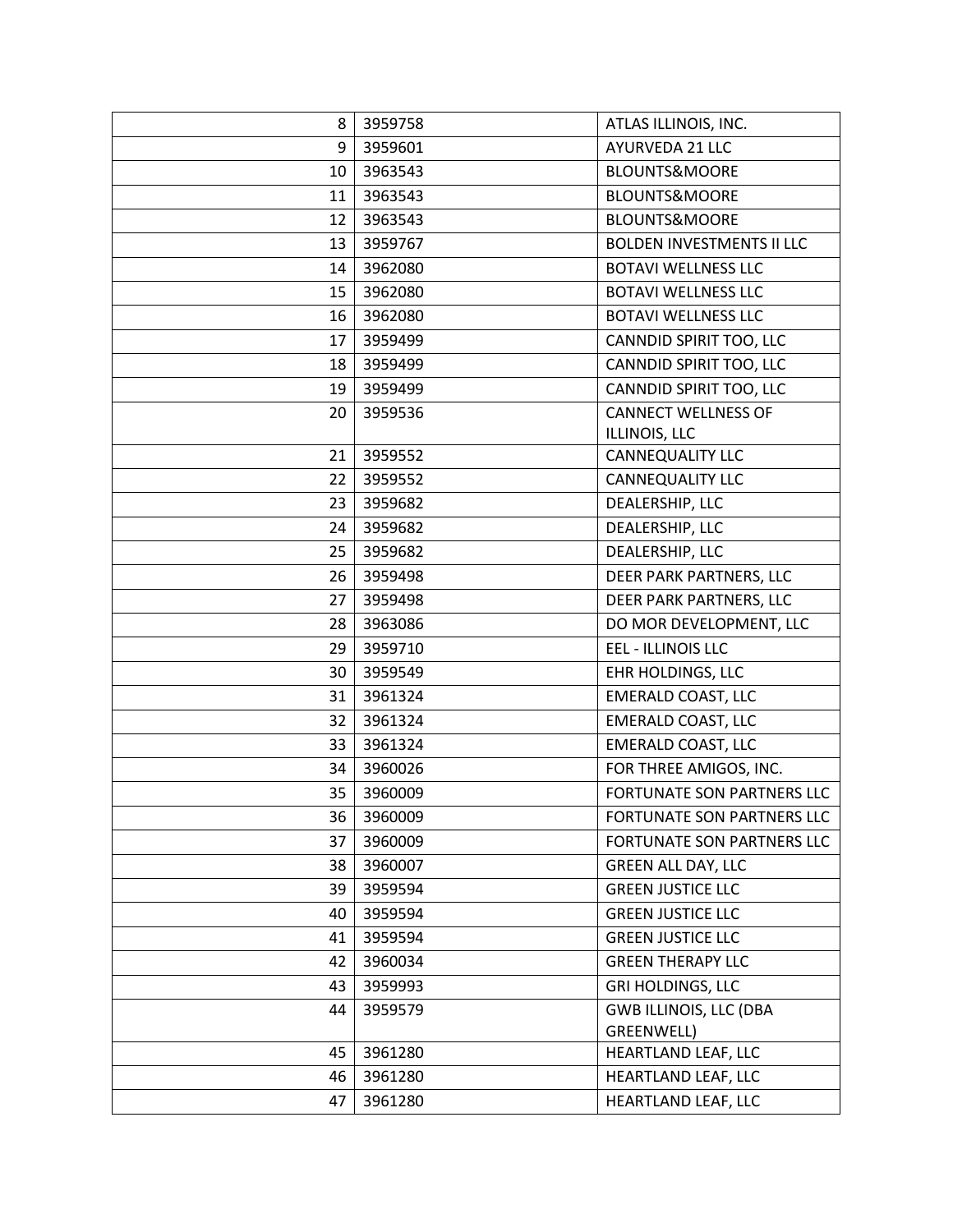| 8  | 3959758 | ATLAS ILLINOIS, INC.              |
|----|---------|-----------------------------------|
| 9  | 3959601 | AYURVEDA 21 LLC                   |
| 10 | 3963543 | BLOUNTS&MOORE                     |
| 11 | 3963543 | <b>BLOUNTS&amp;MOORE</b>          |
| 12 | 3963543 | BLOUNTS&MOORE                     |
| 13 | 3959767 | <b>BOLDEN INVESTMENTS II LLC</b>  |
| 14 | 3962080 | <b>BOTAVI WELLNESS LLC</b>        |
| 15 | 3962080 | <b>BOTAVI WELLNESS LLC</b>        |
| 16 | 3962080 | <b>BOTAVI WELLNESS LLC</b>        |
| 17 | 3959499 | CANNDID SPIRIT TOO, LLC           |
| 18 | 3959499 | CANNDID SPIRIT TOO, LLC           |
| 19 | 3959499 | CANNDID SPIRIT TOO, LLC           |
| 20 | 3959536 | <b>CANNECT WELLNESS OF</b>        |
|    |         | ILLINOIS, LLC                     |
| 21 | 3959552 | CANNEQUALITY LLC                  |
| 22 | 3959552 | CANNEQUALITY LLC                  |
| 23 | 3959682 | DEALERSHIP, LLC                   |
| 24 | 3959682 | DEALERSHIP, LLC                   |
| 25 | 3959682 | DEALERSHIP, LLC                   |
| 26 | 3959498 | DEER PARK PARTNERS, LLC           |
| 27 | 3959498 | DEER PARK PARTNERS, LLC           |
| 28 | 3963086 | DO MOR DEVELOPMENT, LLC           |
| 29 | 3959710 | <b>EEL - ILLINOIS LLC</b>         |
| 30 | 3959549 | <b>EHR HOLDINGS, LLC</b>          |
| 31 | 3961324 | <b>EMERALD COAST, LLC</b>         |
| 32 | 3961324 | <b>EMERALD COAST, LLC</b>         |
| 33 | 3961324 | <b>EMERALD COAST, LLC</b>         |
| 34 | 3960026 | FOR THREE AMIGOS, INC.            |
| 35 | 3960009 | <b>FORTUNATE SON PARTNERS LLC</b> |
| 36 | 3960009 | FORTUNATE SON PARTNERS LLC        |
| 37 | 3960009 | FORTUNATE SON PARTNERS LLC        |
| 38 | 3960007 | <b>GREEN ALL DAY, LLC</b>         |
| 39 | 3959594 | <b>GREEN JUSTICE LLC</b>          |
| 40 | 3959594 | <b>GREEN JUSTICE LLC</b>          |
| 41 | 3959594 | <b>GREEN JUSTICE LLC</b>          |
| 42 | 3960034 | <b>GREEN THERAPY LLC</b>          |
| 43 | 3959993 | <b>GRI HOLDINGS, LLC</b>          |
| 44 | 3959579 | <b>GWB ILLINOIS, LLC (DBA</b>     |
|    |         | GREENWELL)                        |
| 45 | 3961280 | HEARTLAND LEAF, LLC               |
| 46 | 3961280 | HEARTLAND LEAF, LLC               |
| 47 | 3961280 | HEARTLAND LEAF, LLC               |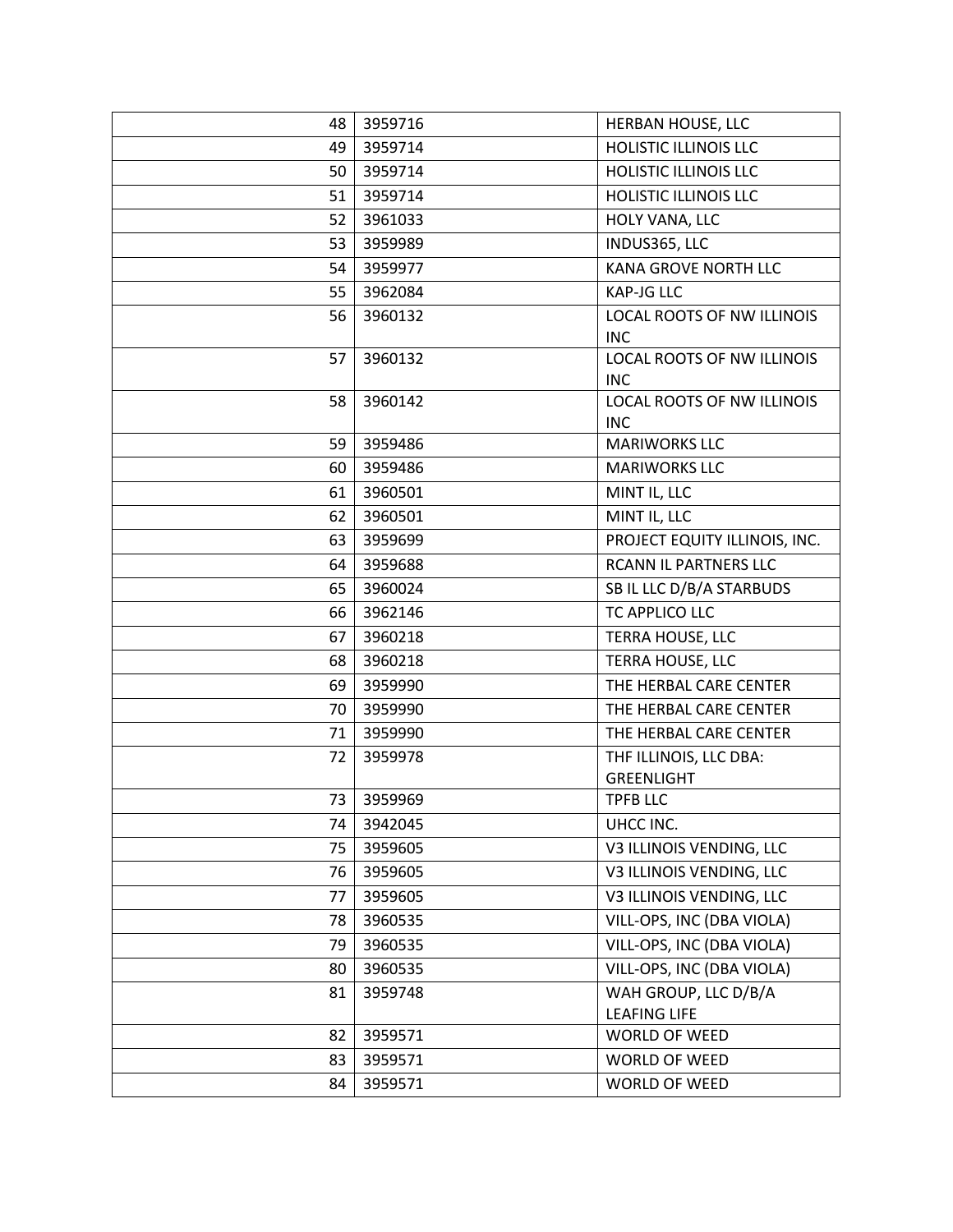| 48 | 3959716 | HERBAN HOUSE, LLC                           |
|----|---------|---------------------------------------------|
| 49 | 3959714 | <b>HOLISTIC ILLINOIS LLC</b>                |
| 50 | 3959714 | <b>HOLISTIC ILLINOIS LLC</b>                |
| 51 | 3959714 | <b>HOLISTIC ILLINOIS LLC</b>                |
| 52 | 3961033 | HOLY VANA, LLC                              |
| 53 | 3959989 | INDUS365, LLC                               |
| 54 | 3959977 | KANA GROVE NORTH LLC                        |
| 55 | 3962084 | <b>KAP-JG LLC</b>                           |
| 56 | 3960132 | LOCAL ROOTS OF NW ILLINOIS<br><b>INC</b>    |
| 57 | 3960132 | LOCAL ROOTS OF NW ILLINOIS<br><b>INC</b>    |
| 58 | 3960142 | LOCAL ROOTS OF NW ILLINOIS<br><b>INC</b>    |
| 59 | 3959486 | <b>MARIWORKS LLC</b>                        |
| 60 | 3959486 | <b>MARIWORKS LLC</b>                        |
| 61 | 3960501 | MINT IL, LLC                                |
| 62 | 3960501 | MINT IL, LLC                                |
| 63 | 3959699 | PROJECT EQUITY ILLINOIS, INC.               |
| 64 | 3959688 | RCANN IL PARTNERS LLC                       |
| 65 | 3960024 | SB IL LLC D/B/A STARBUDS                    |
| 66 | 3962146 | TC APPLICO LLC                              |
| 67 | 3960218 | TERRA HOUSE, LLC                            |
| 68 | 3960218 | TERRA HOUSE, LLC                            |
| 69 | 3959990 | THE HERBAL CARE CENTER                      |
| 70 | 3959990 | THE HERBAL CARE CENTER                      |
| 71 | 3959990 | THE HERBAL CARE CENTER                      |
| 72 | 3959978 | THF ILLINOIS, LLC DBA:<br><b>GREENLIGHT</b> |
| 73 | 3959969 | <b>TPFB LLC</b>                             |
| 74 | 3942045 | UHCC INC.                                   |
| 75 | 3959605 | V3 ILLINOIS VENDING, LLC                    |
| 76 | 3959605 | V3 ILLINOIS VENDING, LLC                    |
| 77 | 3959605 | V3 ILLINOIS VENDING, LLC                    |
| 78 | 3960535 | VILL-OPS, INC (DBA VIOLA)                   |
| 79 | 3960535 | VILL-OPS, INC (DBA VIOLA)                   |
| 80 | 3960535 | VILL-OPS, INC (DBA VIOLA)                   |
| 81 | 3959748 | WAH GROUP, LLC D/B/A<br><b>LEAFING LIFE</b> |
| 82 | 3959571 | WORLD OF WEED                               |
| 83 | 3959571 | WORLD OF WEED                               |
| 84 | 3959571 | WORLD OF WEED                               |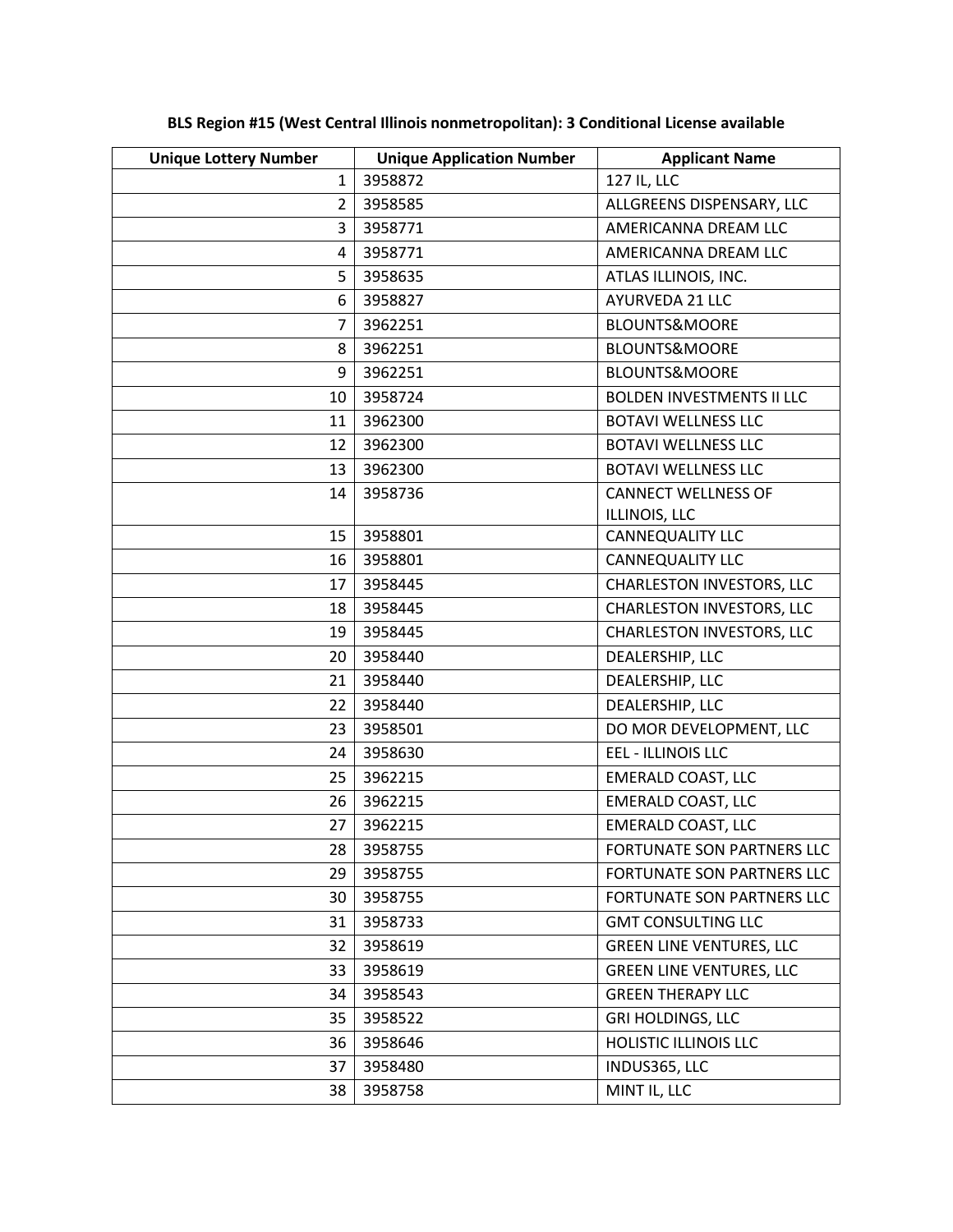| <b>Unique Lottery Number</b> | <b>Unique Application Number</b> | <b>Applicant Name</b>            |
|------------------------------|----------------------------------|----------------------------------|
| 1                            | 3958872                          | 127 IL, LLC                      |
| $\overline{2}$               | 3958585                          | ALLGREENS DISPENSARY, LLC        |
| 3                            | 3958771                          | AMERICANNA DREAM LLC             |
| 4                            | 3958771                          | AMERICANNA DREAM LLC             |
| 5                            | 3958635                          | ATLAS ILLINOIS, INC.             |
| 6                            | 3958827                          | AYURVEDA 21 LLC                  |
| 7                            | 3962251                          | BLOUNTS&MOORE                    |
| 8                            | 3962251                          | <b>BLOUNTS&amp;MOORE</b>         |
| 9                            | 3962251                          | BLOUNTS&MOORE                    |
| 10                           | 3958724                          | <b>BOLDEN INVESTMENTS II LLC</b> |
| 11                           | 3962300                          | <b>BOTAVI WELLNESS LLC</b>       |
| 12                           | 3962300                          | <b>BOTAVI WELLNESS LLC</b>       |
| 13                           | 3962300                          | <b>BOTAVI WELLNESS LLC</b>       |
| 14                           | 3958736                          | <b>CANNECT WELLNESS OF</b>       |
|                              |                                  | ILLINOIS, LLC                    |
| 15                           | 3958801                          | <b>CANNEQUALITY LLC</b>          |
| 16                           | 3958801                          | CANNEQUALITY LLC                 |
| 17                           | 3958445                          | CHARLESTON INVESTORS, LLC        |
| 18                           | 3958445                          | CHARLESTON INVESTORS, LLC        |
| 19                           | 3958445                          | <b>CHARLESTON INVESTORS, LLC</b> |
| 20                           | 3958440                          | DEALERSHIP, LLC                  |
| 21                           | 3958440                          | DEALERSHIP, LLC                  |
| 22                           | 3958440                          | DEALERSHIP, LLC                  |
| 23                           | 3958501                          | DO MOR DEVELOPMENT, LLC          |
| 24                           | 3958630                          | <b>EEL - ILLINOIS LLC</b>        |
| 25                           | 3962215                          | <b>EMERALD COAST, LLC</b>        |
| 26                           | 3962215                          | <b>EMERALD COAST, LLC</b>        |
| 27                           | 3962215                          | <b>EMERALD COAST, LLC</b>        |
| 28                           | 3958755                          | FORTUNATE SON PARTNERS LLC       |
| 29                           | 3958755                          | FORTUNATE SON PARTNERS LLC       |
| 30                           | 3958755                          | FORTUNATE SON PARTNERS LLC       |
| 31                           | 3958733                          | <b>GMT CONSULTING LLC</b>        |
| 32                           | 3958619                          | <b>GREEN LINE VENTURES, LLC</b>  |
| 33                           | 3958619                          | <b>GREEN LINE VENTURES, LLC</b>  |
| 34                           | 3958543                          | <b>GREEN THERAPY LLC</b>         |
| 35                           | 3958522                          | <b>GRI HOLDINGS, LLC</b>         |
| 36                           | 3958646                          | <b>HOLISTIC ILLINOIS LLC</b>     |
| 37                           | 3958480                          | INDUS365, LLC                    |
| 38                           | 3958758                          | MINT IL, LLC                     |

**BLS Region #15 (West Central Illinois nonmetropolitan): 3 Conditional License available**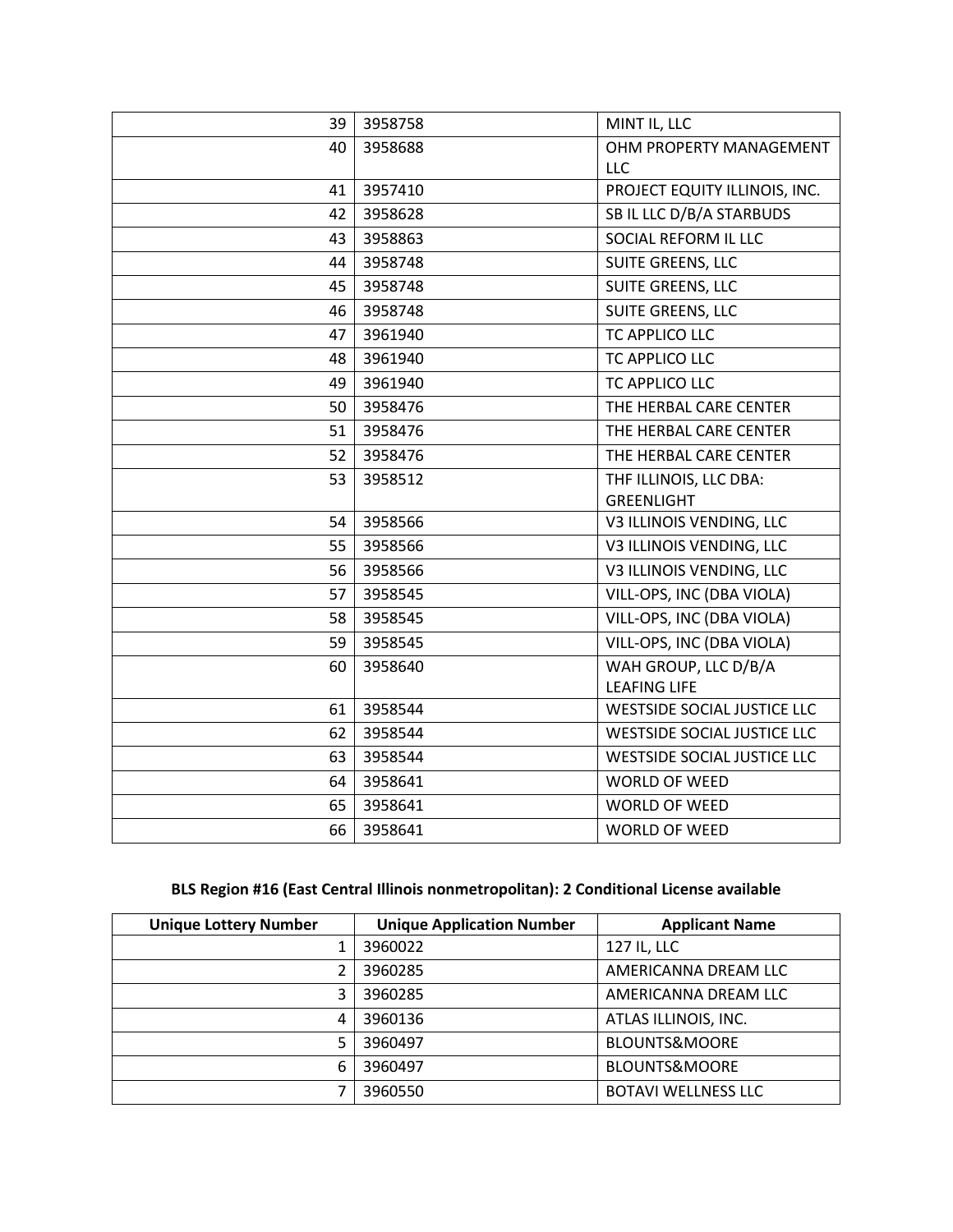| 3958758 | MINT IL, LLC                                        |
|---------|-----------------------------------------------------|
| 3958688 | OHM PROPERTY MANAGEMENT                             |
|         | <b>LLC</b>                                          |
| 3957410 | PROJECT EQUITY ILLINOIS, INC.                       |
| 3958628 | SB IL LLC D/B/A STARBUDS                            |
| 3958863 | SOCIAL REFORM IL LLC                                |
| 3958748 | SUITE GREENS, LLC                                   |
| 3958748 | SUITE GREENS, LLC                                   |
| 3958748 | SUITE GREENS, LLC                                   |
| 3961940 | TC APPLICO LLC                                      |
| 3961940 | TC APPLICO LLC                                      |
| 3961940 | TC APPLICO LLC                                      |
| 3958476 | THE HERBAL CARE CENTER                              |
| 3958476 | THE HERBAL CARE CENTER                              |
| 3958476 | THE HERBAL CARE CENTER                              |
| 3958512 | THF ILLINOIS, LLC DBA:                              |
|         | GREENLIGHT                                          |
| 3958566 | V3 ILLINOIS VENDING, LLC                            |
| 3958566 | V3 ILLINOIS VENDING, LLC                            |
| 3958566 | V3 ILLINOIS VENDING, LLC                            |
| 3958545 | VILL-OPS, INC (DBA VIOLA)                           |
| 3958545 | VILL-OPS, INC (DBA VIOLA)                           |
| 3958545 | VILL-OPS, INC (DBA VIOLA)                           |
| 3958640 | WAH GROUP, LLC D/B/A<br><b>LEAFING LIFE</b>         |
|         | <b>WESTSIDE SOCIAL JUSTICE LLC</b>                  |
|         | WESTSIDE SOCIAL JUSTICE LLC                         |
| 3958544 | <b>WESTSIDE SOCIAL JUSTICE LLC</b>                  |
|         | <b>WORLD OF WEED</b>                                |
|         | WORLD OF WEED                                       |
|         | <b>WORLD OF WEED</b>                                |
|         | 3958544<br>3958544<br>3958641<br>3958641<br>3958641 |

# **BLS Region #16 (East Central Illinois nonmetropolitan): 2 Conditional License available**

| <b>Unique Lottery Number</b> | <b>Unique Application Number</b> | <b>Applicant Name</b>      |
|------------------------------|----------------------------------|----------------------------|
|                              | 3960022                          | 127 IL, LLC                |
|                              | 3960285                          | AMERICANNA DREAM LLC       |
| 3                            | 3960285                          | AMERICANNA DREAM LLC       |
| 4                            | 3960136                          | ATLAS ILLINOIS, INC.       |
|                              | 3960497                          | <b>BLOUNTS&amp;MOORE</b>   |
| 6                            | 3960497                          | <b>BLOUNTS&amp;MOORE</b>   |
|                              | 3960550                          | <b>BOTAVI WELLNESS LLC</b> |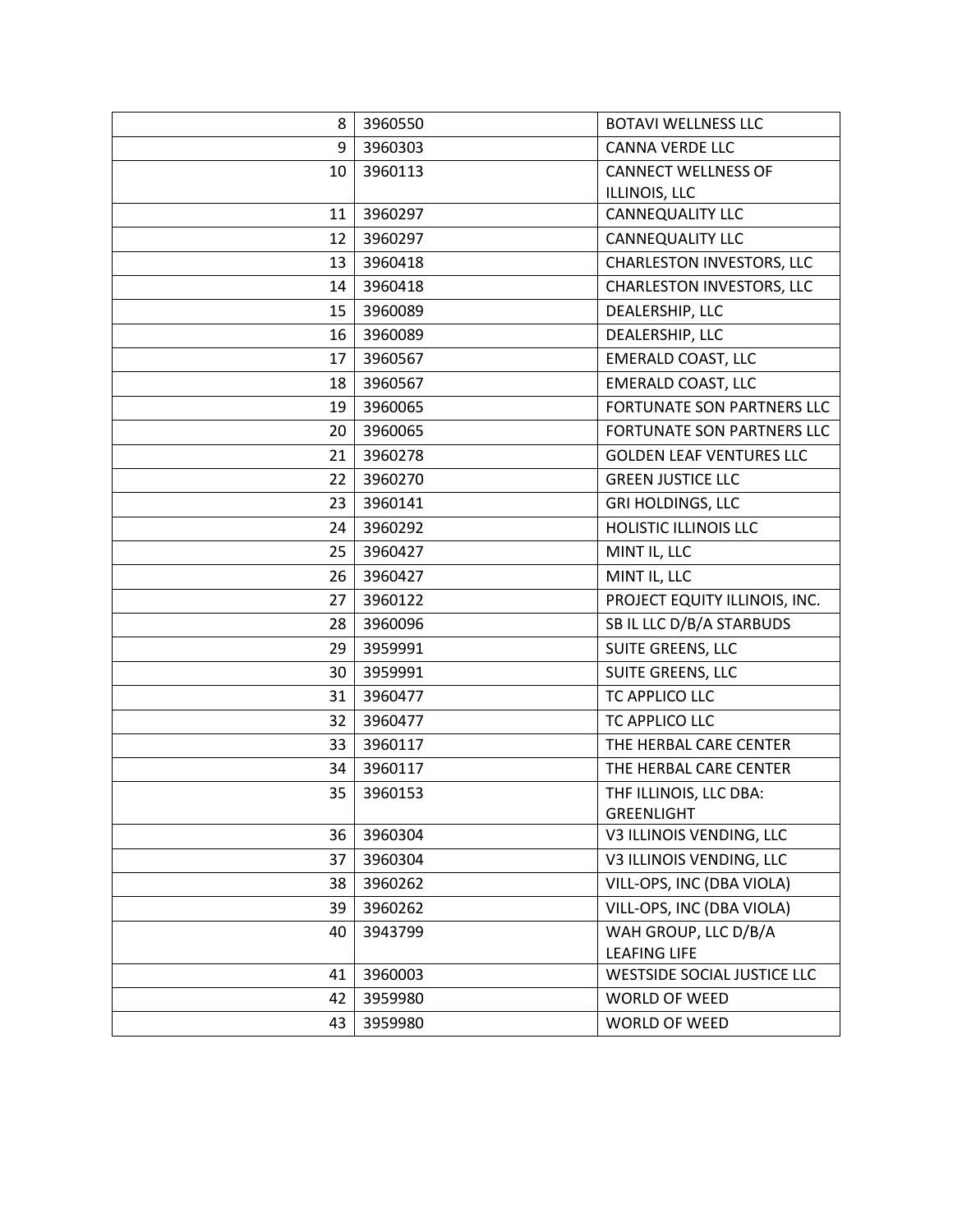| 8               | 3960550 | <b>BOTAVI WELLNESS LLC</b>        |
|-----------------|---------|-----------------------------------|
| 9               | 3960303 | <b>CANNA VERDE LLC</b>            |
| 10              | 3960113 | <b>CANNECT WELLNESS OF</b>        |
|                 |         | ILLINOIS, LLC                     |
| 11              | 3960297 | <b>CANNEQUALITY LLC</b>           |
| 12              | 3960297 | <b>CANNEQUALITY LLC</b>           |
| 13              | 3960418 | CHARLESTON INVESTORS, LLC         |
| 14              | 3960418 | <b>CHARLESTON INVESTORS, LLC</b>  |
| 15 <sub>1</sub> | 3960089 | DEALERSHIP, LLC                   |
| 16              | 3960089 | DEALERSHIP, LLC                   |
| 17              | 3960567 | <b>EMERALD COAST, LLC</b>         |
| 18              | 3960567 | <b>EMERALD COAST, LLC</b>         |
| 19              | 3960065 | FORTUNATE SON PARTNERS LLC        |
| 20              | 3960065 | <b>FORTUNATE SON PARTNERS LLC</b> |
| 21              | 3960278 | <b>GOLDEN LEAF VENTURES LLC</b>   |
| 22              | 3960270 | <b>GREEN JUSTICE LLC</b>          |
| 23              | 3960141 | <b>GRI HOLDINGS, LLC</b>          |
| 24              | 3960292 | HOLISTIC ILLINOIS LLC             |
| 25              | 3960427 | MINT IL, LLC                      |
| 26              | 3960427 | MINT IL, LLC                      |
| 27              | 3960122 | PROJECT EQUITY ILLINOIS, INC.     |
| 28              | 3960096 | SB IL LLC D/B/A STARBUDS          |
| 29              | 3959991 | SUITE GREENS, LLC                 |
| 30              | 3959991 | SUITE GREENS, LLC                 |
| 31              | 3960477 | TC APPLICO LLC                    |
| 32              | 3960477 | TC APPLICO LLC                    |
| 33              | 3960117 | THE HERBAL CARE CENTER            |
| 34              | 3960117 | THE HERBAL CARE CENTER            |
| 35              | 3960153 | THF ILLINOIS, LLC DBA:            |
|                 |         | <b>GREENLIGHT</b>                 |
| 36              | 3960304 | V3 ILLINOIS VENDING, LLC          |
| 37              | 3960304 | V3 ILLINOIS VENDING, LLC          |
| 38              | 3960262 | VILL-OPS, INC (DBA VIOLA)         |
| 39              | 3960262 | VILL-OPS, INC (DBA VIOLA)         |
| 40              | 3943799 | WAH GROUP, LLC D/B/A              |
|                 |         | <b>LEAFING LIFE</b>               |
| 41              | 3960003 | WESTSIDE SOCIAL JUSTICE LLC       |
| 42              | 3959980 | <b>WORLD OF WEED</b>              |
| 43              | 3959980 | WORLD OF WEED                     |